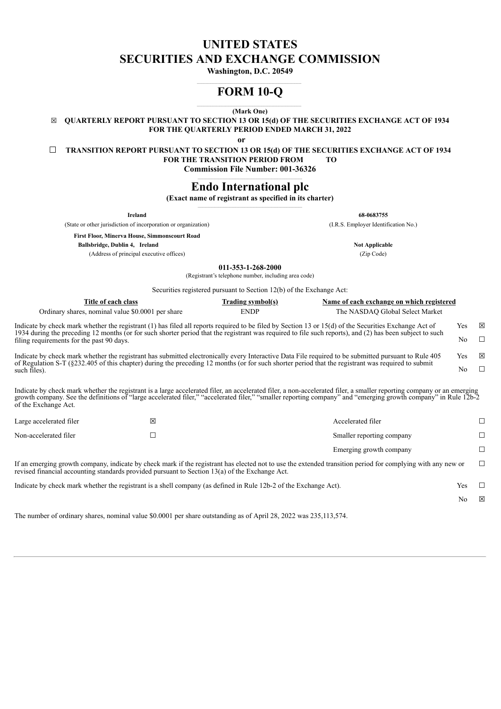# **UNITED STATES SECURITIES AND EXCHANGE COMMISSION**

**Washington, D.C. 20549**

#### $\mathcal{L} = \{ \mathcal{L} \mathcal{L} \mathcal{L} \mathcal{L} \mathcal{L} \mathcal{L} \mathcal{L} \mathcal{L} \mathcal{L} \mathcal{L} \mathcal{L} \mathcal{L} \mathcal{L} \mathcal{L} \mathcal{L} \mathcal{L} \mathcal{L} \mathcal{L} \mathcal{L} \mathcal{L} \mathcal{L} \mathcal{L} \mathcal{L} \mathcal{L} \mathcal{L} \mathcal{L} \mathcal{L} \mathcal{L} \mathcal{L} \mathcal{L} \mathcal{L} \mathcal{L} \mathcal{L} \mathcal{L} \mathcal{L} \$ **FORM 10-Q**

 $\mathcal{L} = \{ \mathcal{L} \mathcal{L} \mathcal{L} \mathcal{L} \mathcal{L} \mathcal{L} \mathcal{L} \mathcal{L} \mathcal{L} \mathcal{L} \mathcal{L} \mathcal{L} \mathcal{L} \mathcal{L} \mathcal{L} \mathcal{L} \mathcal{L} \mathcal{L} \mathcal{L} \mathcal{L} \mathcal{L} \mathcal{L} \mathcal{L} \mathcal{L} \mathcal{L} \mathcal{L} \mathcal{L} \mathcal{L} \mathcal{L} \mathcal{L} \mathcal{L} \mathcal{L} \mathcal{L} \mathcal{L} \mathcal{L} \$ **(Mark One)**

☒ **QUARTERLY REPORT PURSUANT TO SECTION 13 OR 15(d) OF THE SECURITIES EXCHANGE ACT OF 1934 FOR THE QUARTERLY PERIOD ENDED MARCH 31, 2022**

**or**

☐ **TRANSITION REPORT PURSUANT TO SECTION 13 OR 15(d) OF THE SECURITIES EXCHANGE ACT OF 1934 FOR THE TRANSITION PERIOD FROM TO Commission File Number: 001-36326**

#### $\mathcal{L} = \{ \mathcal{L} \mathcal{L} \mathcal{L} \mathcal{L} \mathcal{L} \mathcal{L} \mathcal{L} \mathcal{L} \mathcal{L} \mathcal{L} \mathcal{L} \mathcal{L} \mathcal{L} \mathcal{L} \mathcal{L} \mathcal{L} \mathcal{L} \mathcal{L} \mathcal{L} \mathcal{L} \mathcal{L} \mathcal{L} \mathcal{L} \mathcal{L} \mathcal{L} \mathcal{L} \mathcal{L} \mathcal{L} \mathcal{L} \mathcal{L} \mathcal{L} \mathcal{L} \mathcal{L} \mathcal{L} \mathcal{L} \$ **Endo International plc**

#### **(Exact name of registrant as specified in its charter)**  $\mathcal{L} = \{ \mathcal{L} \mathcal{L} \mathcal{L} \mathcal{L} \mathcal{L} \mathcal{L} \mathcal{L} \mathcal{L} \mathcal{L} \mathcal{L} \mathcal{L} \mathcal{L} \mathcal{L} \mathcal{L} \mathcal{L} \mathcal{L} \mathcal{L} \mathcal{L} \mathcal{L} \mathcal{L} \mathcal{L} \mathcal{L} \mathcal{L} \mathcal{L} \mathcal{L} \mathcal{L} \mathcal{L} \mathcal{L} \mathcal{L} \mathcal{L} \mathcal{L} \mathcal{L} \mathcal{L} \mathcal{L} \mathcal{L} \$

| Ireland                                                                                                                                                                                               |                                                                            | 68-0683755                                |                |   |
|-------------------------------------------------------------------------------------------------------------------------------------------------------------------------------------------------------|----------------------------------------------------------------------------|-------------------------------------------|----------------|---|
| (State or other jurisdiction of incorporation or organization)                                                                                                                                        |                                                                            | (I.R.S. Employer Identification No.)      |                |   |
| <b>First Floor, Minerva House, Simmonscourt Road</b>                                                                                                                                                  |                                                                            |                                           |                |   |
| Ballsbridge, Dublin 4, Ireland                                                                                                                                                                        |                                                                            | <b>Not Applicable</b>                     |                |   |
| (Address of principal executive offices)                                                                                                                                                              |                                                                            | (Zip Code)                                |                |   |
|                                                                                                                                                                                                       | 011-353-1-268-2000<br>(Registrant's telephone number, including area code) |                                           |                |   |
|                                                                                                                                                                                                       | Securities registered pursuant to Section 12(b) of the Exchange Act:       |                                           |                |   |
| Title of each class                                                                                                                                                                                   | Trading symbol(s)                                                          | Name of each exchange on which registered |                |   |
| Ordinary shares, nominal value \$0,0001 per share                                                                                                                                                     | <b>ENDP</b>                                                                | The NASDAO Global Select Market           |                |   |
| Indicate by check mark whether the registrant (1) has filed all reports required to be filed by Section 13 or 15(d) of the Securities Exchange Act of                                                 |                                                                            |                                           | Yes            | ⊠ |
| 1934 during the preceding 12 months (or for such shorter period that the registrant was required to file such reports), and (2) has been subject to such<br>filing requirements for the past 90 days. |                                                                            |                                           | N <sub>0</sub> |   |
| Indicate by check mark whether the registrant has submitted electronically every Interactive Data File required to be submitted pursuant to Rule 405                                                  |                                                                            |                                           | Yes            | 冈 |
| of Regulation S-T (§232.405 of this chapter) during the preceding 12 months (or for such shorter period that the registrant was required to submit<br>such files).                                    |                                                                            |                                           | No             |   |
| Indicate by check mark whether the registrant is a large accelerated filer, an accelerated filer, a non-accelerated filer, a smaller reporting company or an emerging                                 |                                                                            |                                           |                |   |

growth company. See the definitions of "large accelerated filer," "accelerated filer," "smaller reporting company" and "emerging growth company" in Rule 12b-2 of the Exchange Act.

| ⊠<br>Large accelerated filer<br>Accelerated filer |                                                                                                                                                                                                                                                                 |                         |     |    |
|---------------------------------------------------|-----------------------------------------------------------------------------------------------------------------------------------------------------------------------------------------------------------------------------------------------------------------|-------------------------|-----|----|
| Non-accelerated filer                             | Smaller reporting company                                                                                                                                                                                                                                       |                         |     |    |
|                                                   |                                                                                                                                                                                                                                                                 | Emerging growth company |     |    |
|                                                   | If an emerging growth company, indicate by check mark if the registrant has elected not to use the extended transition period for complying with any new or<br>revised financial accounting standards provided pursuant to Section $13(a)$ of the Exchange Act. |                         |     | П. |
|                                                   | Indicate by check mark whether the registrant is a shell company (as defined in Rule 12b-2 of the Exchange Act).                                                                                                                                                |                         | Yes |    |
|                                                   |                                                                                                                                                                                                                                                                 |                         | No  | ⊠  |
|                                                   |                                                                                                                                                                                                                                                                 |                         |     |    |

<span id="page-0-0"></span>The number of ordinary shares, nominal value \$0.0001 per share outstanding as of April 28, 2022 was 235,113,574.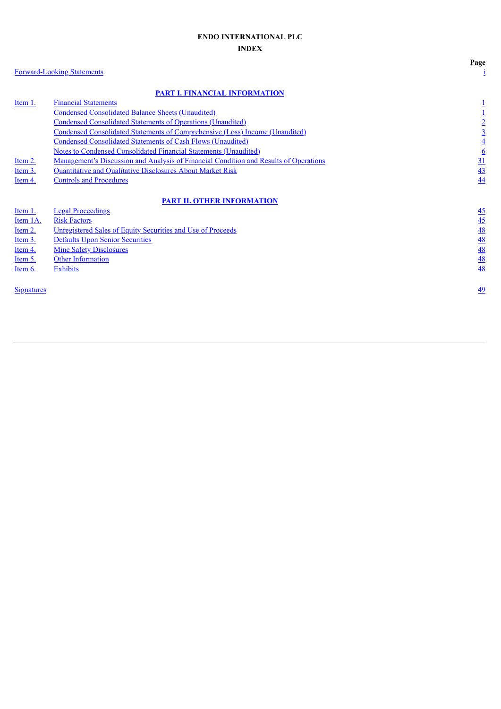# **ENDO INTERNATIONAL PLC INDEX**

# [Forward-Looking](#page-1-0) Statements [i](#page-1-0)n the statements of the statements of the statements of the statements of the statements of the statements of the statements of the statements of the statements of the statements of the statemen

**Page**

|          | <b>PART I. FINANCIAL INFORMATION</b>                                                  |                 |
|----------|---------------------------------------------------------------------------------------|-----------------|
| Item 1.  | <b>Financial Statements</b>                                                           |                 |
|          | <b>Condensed Consolidated Balance Sheets (Unaudited)</b>                              |                 |
|          | <b>Condensed Consolidated Statements of Operations (Unaudited)</b>                    |                 |
|          | Condensed Consolidated Statements of Comprehensive (Loss) Income (Unaudited)          |                 |
|          | <b>Condensed Consolidated Statements of Cash Flows (Unaudited)</b>                    | <u>4</u>        |
|          | <b>Notes to Condensed Consolidated Financial Statements (Unaudited)</b>               | $6\overline{6}$ |
| Item 2.  | Management's Discussion and Analysis of Financial Condition and Results of Operations | $\overline{31}$ |
| Item 3.  | Quantitative and Qualitative Disclosures About Market Risk                            | 43              |
| Item 4.  | <b>Controls and Procedures</b>                                                        | 44              |
|          |                                                                                       |                 |
|          | <b>PART II. OTHER INFORMATION</b>                                                     |                 |
| Item 1.  | <b>Legal Proceedings</b>                                                              | $\frac{45}{5}$  |
| Item 1A. | <b>Risk Factors</b>                                                                   | 45              |
| Item 2.  | Unregistered Sales of Equity Securities and Use of Proceeds                           | 48              |
| Item 3.  | <b>Defaults Upon Senior Securities</b>                                                | 48              |
| Item 4.  | <b>Mine Safety Disclosures</b>                                                        | 48              |
| Item 5.  | <b>Other Information</b>                                                              | 48              |
| Item 6.  | <b>Exhibits</b>                                                                       | 48              |
|          |                                                                                       |                 |

<span id="page-1-0"></span>**[Signatures](#page-51-5)** [49](#page-51-5)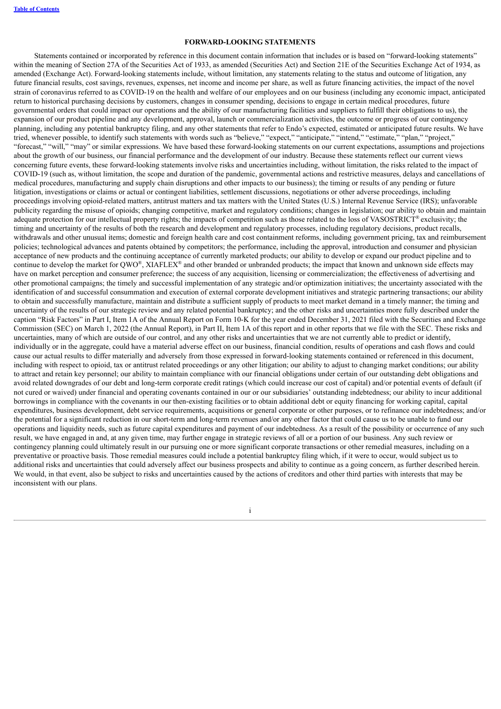### **FORWARD-LOOKING STATEMENTS**

Statements contained or incorporated by reference in this document contain information that includes or is based on "forward-looking statements" within the meaning of Section 27A of the Securities Act of 1933, as amended (Securities Act) and Section 21E of the Securities Exchange Act of 1934, as amended (Exchange Act). Forward-looking statements include, without limitation, any statements relating to the status and outcome of litigation, any future financial results, cost savings, revenues, expenses, net income and income per share, as well as future financing activities, the impact of the novel strain of coronavirus referred to as COVID-19 on the health and welfare of our employees and on our business (including any economic impact, anticipated return to historical purchasing decisions by customers, changes in consumer spending, decisions to engage in certain medical procedures, future governmental orders that could impact our operations and the ability of our manufacturing facilities and suppliers to fulfill their obligations to us), the expansion of our product pipeline and any development, approval, launch or commercialization activities, the outcome or progress of our contingency planning, including any potential bankruptcy filing, and any other statements that refer to Endo's expected, estimated or anticipated future results. We have tried, whenever possible, to identify such statements with words such as "believe," "expect," "anticipate," "intend," "estimate," "plan," "project," "forecast," "will," "may" or similar expressions. We have based these forward-looking statements on our current expectations, assumptions and projections about the growth of our business, our financial performance and the development of our industry. Because these statements reflect our current views concerning future events, these forward-looking statements involve risks and uncertainties including, without limitation, the risks related to the impact of COVID-19 (such as, without limitation, the scope and duration of the pandemic, governmental actions and restrictive measures, delays and cancellations of medical procedures, manufacturing and supply chain disruptions and other impacts to our business); the timing or results of any pending or future litigation, investigations or claims or actual or contingent liabilities, settlement discussions, negotiations or other adverse proceedings, including proceedings involving opioid-related matters, antitrust matters and tax matters with the United States (U.S.) Internal Revenue Service (IRS); unfavorable publicity regarding the misuse of opioids; changing competitive, market and regulatory conditions; changes in legislation; our ability to obtain and maintain adequate protection for our intellectual property rights; the impacts of competition such as those related to the loss of VASOSTRICT® exclusivity; the timing and uncertainty of the results of both the research and development and regulatory processes, including regulatory decisions, product recalls, withdrawals and other unusual items; domestic and foreign health care and cost containment reforms, including government pricing, tax and reimbursement policies; technological advances and patents obtained by competitors; the performance, including the approval, introduction and consumer and physician acceptance of new products and the continuing acceptance of currently marketed products; our ability to develop or expand our product pipeline and to continue to develop the market for QWO®, XIAFLEX<sup>®</sup> and other branded or unbranded products; the impact that known and unknown side effects may have on market perception and consumer preference; the success of any acquisition, licensing or commercialization; the effectiveness of advertising and other promotional campaigns; the timely and successful implementation of any strategic and/or optimization initiatives; the uncertainty associated with the identification of and successful consummation and execution of external corporate development initiatives and strategic partnering transactions; our ability to obtain and successfully manufacture, maintain and distribute a sufficient supply of products to meet market demand in a timely manner; the timing and uncertainty of the results of our strategic review and any related potential bankruptcy; and the other risks and uncertainties more fully described under the caption "Risk Factors" in Part I, Item 1A of the Annual Report on Form 10-K for the year ended December 31, 2021 filed with the Securities and Exchange Commission (SEC) on March 1, 2022 (the Annual Report), in Part II, Item 1A of this report and in other reports that we file with the SEC. These risks and uncertainties, many of which are outside of our control, and any other risks and uncertainties that we are not currently able to predict or identify, individually or in the aggregate, could have a material adverse effect on our business, financial condition, results of operations and cash flows and could cause our actual results to differ materially and adversely from those expressed in forward-looking statements contained or referenced in this document, including with respect to opioid, tax or antitrust related proceedings or any other litigation; our ability to adjust to changing market conditions; our ability to attract and retain key personnel; our ability to maintain compliance with our financial obligations under certain of our outstanding debt obligations and avoid related downgrades of our debt and long-term corporate credit ratings (which could increase our cost of capital) and/or potential events of default (if not cured or waived) under financial and operating covenants contained in our or our subsidiaries' outstanding indebtedness; our ability to incur additional borrowings in compliance with the covenants in our then-existing facilities or to obtain additional debt or equity financing for working capital, capital expenditures, business development, debt service requirements, acquisitions or general corporate or other purposes, or to refinance our indebtedness; and/or the potential for a significant reduction in our short-term and long-term revenues and/or any other factor that could cause us to be unable to fund our operations and liquidity needs, such as future capital expenditures and payment of our indebtedness. As a result of the possibility or occurrence of any such result, we have engaged in and, at any given time, may further engage in strategic reviews of all or a portion of our business. Any such review or contingency planning could ultimately result in our pursuing one or more significant corporate transactions or other remedial measures, including on a preventative or proactive basis. Those remedial measures could include a potential bankruptcy filing which, if it were to occur, would subject us to additional risks and uncertainties that could adversely affect our business prospects and ability to continue as a going concern, as further described herein. We would, in that event, also be subject to risks and uncertainties caused by the actions of creditors and other third parties with interests that may be inconsistent with our plans.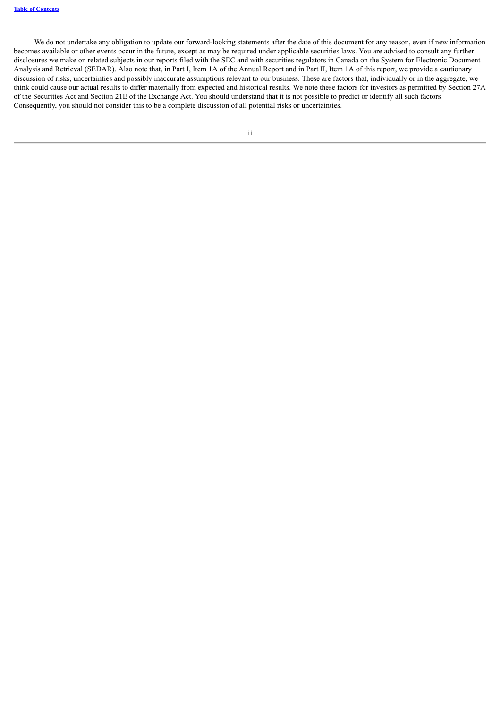<span id="page-3-0"></span>We do not undertake any obligation to update our forward-looking statements after the date of this document for any reason, even if new information becomes available or other events occur in the future, except as may be required under applicable securities laws. You are advised to consult any further disclosures we make on related subjects in our reports filed with the SEC and with securities regulators in Canada on the System for Electronic Document Analysis and Retrieval (SEDAR). Also note that, in Part I, Item 1A of the Annual Report and in Part II, Item 1A of this report, we provide a cautionary discussion of risks, uncertainties and possibly inaccurate assumptions relevant to our business. These are factors that, individually or in the aggregate, we think could cause our actual results to differ materially from expected and historical results. We note these factors for investors as permitted by Section 27A of the Securities Act and Section 21E of the Exchange Act. You should understand that it is not possible to predict or identify all such factors. Consequently, you should not consider this to be a complete discussion of all potential risks or uncertainties.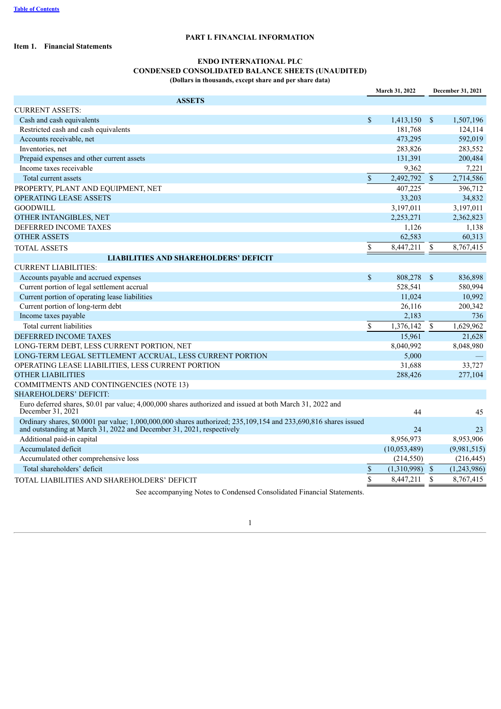# **PART I. FINANCIAL INFORMATION**

<span id="page-4-1"></span><span id="page-4-0"></span>**Item 1. Financial Statements**

# **ENDO INTERNATIONAL PLC CONDENSED CONSOLIDATED BALANCE SHEETS (UNAUDITED) (Dollars in thousands, except share and per share data)**

|                                                                                                                                                                                          | March 31, 2022     |              |                    | December 31, 2021 |  |
|------------------------------------------------------------------------------------------------------------------------------------------------------------------------------------------|--------------------|--------------|--------------------|-------------------|--|
| <b>ASSETS</b>                                                                                                                                                                            |                    |              |                    |                   |  |
| <b>CURRENT ASSETS:</b>                                                                                                                                                                   |                    |              |                    |                   |  |
| Cash and cash equivalents                                                                                                                                                                | $\mathbb{S}$       | 1,413,150    | $\mathbb{S}$       | 1,507,196         |  |
| Restricted cash and cash equivalents                                                                                                                                                     |                    | 181,768      |                    | 124,114           |  |
| Accounts receivable, net                                                                                                                                                                 |                    | 473,295      |                    | 592,019           |  |
| Inventories, net                                                                                                                                                                         |                    | 283,826      |                    | 283,552           |  |
| Prepaid expenses and other current assets                                                                                                                                                |                    | 131,391      |                    | 200,484           |  |
| Income taxes receivable                                                                                                                                                                  |                    | 9,362        |                    | 7,221             |  |
| Total current assets                                                                                                                                                                     | $\sqrt{\ }$        | 2,492,792    | $\mathbb{S}$       | 2,714,586         |  |
| PROPERTY, PLANT AND EQUIPMENT, NET                                                                                                                                                       |                    | 407,225      |                    | 396,712           |  |
| <b>OPERATING LEASE ASSETS</b>                                                                                                                                                            |                    | 33,203       |                    | 34,832            |  |
| <b>GOODWILL</b>                                                                                                                                                                          |                    | 3,197,011    |                    | 3,197,011         |  |
| OTHER INTANGIBLES, NET                                                                                                                                                                   |                    | 2,253,271    |                    | 2,362,823         |  |
| DEFERRED INCOME TAXES                                                                                                                                                                    |                    | 1,126        |                    | 1,138             |  |
| <b>OTHER ASSETS</b>                                                                                                                                                                      |                    | 62,583       |                    | 60,313            |  |
| <b>TOTAL ASSETS</b>                                                                                                                                                                      | $\$$               | 8,447,211    | \$                 | 8,767,415         |  |
| <b>LIABILITIES AND SHAREHOLDERS' DEFICIT</b>                                                                                                                                             |                    |              |                    |                   |  |
| <b>CURRENT LIABILITIES:</b>                                                                                                                                                              |                    |              |                    |                   |  |
| Accounts payable and accrued expenses                                                                                                                                                    | \$                 | 808,278      | $\mathbf{\hat{s}}$ | 836,898           |  |
| Current portion of legal settlement accrual                                                                                                                                              |                    | 528,541      |                    | 580,994           |  |
| Current portion of operating lease liabilities                                                                                                                                           |                    | 11,024       |                    | 10,992            |  |
| Current portion of long-term debt                                                                                                                                                        |                    | 26,116       |                    | 200,342           |  |
| Income taxes payable                                                                                                                                                                     |                    | 2,183        |                    | 736               |  |
| Total current liabilities                                                                                                                                                                | \$                 | 1,376,142    | $\mathbb{S}$       | 1,629,962         |  |
| DEFERRED INCOME TAXES                                                                                                                                                                    |                    | 15,961       |                    | 21,628            |  |
| LONG-TERM DEBT, LESS CURRENT PORTION, NET                                                                                                                                                |                    | 8,040,992    |                    | 8,048,980         |  |
| LONG-TERM LEGAL SETTLEMENT ACCRUAL, LESS CURRENT PORTION                                                                                                                                 |                    | 5,000        |                    |                   |  |
| OPERATING LEASE LIABILITIES, LESS CURRENT PORTION                                                                                                                                        |                    | 31,688       |                    | 33,727            |  |
| <b>OTHER LIABILITIES</b>                                                                                                                                                                 |                    | 288,426      |                    | 277,104           |  |
| COMMITMENTS AND CONTINGENCIES (NOTE 13)                                                                                                                                                  |                    |              |                    |                   |  |
| <b>SHAREHOLDERS' DEFICIT:</b>                                                                                                                                                            |                    |              |                    |                   |  |
| Euro deferred shares, \$0.01 par value; 4,000,000 shares authorized and issued at both March 31, 2022 and<br>December 31, 2021                                                           |                    | 44           |                    | 45                |  |
| Ordinary shares, \$0.0001 par value; 1,000,000,000 shares authorized; 235,109,154 and 233,690,816 shares issued<br>and outstanding at March 31, 2022 and December 31, 2021, respectively |                    | 24           |                    | 23                |  |
| Additional paid-in capital                                                                                                                                                               |                    | 8,956,973    |                    | 8,953,906         |  |
| Accumulated deficit                                                                                                                                                                      |                    | (10,053,489) |                    | (9,981,515)       |  |
| Accumulated other comprehensive loss                                                                                                                                                     |                    | (214, 550)   |                    | (216, 445)        |  |
| Total shareholders' deficit                                                                                                                                                              | \$                 | (1,310,998)  | $\mathbf{s}$       | (1,243,986)       |  |
| TOTAL LIABILITIES AND SHAREHOLDERS' DEFICIT                                                                                                                                              | $\mathbf{\hat{S}}$ | 8,447,211    | $\mathbf S$        | 8,767,415         |  |

<span id="page-4-2"></span>See accompanying Notes to Condensed Consolidated Financial Statements.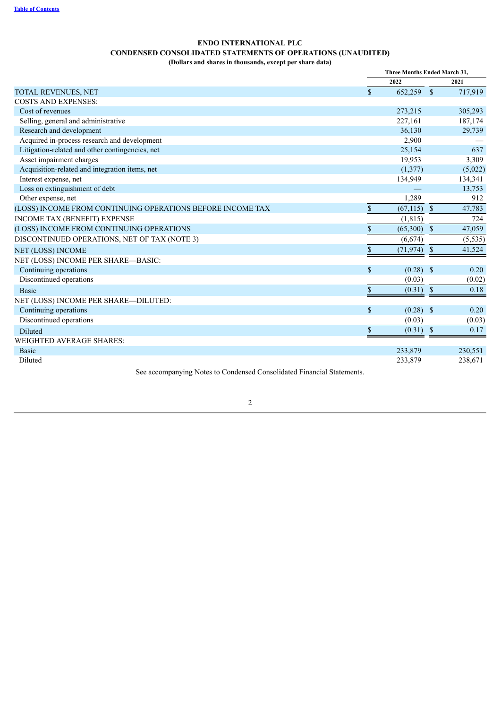# **ENDO INTERNATIONAL PLC**

# **CONDENSED CONSOLIDATED STATEMENTS OF OPERATIONS (UNAUDITED)**

**(Dollars and shares in thousands, except per share data)**

|                                                            | Three Months Ended March 31, |             |               |          |
|------------------------------------------------------------|------------------------------|-------------|---------------|----------|
|                                                            |                              | 2022        |               | 2021     |
| TOTAL REVENUES, NET                                        | $\mathbb{S}$                 | 652,259 \$  |               | 717,919  |
| <b>COSTS AND EXPENSES:</b>                                 |                              |             |               |          |
| Cost of revenues                                           |                              | 273,215     |               | 305,293  |
| Selling, general and administrative                        |                              | 227,161     |               | 187,174  |
| Research and development                                   |                              | 36,130      |               | 29,739   |
| Acquired in-process research and development               |                              | 2,900       |               |          |
| Litigation-related and other contingencies, net            |                              | 25,154      |               | 637      |
| Asset impairment charges                                   |                              | 19,953      |               | 3,309    |
| Acquisition-related and integration items, net             |                              | (1,377)     |               | (5,022)  |
| Interest expense, net                                      |                              | 134,949     |               | 134,341  |
| Loss on extinguishment of debt                             |                              |             |               | 13,753   |
| Other expense, net                                         |                              | 1,289       |               | 912      |
| (LOSS) INCOME FROM CONTINUING OPERATIONS BEFORE INCOME TAX | \$                           | (67, 115)   | $\mathbb{S}$  | 47,783   |
| <b>INCOME TAX (BENEFIT) EXPENSE</b>                        |                              | (1, 815)    |               | 724      |
| (LOSS) INCOME FROM CONTINUING OPERATIONS                   | $\mathbb{S}$                 | (65,300)    | $\mathsf{\$}$ | 47,059   |
| DISCONTINUED OPERATIONS, NET OF TAX (NOTE 3)               |                              | (6,674)     |               | (5, 535) |
| <b>NET (LOSS) INCOME</b>                                   | \$                           | (71, 974)   | \$            | 41,524   |
| NET (LOSS) INCOME PER SHARE-BASIC:                         |                              |             |               |          |
| Continuing operations                                      | $\mathbf S$                  | $(0.28)$ \$ |               | 0.20     |
| Discontinued operations                                    |                              | (0.03)      |               | (0.02)   |
| <b>Basic</b>                                               | \$                           | (0.31)      | $\mathbb{S}$  | 0.18     |
| NET (LOSS) INCOME PER SHARE-DILUTED:                       |                              |             |               |          |
| Continuing operations                                      | $\mathbf S$                  | $(0.28)$ \$ |               | 0.20     |
| Discontinued operations                                    |                              | (0.03)      |               | (0.03)   |
| Diluted                                                    | \$                           | (0.31)      | $\mathbb{S}$  | 0.17     |
| <b>WEIGHTED AVERAGE SHARES:</b>                            |                              |             |               |          |
| <b>Basic</b>                                               |                              | 233,879     |               | 230,551  |
| Diluted                                                    |                              | 233,879     |               | 238,671  |

<span id="page-5-0"></span>See accompanying Notes to Condensed Consolidated Financial Statements.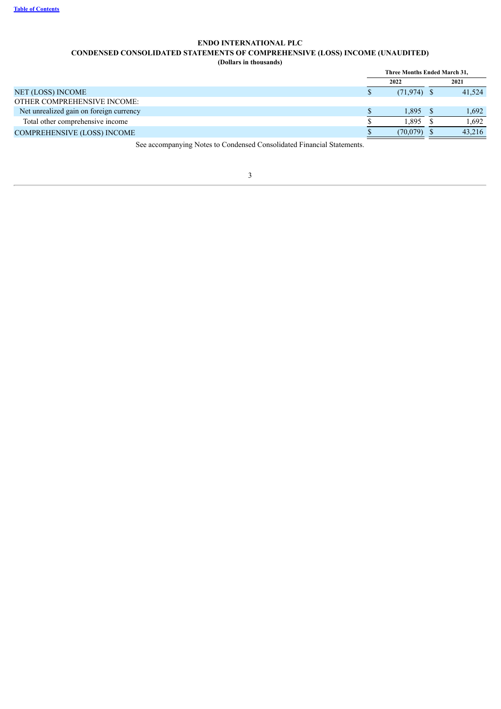# **ENDO INTERNATIONAL PLC CONDENSED CONSOLIDATED STATEMENTS OF COMPREHENSIVE (LOSS) INCOME (UNAUDITED) (Dollars in thousands)**

<span id="page-6-0"></span>

|                                         | Three Months Ended March 31. |  |        |  |
|-----------------------------------------|------------------------------|--|--------|--|
|                                         | 2022                         |  | 2021   |  |
| NET (LOSS) INCOME                       | $(71.974)$ \$                |  | 41,524 |  |
| OTHER COMPREHENSIVE INCOME:             |                              |  |        |  |
| Net unrealized gain on foreign currency | 1.895                        |  | 1.692  |  |
| Total other comprehensive income        | .895                         |  | 1.692  |  |
| <b>COMPREHENSIVE (LOSS) INCOME</b>      | (70,079)                     |  | 43,216 |  |

See accompanying Notes to Condensed Consolidated Financial Statements.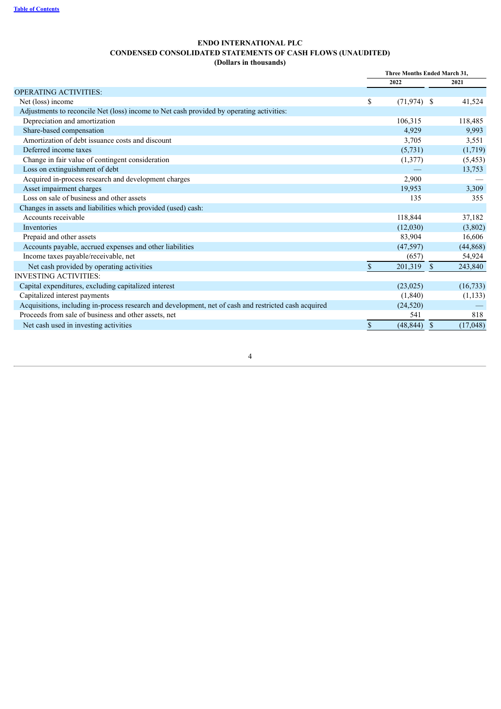# **ENDO INTERNATIONAL PLC CONDENSED CONSOLIDATED STATEMENTS OF CASH FLOWS (UNAUDITED)**

**(Dollars in thousands)**

| 2022<br>2021<br><b>OPERATING ACTIVITIES:</b><br>\$<br>Net (loss) income<br>$(71.974)$ \$<br>41,524<br>Adjustments to reconcile Net (loss) income to Net cash provided by operating activities:<br>Depreciation and amortization<br>106,315<br>118,485 |
|-------------------------------------------------------------------------------------------------------------------------------------------------------------------------------------------------------------------------------------------------------|
|                                                                                                                                                                                                                                                       |
|                                                                                                                                                                                                                                                       |
|                                                                                                                                                                                                                                                       |
|                                                                                                                                                                                                                                                       |
|                                                                                                                                                                                                                                                       |
| Share-based compensation<br>4,929<br>9,993                                                                                                                                                                                                            |
| Amortization of debt issuance costs and discount<br>3,705<br>3,551                                                                                                                                                                                    |
| Deferred income taxes<br>(5,731)<br>(1,719)                                                                                                                                                                                                           |
| Change in fair value of contingent consideration<br>(1,377)<br>(5, 453)                                                                                                                                                                               |
| Loss on extinguishment of debt<br>13,753                                                                                                                                                                                                              |
| Acquired in-process research and development charges<br>2,900                                                                                                                                                                                         |
| Asset impairment charges<br>3,309<br>19,953                                                                                                                                                                                                           |
| Loss on sale of business and other assets<br>135<br>355                                                                                                                                                                                               |
| Changes in assets and liabilities which provided (used) cash:                                                                                                                                                                                         |
| Accounts receivable<br>118,844<br>37,182                                                                                                                                                                                                              |
| <b>Inventories</b><br>(12,030)<br>(3,802)                                                                                                                                                                                                             |
| Prepaid and other assets<br>83,904<br>16,606                                                                                                                                                                                                          |
| Accounts payable, accrued expenses and other liabilities<br>(47, 597)<br>(44, 868)                                                                                                                                                                    |
| Income taxes payable/receivable, net<br>54,924<br>(657)                                                                                                                                                                                               |
| Net cash provided by operating activities<br>$\mathbf{s}$<br>201,319<br>$\mathbb{S}$<br>243,840                                                                                                                                                       |
| <b>INVESTING ACTIVITIES:</b>                                                                                                                                                                                                                          |
| Capital expenditures, excluding capitalized interest<br>(23, 025)<br>(16, 733)                                                                                                                                                                        |
| Capitalized interest payments<br>(1,840)<br>(1,133)                                                                                                                                                                                                   |
| Acquisitions, including in-process research and development, net of cash and restricted cash acquired<br>(24, 520)                                                                                                                                    |
| Proceeds from sale of business and other assets, net<br>541<br>818                                                                                                                                                                                    |
| $\mathbb{S}$<br>Net cash used in investing activities<br>(48, 844)<br>$\mathbb{S}$<br>(17,048)                                                                                                                                                        |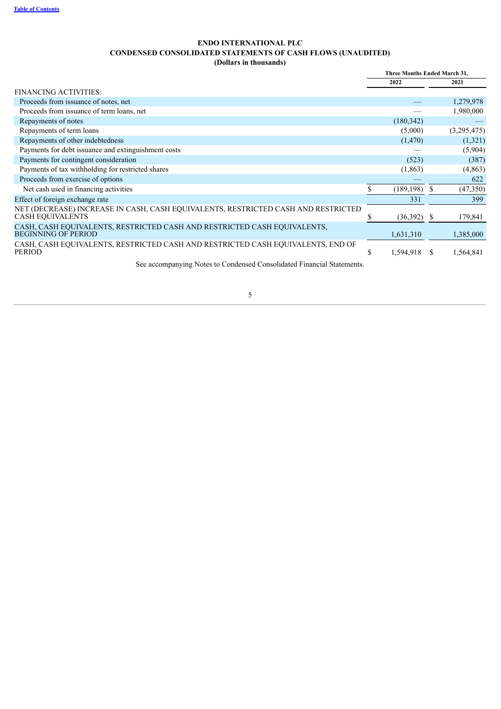# **ENDO INTERNATIONAL PLC CONDENSED CONSOLIDATED STATEMENTS OF CASH FLOWS (UNAUDITED) (Dollars in thousands)**

<span id="page-8-0"></span>

|                                                                                                        | Three Months Ended March 31, |               |    |             |
|--------------------------------------------------------------------------------------------------------|------------------------------|---------------|----|-------------|
|                                                                                                        |                              | 2022          |    | 2021        |
| <b>FINANCING ACTIVITIES:</b>                                                                           |                              |               |    |             |
| Proceeds from issuance of notes, net                                                                   |                              |               |    | 1,279,978   |
| Proceeds from issuance of term loans, net                                                              |                              |               |    | 1,980,000   |
| Repayments of notes                                                                                    |                              | (180, 342)    |    |             |
| Repayments of term loans                                                                               |                              | (5,000)       |    | (3,295,475) |
| Repayments of other indebtedness                                                                       |                              | (1, 470)      |    | (1,321)     |
| Payments for debt issuance and extinguishment costs                                                    |                              |               |    | (5,904)     |
| Payments for contingent consideration                                                                  |                              | (523)         |    | (387)       |
| Payments of tax withholding for restricted shares                                                      |                              | (1, 863)      |    | (4,863)     |
| Proceeds from exercise of options                                                                      |                              |               |    | 622         |
| Net cash used in financing activities                                                                  |                              | (189, 198)    | S. | (47,350)    |
| Effect of foreign exchange rate                                                                        |                              | 331           |    | 399         |
| NET (DECREASE) INCREASE IN CASH, CASH EOUIVALENTS, RESTRICTED CASH AND RESTRICTED<br>CASH EQUIVALENTS  |                              | $(36,392)$ \$ |    | 179,841     |
| CASH, CASH EQUIVALENTS, RESTRICTED CASH AND RESTRICTED CASH EQUIVALENTS,<br><b>BEGINNING OF PERIOD</b> |                              | 1,631,310     |    | 1,385,000   |
| CASH, CASH EQUIVALENTS, RESTRICTED CASH AND RESTRICTED CASH EQUIVALENTS, END OF<br><b>PERIOD</b>       | \$                           | 1,594,918     | \$ | 1,564,841   |
| See accompanying Notes to Condensed Consolidated Financial Statements.                                 |                              |               |    |             |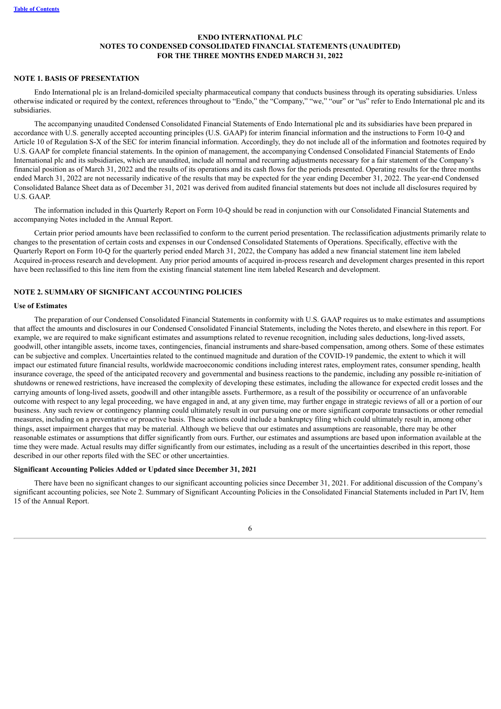## **ENDO INTERNATIONAL PLC NOTES TO CONDENSED CONSOLIDATED FINANCIAL STATEMENTS (UNAUDITED) FOR THE THREE MONTHS ENDED MARCH 31, 2022**

## **NOTE 1. BASIS OF PRESENTATION**

Endo International plc is an Ireland-domiciled specialty pharmaceutical company that conducts business through its operating subsidiaries. Unless otherwise indicated or required by the context, references throughout to "Endo," the "Company," "we," "our" or "us" refer to Endo International plc and its subsidiaries.

The accompanying unaudited Condensed Consolidated Financial Statements of Endo International plc and its subsidiaries have been prepared in accordance with U.S. generally accepted accounting principles (U.S. GAAP) for interim financial information and the instructions to Form 10-Q and Article 10 of Regulation S-X of the SEC for interim financial information. Accordingly, they do not include all of the information and footnotes required by U.S. GAAP for complete financial statements. In the opinion of management, the accompanying Condensed Consolidated Financial Statements of Endo International plc and its subsidiaries, which are unaudited, include all normal and recurring adjustments necessary for a fair statement of the Company's financial position as of March 31, 2022 and the results of its operations and its cash flows for the periods presented. Operating results for the three months ended March 31, 2022 are not necessarily indicative of the results that may be expected for the year ending December 31, 2022. The year-end Condensed Consolidated Balance Sheet data as of December 31, 2021 was derived from audited financial statements but does not include all disclosures required by U.S. GAAP.

The information included in this Quarterly Report on Form 10-Q should be read in conjunction with our Consolidated Financial Statements and accompanying Notes included in the Annual Report.

Certain prior period amounts have been reclassified to conform to the current period presentation. The reclassification adjustments primarily relate to changes to the presentation of certain costs and expenses in our Condensed Consolidated Statements of Operations. Specifically, effective with the Quarterly Report on Form 10-Q for the quarterly period ended March 31, 2022, the Company has added a new financial statement line item labeled Acquired in-process research and development. Any prior period amounts of acquired in-process research and development charges presented in this report have been reclassified to this line item from the existing financial statement line item labeled Research and development.

# **NOTE 2. SUMMARY OF SIGNIFICANT ACCOUNTING POLICIES**

#### **Use of Estimates**

The preparation of our Condensed Consolidated Financial Statements in conformity with U.S. GAAP requires us to make estimates and assumptions that affect the amounts and disclosures in our Condensed Consolidated Financial Statements, including the Notes thereto, and elsewhere in this report. For example, we are required to make significant estimates and assumptions related to revenue recognition, including sales deductions, long-lived assets, goodwill, other intangible assets, income taxes, contingencies, financial instruments and share-based compensation, among others. Some of these estimates can be subjective and complex. Uncertainties related to the continued magnitude and duration of the COVID-19 pandemic, the extent to which it will impact our estimated future financial results, worldwide macroeconomic conditions including interest rates, employment rates, consumer spending, health insurance coverage, the speed of the anticipated recovery and governmental and business reactions to the pandemic, including any possible re-initiation of shutdowns or renewed restrictions, have increased the complexity of developing these estimates, including the allowance for expected credit losses and the carrying amounts of long-lived assets, goodwill and other intangible assets. Furthermore, as a result of the possibility or occurrence of an unfavorable outcome with respect to any legal proceeding, we have engaged in and, at any given time, may further engage in strategic reviews of all or a portion of our business. Any such review or contingency planning could ultimately result in our pursuing one or more significant corporate transactions or other remedial measures, including on a preventative or proactive basis. These actions could include a bankruptcy filing which could ultimately result in, among other things, asset impairment charges that may be material. Although we believe that our estimates and assumptions are reasonable, there may be other reasonable estimates or assumptions that differ significantly from ours. Further, our estimates and assumptions are based upon information available at the time they were made. Actual results may differ significantly from our estimates, including as a result of the uncertainties described in this report, those described in our other reports filed with the SEC or other uncertainties.

#### **Significant Accounting Policies Added or Updated since December 31, 2021**

There have been no significant changes to our significant accounting policies since December 31, 2021. For additional discussion of the Company's significant accounting policies, see Note 2. Summary of Significant Accounting Policies in the Consolidated Financial Statements included in Part IV, Item 15 of the Annual Report.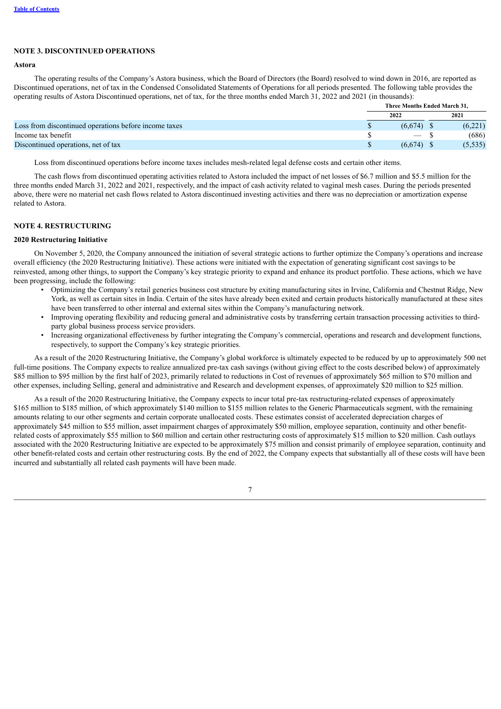## **NOTE 3. DISCONTINUED OPERATIONS**

#### **Astora**

The operating results of the Company's Astora business, which the Board of Directors (the Board) resolved to wind down in 2016, are reported as Discontinued operations, net of tax in the Condensed Consolidated Statements of Operations for all periods presented. The following table provides the operating results of Astora Discontinued operations, net of tax, for the three months ended March 31, 2022 and 2021 (in thousands):

|                                                       | Three Months Ended March 31. |  |          |  |
|-------------------------------------------------------|------------------------------|--|----------|--|
|                                                       | 2022                         |  | 2021     |  |
| Loss from discontinued operations before income taxes | (6.674)                      |  | (6,221)  |  |
| Income tax benefit                                    |                              |  | (686)    |  |
| Discontinued operations, net of tax                   | (6.674)                      |  | (5, 535) |  |

Loss from discontinued operations before income taxes includes mesh-related legal defense costs and certain other items.

The cash flows from discontinued operating activities related to Astora included the impact of net losses of \$6.7 million and \$5.5 million for the three months ended March 31, 2022 and 2021, respectively, and the impact of cash activity related to vaginal mesh cases. During the periods presented above, there were no material net cash flows related to Astora discontinued investing activities and there was no depreciation or amortization expense related to Astora.

# **NOTE 4. RESTRUCTURING**

#### **2020 Restructuring Initiative**

On November 5, 2020, the Company announced the initiation of several strategic actions to further optimize the Company's operations and increase overall efficiency (the 2020 Restructuring Initiative). These actions were initiated with the expectation of generating significant cost savings to be reinvested, among other things, to support the Company's key strategic priority to expand and enhance its product portfolio. These actions, which we have been progressing, include the following:

- Optimizing the Company's retail generics business cost structure by exiting manufacturing sites in Irvine, California and Chestnut Ridge, New York, as well as certain sites in India. Certain of the sites have already been exited and certain products historically manufactured at these sites have been transferred to other internal and external sites within the Company's manufacturing network.
- Improving operating flexibility and reducing general and administrative costs by transferring certain transaction processing activities to thirdparty global business process service providers.
- Increasing organizational effectiveness by further integrating the Company's commercial, operations and research and development functions, respectively, to support the Company's key strategic priorities.

As a result of the 2020 Restructuring Initiative, the Company's global workforce is ultimately expected to be reduced by up to approximately 500 net full-time positions. The Company expects to realize annualized pre-tax cash savings (without giving effect to the costs described below) of approximately \$85 million to \$95 million by the first half of 2023, primarily related to reductions in Cost of revenues of approximately \$65 million to \$70 million and other expenses, including Selling, general and administrative and Research and development expenses, of approximately \$20 million to \$25 million.

As a result of the 2020 Restructuring Initiative, the Company expects to incur total pre-tax restructuring-related expenses of approximately \$165 million to \$185 million, of which approximately \$140 million to \$155 million relates to the Generic Pharmaceuticals segment, with the remaining amounts relating to our other segments and certain corporate unallocated costs. These estimates consist of accelerated depreciation charges of approximately \$45 million to \$55 million, asset impairment charges of approximately \$50 million, employee separation, continuity and other benefitrelated costs of approximately \$55 million to \$60 million and certain other restructuring costs of approximately \$15 million to \$20 million. Cash outlays associated with the 2020 Restructuring Initiative are expected to be approximately \$75 million and consist primarily of employee separation, continuity and other benefit-related costs and certain other restructuring costs. By the end of 2022, the Company expects that substantially all of these costs will have been incurred and substantially all related cash payments will have been made.

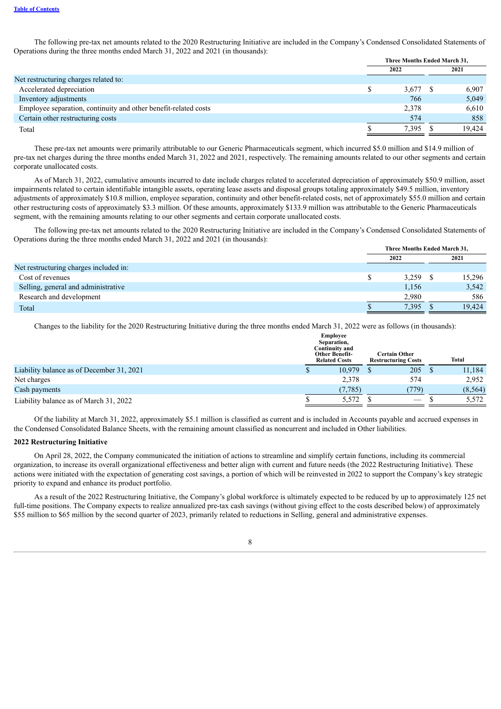The following pre-tax net amounts related to the 2020 Restructuring Initiative are included in the Company's Condensed Consolidated Statements of Operations during the three months ended March 31, 2022 and 2021 (in thousands):

|                                                                 | Three Months Ended March 31, |        |  |  |
|-----------------------------------------------------------------|------------------------------|--------|--|--|
|                                                                 | 2022                         | 2021   |  |  |
| Net restructuring charges related to:                           |                              |        |  |  |
| Accelerated depreciation                                        | \$<br>$3,677$ \$             | 6,907  |  |  |
| Inventory adjustments                                           | 766                          | 5,049  |  |  |
| Employee separation, continuity and other benefit-related costs | 2,378                        | 6,610  |  |  |
| Certain other restructuring costs                               | 574                          | 858    |  |  |
| Total                                                           | 7.395                        | 19.424 |  |  |
|                                                                 |                              |        |  |  |

These pre-tax net amounts were primarily attributable to our Generic Pharmaceuticals segment, which incurred \$5.0 million and \$14.9 million of pre-tax net charges during the three months ended March 31, 2022 and 2021, respectively. The remaining amounts related to our other segments and certain corporate unallocated costs.

As of March 31, 2022, cumulative amounts incurred to date include charges related to accelerated depreciation of approximately \$50.9 million, asset impairments related to certain identifiable intangible assets, operating lease assets and disposal groups totaling approximately \$49.5 million, inventory adjustments of approximately \$10.8 million, employee separation, continuity and other benefit-related costs, net of approximately \$55.0 million and certain other restructuring costs of approximately \$3.3 million. Of these amounts, approximately \$133.9 million was attributable to the Generic Pharmaceuticals segment, with the remaining amounts relating to our other segments and certain corporate unallocated costs.

The following pre-tax net amounts related to the 2020 Restructuring Initiative are included in the Company's Condensed Consolidated Statements of Operations during the three months ended March 31, 2022 and 2021 (in thousands):

|                                        |   | Three Months Ended March 31, |  |        |
|----------------------------------------|---|------------------------------|--|--------|
|                                        |   | 2022                         |  | 2021   |
| Net restructuring charges included in: |   |                              |  |        |
| Cost of revenues                       | S | 3,259                        |  | 15,296 |
| Selling, general and administrative    |   | 1,156                        |  | 3,542  |
| Research and development               |   | 2.980                        |  | 586    |
| Total                                  |   | 7.395                        |  | 19.424 |

Changes to the liability for the 2020 Restructuring Initiative during the three months ended March 31, 2022 were as follows (in thousands):

|                                           | Employee<br>Separation,<br><b>Continuity and</b><br><b>Other Benefit-</b><br><b>Related Costs</b> | <b>Certain Other</b><br><b>Restructuring Costs</b> | <b>Total</b> |
|-------------------------------------------|---------------------------------------------------------------------------------------------------|----------------------------------------------------|--------------|
| Liability balance as of December 31, 2021 | 10,979                                                                                            | 205                                                | 11,184       |
| Net charges                               | 2,378                                                                                             | 574                                                | 2,952        |
| Cash payments                             | (7, 785)                                                                                          | (779)                                              | (8, 564)     |
| Liability balance as of March 31, 2022    | 5,572                                                                                             | $\hspace{0.05cm}$                                  | 5,572        |

Of the liability at March 31, 2022, approximately \$5.1 million is classified as current and is included in Accounts payable and accrued expenses in the Condensed Consolidated Balance Sheets, with the remaining amount classified as noncurrent and included in Other liabilities.

### **2022 Restructuring Initiative**

On April 28, 2022, the Company communicated the initiation of actions to streamline and simplify certain functions, including its commercial organization, to increase its overall organizational effectiveness and better align with current and future needs (the 2022 Restructuring Initiative). These actions were initiated with the expectation of generating cost savings, a portion of which will be reinvested in 2022 to support the Company's key strategic priority to expand and enhance its product portfolio.

As a result of the 2022 Restructuring Initiative, the Company's global workforce is ultimately expected to be reduced by up to approximately 125 net full-time positions. The Company expects to realize annualized pre-tax cash savings (without giving effect to the costs described below) of approximately \$55 million to \$65 million by the second quarter of 2023, primarily related to reductions in Selling, general and administrative expenses.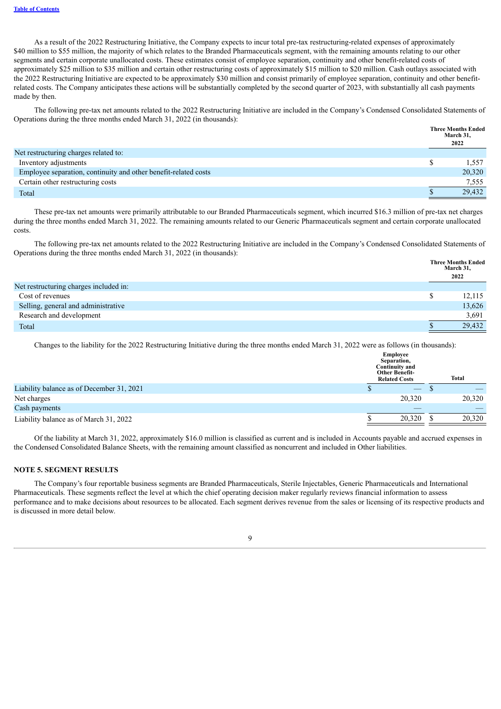As a result of the 2022 Restructuring Initiative, the Company expects to incur total pre-tax restructuring-related expenses of approximately \$40 million to \$55 million, the majority of which relates to the Branded Pharmaceuticals segment, with the remaining amounts relating to our other segments and certain corporate unallocated costs. These estimates consist of employee separation, continuity and other benefit-related costs of approximately \$25 million to \$35 million and certain other restructuring costs of approximately \$15 million to \$20 million. Cash outlays associated with the 2022 Restructuring Initiative are expected to be approximately \$30 million and consist primarily of employee separation, continuity and other benefitrelated costs. The Company anticipates these actions will be substantially completed by the second quarter of 2023, with substantially all cash payments made by then.

The following pre-tax net amounts related to the 2022 Restructuring Initiative are included in the Company's Condensed Consolidated Statements of Operations during the three months ended March 31, 2022 (in thousands):

|                                                                 | <b>Three Months Ended</b><br>March 31,<br>2022 |
|-----------------------------------------------------------------|------------------------------------------------|
| Net restructuring charges related to:                           |                                                |
| Inventory adjustments                                           | 1,557                                          |
| Employee separation, continuity and other benefit-related costs | 20,320                                         |
| Certain other restructuring costs                               | 7,555                                          |
| Total                                                           | 29,432                                         |

These pre-tax net amounts were primarily attributable to our Branded Pharmaceuticals segment, which incurred \$16.3 million of pre-tax net charges during the three months ended March 31, 2022. The remaining amounts related to our Generic Pharmaceuticals segment and certain corporate unallocated costs.

The following pre-tax net amounts related to the 2022 Restructuring Initiative are included in the Company's Condensed Consolidated Statements of Operations during the three months ended March 31, 2022 (in thousands):

|                                        | <b>Three Months Ended</b><br>March 31, |
|----------------------------------------|----------------------------------------|
|                                        | 2022                                   |
| Net restructuring charges included in: |                                        |
| Cost of revenues                       | 12,115                                 |
| Selling, general and administrative    | 13,626                                 |
| Research and development               | 3,691                                  |
| Total                                  | 29,432                                 |

Changes to the liability for the 2022 Restructuring Initiative during the three months ended March 31, 2022 were as follows (in thousands):

|                                           | <b>Employee</b><br>Separation,<br><b>Continuity and</b><br><b>Other Benefit-</b><br><b>Related Costs</b> |        |  |        |  |  |
|-------------------------------------------|----------------------------------------------------------------------------------------------------------|--------|--|--------|--|--|
| Liability balance as of December 31, 2021 |                                                                                                          |        |  |        |  |  |
| Net charges                               |                                                                                                          | 20,320 |  | 20,320 |  |  |
| Cash payments                             |                                                                                                          |        |  |        |  |  |
| Liability balance as of March 31, 2022    |                                                                                                          | 20,320 |  | 20,320 |  |  |

Of the liability at March 31, 2022, approximately \$16.0 million is classified as current and is included in Accounts payable and accrued expenses in the Condensed Consolidated Balance Sheets, with the remaining amount classified as noncurrent and included in Other liabilities.

### **NOTE 5. SEGMENT RESULTS**

The Company's four reportable business segments are Branded Pharmaceuticals, Sterile Injectables, Generic Pharmaceuticals and International Pharmaceuticals. These segments reflect the level at which the chief operating decision maker regularly reviews financial information to assess performance and to make decisions about resources to be allocated. Each segment derives revenue from the sales or licensing of its respective products and is discussed in more detail below.

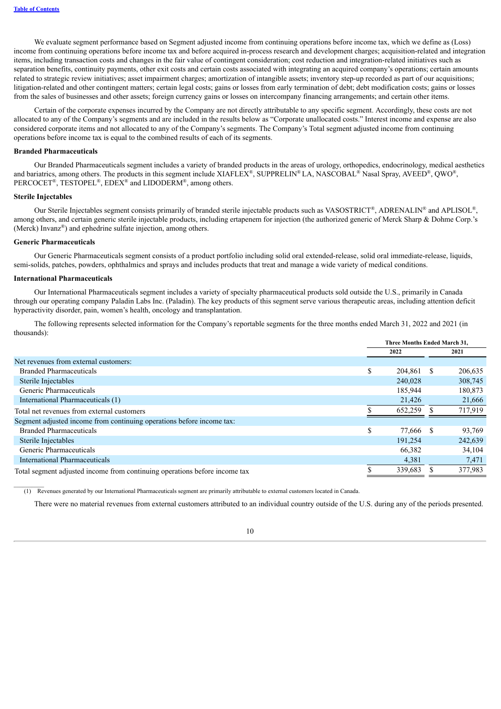We evaluate segment performance based on Segment adjusted income from continuing operations before income tax, which we define as (Loss) income from continuing operations before income tax and before acquired in-process research and development charges; acquisition-related and integration items, including transaction costs and changes in the fair value of contingent consideration; cost reduction and integration-related initiatives such as separation benefits, continuity payments, other exit costs and certain costs associated with integrating an acquired company's operations; certain amounts related to strategic review initiatives; asset impairment charges; amortization of intangible assets; inventory step-up recorded as part of our acquisitions; litigation-related and other contingent matters; certain legal costs; gains or losses from early termination of debt; debt modification costs; gains or losses from the sales of businesses and other assets; foreign currency gains or losses on intercompany financing arrangements; and certain other items.

Certain of the corporate expenses incurred by the Company are not directly attributable to any specific segment. Accordingly, these costs are not allocated to any of the Company's segments and are included in the results below as "Corporate unallocated costs." Interest income and expense are also considered corporate items and not allocated to any of the Company's segments. The Company's Total segment adjusted income from continuing operations before income tax is equal to the combined results of each of its segments.

#### **Branded Pharmaceuticals**

Our Branded Pharmaceuticals segment includes a variety of branded products in the areas of urology, orthopedics, endocrinology, medical aesthetics and bariatrics, among others. The products in this segment include XIAFLEX<sup>®</sup>, SUPPRELIN<sup>®</sup> LA, NASCOBAL<sup>®</sup> Nasal Spray, AVEED<sup>®</sup>, QWO<sup>®</sup>,  $PERCOCEPT^{\circ}$ , TESTOPEL<sup>®</sup>, EDEX<sup>®</sup> and LIDODERM<sup>®</sup>, among others.

#### **Sterile Injectables**

 $\frac{1}{2}$ 

Our Sterile Injectables segment consists primarily of branded sterile injectable products such as VASOSTRICT®, ADRENALIN® and APLISOL®, among others, and certain generic sterile injectable products, including ertapenem for injection (the authorized generic of Merck Sharp & Dohme Corp.'s  $(Merck) Invanz<sup>®</sup>$ ) and ephedrine sulfate injection, among others.

#### **Generic Pharmaceuticals**

Our Generic Pharmaceuticals segment consists of a product portfolio including solid oral extended-release, solid oral immediate-release, liquids, semi-solids, patches, powders, ophthalmics and sprays and includes products that treat and manage a wide variety of medical conditions.

#### **International Pharmaceuticals**

Our International Pharmaceuticals segment includes a variety of specialty pharmaceutical products sold outside the U.S., primarily in Canada through our operating company Paladin Labs Inc. (Paladin). The key products of this segment serve various therapeutic areas, including attention deficit hyperactivity disorder, pain, women's health, oncology and transplantation.

The following represents selected information for the Company's reportable segments for the three months ended March 31, 2022 and 2021 (in thousands):

|                                                                            | Three Months Ended March 31, |           |              |         |
|----------------------------------------------------------------------------|------------------------------|-----------|--------------|---------|
|                                                                            |                              | 2022      |              | 2021    |
| Net revenues from external customers:                                      |                              |           |              |         |
| <b>Branded Pharmaceuticals</b>                                             | \$                           | 204,861   | <sup>S</sup> | 206,635 |
| Sterile Injectables                                                        |                              | 240,028   |              | 308,745 |
| Generic Pharmaceuticals                                                    |                              | 185,944   |              | 180,873 |
| International Pharmaceuticals (1)                                          |                              | 21,426    |              | 21,666  |
| Total net revenues from external customers                                 |                              | 652,259   |              | 717,919 |
| Segment adjusted income from continuing operations before income tax:      |                              |           |              |         |
| <b>Branded Pharmaceuticals</b>                                             | \$                           | 77,666 \$ |              | 93,769  |
| Sterile Injectables                                                        |                              | 191.254   |              | 242,639 |
| Generic Pharmaceuticals                                                    |                              | 66,382    |              | 34,104  |
| International Pharmaceuticals                                              |                              | 4,381     |              | 7,471   |
| Total segment adjusted income from continuing operations before income tax |                              | 339,683   |              | 377,983 |

(1) Revenues generated by our International Pharmaceuticals segment are primarily attributable to external customers located in Canada.

There were no material revenues from external customers attributed to an individual country outside of the U.S. during any of the periods presented.

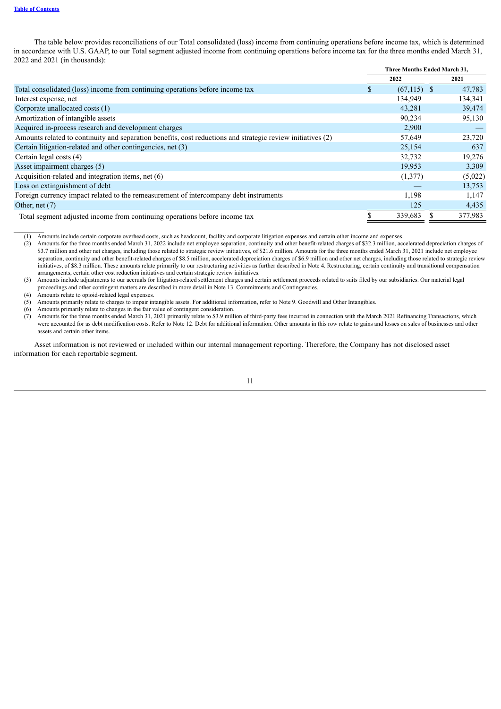$\mathcal{L}_\text{max}$ 

The table below provides reconciliations of our Total consolidated (loss) income from continuing operations before income tax, which is determined in accordance with U.S. GAAP, to our Total segment adjusted income from continuing operations before income tax for the three months ended March 31, 2022 and 2021 (in thousands):

|                                                                                                             | Three Months Ended March 31, |               |  |         |
|-------------------------------------------------------------------------------------------------------------|------------------------------|---------------|--|---------|
|                                                                                                             |                              | 2022          |  | 2021    |
| Total consolidated (loss) income from continuing operations before income tax                               | S.                           | $(67,115)$ \$ |  | 47,783  |
| Interest expense, net                                                                                       |                              | 134,949       |  | 134,341 |
| Corporate unallocated costs (1)                                                                             |                              | 43,281        |  | 39,474  |
| Amortization of intangible assets                                                                           |                              | 90,234        |  | 95,130  |
| Acquired in-process research and development charges                                                        |                              | 2,900         |  |         |
| Amounts related to continuity and separation benefits, cost reductions and strategic review initiatives (2) |                              | 57,649        |  | 23,720  |
| Certain litigation-related and other contingencies, net (3)                                                 |                              | 25,154        |  | 637     |
| Certain legal costs (4)                                                                                     |                              | 32,732        |  | 19,276  |
| Asset impairment charges (5)                                                                                |                              | 19,953        |  | 3,309   |
| Acquisition-related and integration items, net (6)                                                          |                              | (1,377)       |  | (5,022) |
| Loss on extinguishment of debt                                                                              |                              |               |  | 13,753  |
| Foreign currency impact related to the remeasurement of intercompany debt instruments                       |                              | 1,198         |  | 1,147   |
| Other, net $(7)$                                                                                            |                              | 125           |  | 4,435   |
| Total segment adjusted income from continuing operations before income tax                                  |                              | 339,683       |  | 377,983 |

(1) Amounts include certain corporate overhead costs, such as headcount, facility and corporate litigation expenses and certain other income and expenses.

(2) Amounts for the three months ended March 31, 2022 include net employee separation, continuity and other benefit-related charges of \$32.3 million, accelerated depreciation charges of \$3.7 million and other net charges, including those related to strategic review initiatives, of \$21.6 million. Amounts for the three months ended March 31, 2021 include net employee separation, continuity and other benefit-related charges of \$8.5 million, accelerated depreciation charges of \$6.9 million and other net charges, including those related to strategic review initiatives, of \$8.3 million. These amounts relate primarily to our restructuring activities as further described in Note 4. Restructuring, certain continuity and transitional compensation arrangements, certain other cost reduction initiatives and certain strategic review initiatives.

(3) Amounts include adjustments to our accruals for litigation-related settlement charges and certain settlement proceeds related to suits filed by our subsidiaries. Our material legal proceedings and other contingent matters are described in more detail in Note 13. Commitments and Contingencies.

(4) Amounts relate to opioid-related legal expenses.

(5) Amounts primarily relate to charges to impair intangible assets. For additional information, refer to Note 9. Goodwill and Other Intangibles.

(6) Amounts primarily relate to changes in the fair value of contingent consideration.

(7) Amounts for the three months ended March 31, 2021 primarily relate to \$3.9 million of third-party fees incurred in connection with the March 2021 Refinancing Transactions, which were accounted for as debt modification costs. Refer to Note 12. Debt for additional information. Other amounts in this row relate to gains and losses on sales of businesses and other assets and certain other items.

Asset information is not reviewed or included within our internal management reporting. Therefore, the Company has not disclosed asset information for each reportable segment.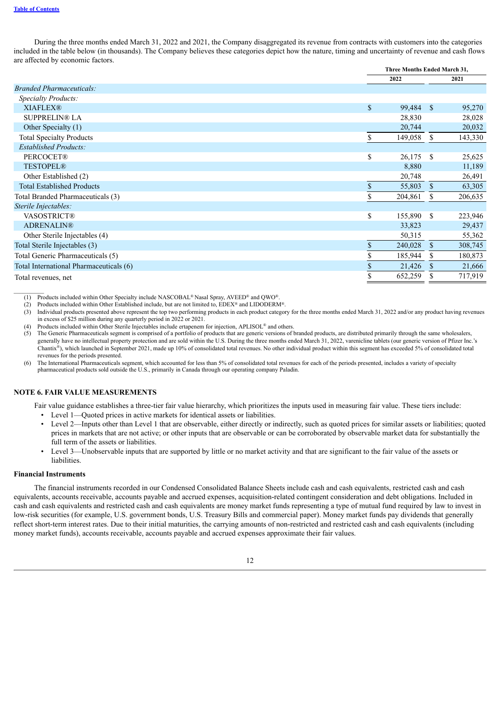During the three months ended March 31, 2022 and 2021, the Company disaggregated its revenue from contracts with customers into the categories included in the table below (in thousands). The Company believes these categories depict how the nature, timing and uncertainty of revenue and cash flows are affected by economic factors.

|                                         | <b>Three Months Ended March 31.</b> |              |         |
|-----------------------------------------|-------------------------------------|--------------|---------|
|                                         | 2022                                |              | 2021    |
| <b>Branded Pharmaceuticals:</b>         |                                     |              |         |
| Specialty Products:                     |                                     |              |         |
| <b>XIAFLEX®</b>                         | \$<br>99,484 \$                     |              | 95,270  |
| <b>SUPPRELIN® LA</b>                    | 28,830                              |              | 28,028  |
| Other Specialty (1)                     | 20,744                              |              | 20,032  |
| <b>Total Specialty Products</b>         | \$<br>149,058                       | \$           | 143,330 |
| Established Products:                   |                                     |              |         |
| PERCOCET®                               | \$<br>26,175                        | - \$         | 25,625  |
| <b>TESTOPEL®</b>                        | 8,880                               |              | 11,189  |
| Other Established (2)                   | 20,748                              |              | 26,491  |
| <b>Total Established Products</b>       | \$<br>55,803                        | $\mathbb{S}$ | 63,305  |
| Total Branded Pharmaceuticals (3)       | \$<br>204,861                       | S.           | 206,635 |
| Sterile Injectables:                    |                                     |              |         |
| <b>VASOSTRICT®</b>                      | \$<br>155,890 \$                    |              | 223,946 |
| <b>ADRENALIN®</b>                       | 33,823                              |              | 29,437  |
| Other Sterile Injectables (4)           | 50,315                              |              | 55,362  |
| Total Sterile Injectables (3)           | \$<br>240,028                       | $\mathbb{S}$ | 308,745 |
| Total Generic Pharmaceuticals (5)       | \$<br>185,944                       | S.           | 180,873 |
| Total International Pharmaceuticals (6) | \$<br>21,426                        | S.           | 21,666  |
| Total revenues, net                     | \$<br>652,259                       | \$           | 717,919 |

(1) Products included within Other Specialty include NASCOBAL<sup>®</sup> Nasal Spray, AVEED<sup>®</sup> and QWO<sup>®</sup>.

(2) Products included within Other Established include, but are not limited to,  $EDEX^{\otimes}$  and LIDODERM<sup>®</sup>.

(3) Individual products presented above represent the top two performing products in each product category for the three months ended March 31, 2022 and/or any product having revenues in excess of \$25 million during any quarterly period in 2022 or 2021.

(4) Products included within Other Sterile Injectables include ertapenem for injection, APLISOL® and others.

(5) The Generic Pharmaceuticals segment is comprised of a portfolio of products that are generic versions of branded products, are distributed primarily through the same wholesalers, generally have no intellectual property protection and are sold within the U.S. During the three months ended March 31, 2022, varenicline tablets (our generic version of Pfizer Inc.'s Chantix®), which launched in September 2021, made up 10% of consolidated total revenues. No other individual product within this segment has exceeded 5% of consolidated total revenues for the periods presented.

(6) The International Pharmaceuticals segment, which accounted for less than 5% of consolidated total revenues for each of the periods presented, includes a variety of specialty pharmaceutical products sold outside the U.S., primarily in Canada through our operating company Paladin.

### **NOTE 6. FAIR VALUE MEASUREMENTS**

Fair value guidance establishes a three-tier fair value hierarchy, which prioritizes the inputs used in measuring fair value. These tiers include:

- Level 1—Quoted prices in active markets for identical assets or liabilities.
- Level 2—Inputs other than Level 1 that are observable, either directly or indirectly, such as quoted prices for similar assets or liabilities; quoted prices in markets that are not active; or other inputs that are observable or can be corroborated by observable market data for substantially the full term of the assets or liabilities.
- Level 3—Unobservable inputs that are supported by little or no market activity and that are significant to the fair value of the assets or liabilities.

#### **Financial Instruments**

 $\frac{1}{2}$ 

The financial instruments recorded in our Condensed Consolidated Balance Sheets include cash and cash equivalents, restricted cash and cash equivalents, accounts receivable, accounts payable and accrued expenses, acquisition-related contingent consideration and debt obligations. Included in cash and cash equivalents and restricted cash and cash equivalents are money market funds representing a type of mutual fund required by law to invest in low-risk securities (for example, U.S. government bonds, U.S. Treasury Bills and commercial paper). Money market funds pay dividends that generally reflect short-term interest rates. Due to their initial maturities, the carrying amounts of non-restricted and restricted cash and cash equivalents (including money market funds), accounts receivable, accounts payable and accrued expenses approximate their fair values.

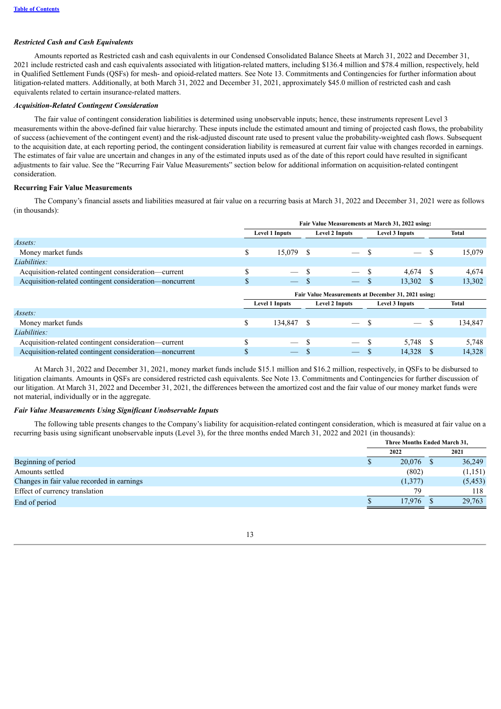#### *Restricted Cash and Cash Equivalents*

Amounts reported as Restricted cash and cash equivalents in our Condensed Consolidated Balance Sheets at March 31, 2022 and December 31, 2021 include restricted cash and cash equivalents associated with litigation-related matters, including \$136.4 million and \$78.4 million, respectively, held in Qualified Settlement Funds (QSFs) for mesh- and opioid-related matters. See Note 13. Commitments and Contingencies for further information about litigation-related matters. Additionally, at both March 31, 2022 and December 31, 2021, approximately \$45.0 million of restricted cash and cash equivalents related to certain insurance-related matters.

#### *Acquisition-Related Contingent Consideration*

The fair value of contingent consideration liabilities is determined using unobservable inputs; hence, these instruments represent Level 3 measurements within the above-defined fair value hierarchy. These inputs include the estimated amount and timing of projected cash flows, the probability of success (achievement of the contingent event) and the risk-adjusted discount rate used to present value the probability-weighted cash flows. Subsequent to the acquisition date, at each reporting period, the contingent consideration liability is remeasured at current fair value with changes recorded in earnings. The estimates of fair value are uncertain and changes in any of the estimated inputs used as of the date of this report could have resulted in significant adjustments to fair value. See the "Recurring Fair Value Measurements" section below for additional information on acquisition-related contingent consideration.

#### **Recurring Fair Value Measurements**

The Company's financial assets and liabilities measured at fair value on a recurring basis at March 31, 2022 and December 31, 2021 were as follows (in thousands):

|                                                         |     | Fair Value Measurements at March 31, 2022 using:    |      |                          |                |                |               |              |
|---------------------------------------------------------|-----|-----------------------------------------------------|------|--------------------------|----------------|----------------|---------------|--------------|
|                                                         |     | Level 1 Inputs                                      |      | <b>Level 2 Inputs</b>    |                | Level 3 Inputs |               | <b>Total</b> |
| Assets:                                                 |     |                                                     |      |                          |                |                |               |              |
| Money market funds                                      | аĐ. | 15,079                                              | - \$ |                          | \$             |                | S             | 15,079       |
| Liabilities:                                            |     |                                                     |      |                          |                |                |               |              |
| Acquisition-related contingent consideration—current    |     |                                                     |      |                          |                | 4.674          | <sup>\$</sup> | 4,674        |
| Acquisition-related contingent consideration—noncurrent | аĐ. |                                                     | -\$  | $\overline{\phantom{m}}$ | S              | 13,302         | <sup>S</sup>  | 13,302       |
|                                                         |     | Fair Value Measurements at December 31, 2021 using: |      |                          |                |                |               |              |
|                                                         |     | <b>Level 1 Inputs</b><br><b>Level 2 Inputs</b>      |      |                          | Level 3 Inputs |                |               | Total        |
| Assets:                                                 |     |                                                     |      |                          |                |                |               |              |
| Money market funds                                      | \$  | 134,847                                             | - S  |                          |                |                | <sup>\$</sup> | 134,847      |
| Liabilities:                                            |     |                                                     |      |                          |                |                |               |              |
| Acquisition-related contingent consideration-current    |     |                                                     | -S   |                          | \$             | 5,748          | -S            | 5,748        |
| Acquisition-related contingent consideration—noncurrent |     | $\overline{\phantom{0}}$                            |      |                          |                | 14,328         |               | 14.328       |

At March 31, 2022 and December 31, 2021, money market funds include \$15.1 million and \$16.2 million, respectively, in QSFs to be disbursed to litigation claimants. Amounts in QSFs are considered restricted cash equivalents. See Note 13. Commitments and Contingencies for further discussion of our litigation. At March 31, 2022 and December 31, 2021, the differences between the amortized cost and the fair value of our money market funds were not material, individually or in the aggregate.

### *Fair Value Measurements Using Significant Unobservable Inputs*

The following table presents changes to the Company's liability for acquisition-related contingent consideration, which is measured at fair value on a recurring basis using significant unobservable inputs (Level 3), for the three months ended March 31, 2022 and 2021 (in thousands):

| Three Months Ended March 31. |         |  |          |  |
|------------------------------|---------|--|----------|--|
|                              | 2022    |  | 2021     |  |
|                              | 20,076  |  | 36,249   |  |
|                              | (802)   |  | (1,151)  |  |
|                              | (1,377) |  | (5, 453) |  |
|                              | 79      |  | 118      |  |
|                              | 17.976  |  | 29,763   |  |
|                              |         |  |          |  |

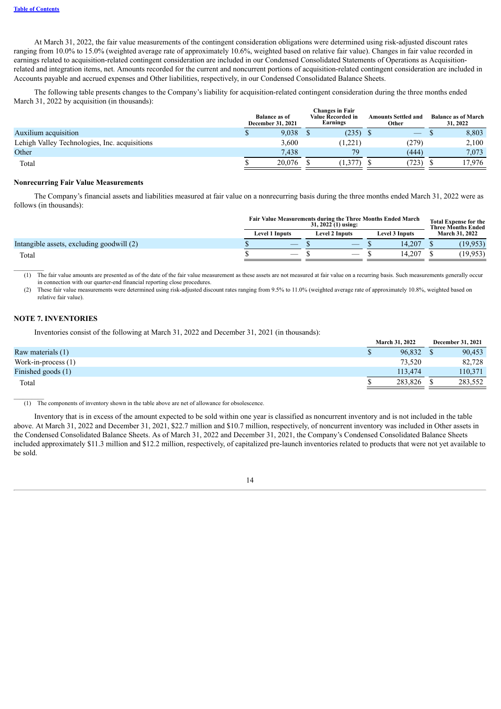At March 31, 2022, the fair value measurements of the contingent consideration obligations were determined using risk-adjusted discount rates ranging from 10.0% to 15.0% (weighted average rate of approximately 10.6%, weighted based on relative fair value). Changes in fair value recorded in earnings related to acquisition-related contingent consideration are included in our Condensed Consolidated Statements of Operations as Acquisitionrelated and integration items, net. Amounts recorded for the current and noncurrent portions of acquisition-related contingent consideration are included in Accounts payable and accrued expenses and Other liabilities, respectively, in our Condensed Consolidated Balance Sheets.

The following table presents changes to the Company's liability for acquisition-related contingent consideration during the three months ended March 31, 2022 by acquisition (in thousands):

|                                               | <b>Balance as of</b><br>December 31, 2021 |        | <b>Changes in Fair</b><br>Value Recorded in<br>Earnings |         | <b>Amounts Settled and</b><br>Other | <b>Balance as of March</b><br>31, 2022 |
|-----------------------------------------------|-------------------------------------------|--------|---------------------------------------------------------|---------|-------------------------------------|----------------------------------------|
| Auxilium acquisition                          |                                           | 9,038  |                                                         | (235)   |                                     | 8,803                                  |
| Lehigh Valley Technologies, Inc. acquisitions |                                           | 3,600  |                                                         | (1,221) | (279)                               | 2,100                                  |
| Other                                         |                                           | 7.438  |                                                         | 79      | (444)                               | 7.073                                  |
| Total                                         |                                           | 20.076 |                                                         |         | (723)                               | 17,976                                 |

#### **Nonrecurring Fair Value Measurements**

The Company's financial assets and liabilities measured at fair value on a nonrecurring basis during the three months ended March 31, 2022 were as follows (in thousands):

|                                           | Fair Value Measurements during the Three Months Ended March<br>$31, 2022(1)$ using: |                       |                       |  |                       |        | <b>Total Expense for the</b><br><b>Three Months Ended</b> |           |
|-------------------------------------------|-------------------------------------------------------------------------------------|-----------------------|-----------------------|--|-----------------------|--------|-----------------------------------------------------------|-----------|
|                                           |                                                                                     | <b>Level 1 Inputs</b> | <b>Level 2 Inputs</b> |  | <b>Level 3 Inputs</b> |        | <b>March 31, 2022</b>                                     |           |
| Intangible assets, excluding goodwill (2) |                                                                                     |                       |                       |  |                       | 14.207 |                                                           | (19, 953) |
| Total                                     |                                                                                     |                       |                       |  |                       | 4.207  |                                                           | 19,953)   |

(1) The fair value amounts are presented as of the date of the fair value measurement as these assets are not measured at fair value on a recurring basis. Such measurements generally occur in connection with our quarter-end financial reporting close procedures.

(2) These fair value measurements were determined using risk-adjusted discount rates ranging from 9.5% to 11.0% (weighted average rate of approximately 10.8%, weighted based on relative fair value).

### **NOTE 7. INVENTORIES**

 $\frac{1}{2}$ 

Inventories consist of the following at March 31, 2022 and December 31, 2021 (in thousands):

|                       | - March 31, 2022 |  | December 31, 2021 |
|-----------------------|------------------|--|-------------------|
| Raw materials (1)     | 96.832           |  | 90,453            |
| Work-in-process $(1)$ | 73,520           |  | 82,728            |
| Finished goods $(1)$  | 113.474          |  | 110.371           |
| Total                 | 283.826          |  | 283,552           |

**March 31, 2022 December 31, 2021**

 $\overline{(1)}$  The components of inventory shown in the table above are net of allowance for obsolescence.

Inventory that is in excess of the amount expected to be sold within one year is classified as noncurrent inventory and is not included in the table above. At March 31, 2022 and December 31, 2021, \$22.7 million and \$10.7 million, respectively, of noncurrent inventory was included in Other assets in the Condensed Consolidated Balance Sheets. As of March 31, 2022 and December 31, 2021, the Company's Condensed Consolidated Balance Sheets included approximately \$11.3 million and \$12.2 million, respectively, of capitalized pre-launch inventories related to products that were not yet available to be sold.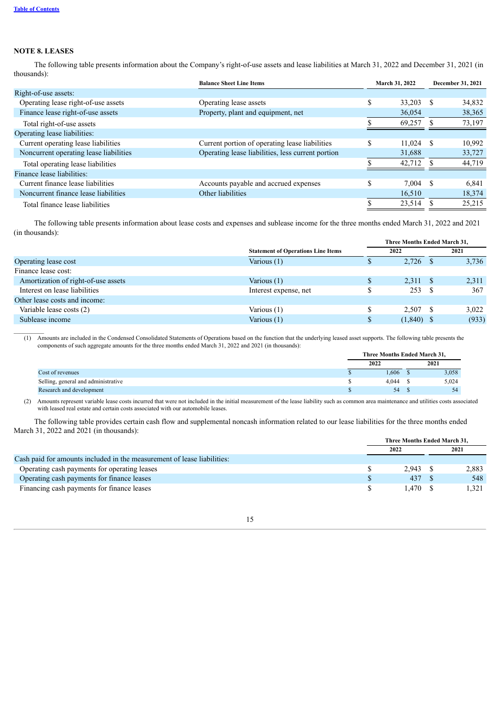# **NOTE 8. LEASES**

 $\mathcal{L}_\text{max}$ 

The following table presents information about the Company's right-of-use assets and lease liabilities at March 31, 2022 and December 31, 2021 (in thousands):

| <b>Balance Sheet Line Items</b>                   | March 31, 2022 |        |    |        |  | December 31, 2021 |
|---------------------------------------------------|----------------|--------|----|--------|--|-------------------|
|                                                   |                |        |    |        |  |                   |
| Operating lease assets                            | \$             | 33,203 | S  | 34,832 |  |                   |
| Property, plant and equipment, net                |                | 36,054 |    | 38,365 |  |                   |
|                                                   |                | 69,257 |    | 73,197 |  |                   |
|                                                   |                |        |    |        |  |                   |
| Current portion of operating lease liabilities    | S              | 11.024 | S  | 10,992 |  |                   |
| Operating lease liabilities, less current portion |                | 31,688 |    | 33,727 |  |                   |
|                                                   |                | 42,712 |    | 44,719 |  |                   |
|                                                   |                |        |    |        |  |                   |
| Accounts payable and accrued expenses             | S              | 7.004  | -S | 6.841  |  |                   |
| Other liabilities                                 |                | 16,510 |    | 18,374 |  |                   |
|                                                   |                | 23,514 |    | 25,215 |  |                   |
|                                                   |                |        |    |        |  |                   |

The following table presents information about lease costs and expenses and sublease income for the three months ended March 31, 2022 and 2021 (in thousands):

|                                     |                                           | Three Months Ended March 31, |              |  |       |  |  |
|-------------------------------------|-------------------------------------------|------------------------------|--------------|--|-------|--|--|
|                                     | <b>Statement of Operations Line Items</b> |                              | 2022         |  | 2021  |  |  |
| Operating lease cost                | Various (1)                               | D                            | 2,726        |  | 3,736 |  |  |
| Finance lease cost:                 |                                           |                              |              |  |       |  |  |
| Amortization of right-of-use assets | Various (1)                               |                              | 2,311 \$     |  | 2,311 |  |  |
| Interest on lease liabilities       | Interest expense, net                     | S                            | 253          |  | 367   |  |  |
| Other lease costs and income:       |                                           |                              |              |  |       |  |  |
| Variable lease costs (2)            | Various (1)                               |                              | 2.507 S      |  | 3,022 |  |  |
| Sublease income                     | Various (1)                               | S                            | $(1,840)$ \$ |  | (933) |  |  |
|                                     |                                           |                              |              |  |       |  |  |

(1) Amounts are included in the Condensed Consolidated Statements of Operations based on the function that the underlying leased asset supports. The following table presents the components of such aggregate amounts for the three months ended March 31, 2022 and 2021 (in thousands):

|                                     | Three Months Ended March 31. |  |       |  |  |
|-------------------------------------|------------------------------|--|-------|--|--|
|                                     | 2022                         |  | 2021  |  |  |
| Cost of revenues                    | 1,606                        |  | 3,058 |  |  |
| Selling, general and administrative | 4.044                        |  | 5,024 |  |  |
| Research and development            | 54                           |  | 54    |  |  |

(2) Amounts represent variable lease costs incurred that were not included in the initial measurement of the lease liability such as common area maintenance and utilities costs associated with leased real estate and certain costs associated with our automobile leases.

The following table provides certain cash flow and supplemental noncash information related to our lease liabilities for the three months ended March 31, 2022 and 2021 (in thousands):

|                                                                         | Three Months Ended March 31, |  |       |  |
|-------------------------------------------------------------------------|------------------------------|--|-------|--|
|                                                                         | 2022                         |  | 2021  |  |
| Cash paid for amounts included in the measurement of lease liabilities: |                              |  |       |  |
| Operating cash payments for operating leases                            | 2.943 S                      |  | 2.883 |  |
| Operating cash payments for finance leases                              | 437 \$                       |  | 548   |  |
| Financing cash payments for finance leases                              | .470                         |  | 1.321 |  |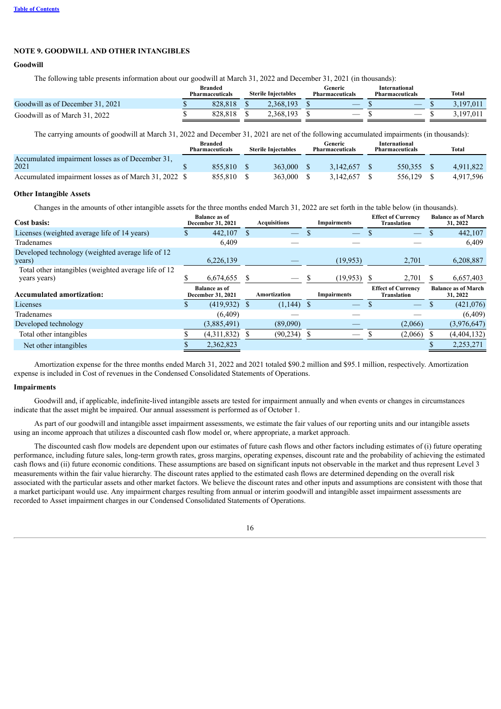# **NOTE 9. GOODWILL AND OTHER INTANGIBLES**

# **Goodwill**

The following table presents information about our goodwill at March 31, 2022 and December 31, 2021 (in thousands):

|                                  | <b>Branded</b><br><b>Pharmaceuticals</b> | <b>Sterile Injectables</b> | <b>Generic</b><br><b>Pharmaceuticals</b> | International<br><b>Pharmaceuticals</b> |                   | Total |           |
|----------------------------------|------------------------------------------|----------------------------|------------------------------------------|-----------------------------------------|-------------------|-------|-----------|
| Goodwill as of December 31, 2021 | 828.818                                  | 2.368.193                  |                                          |                                         |                   |       | 3,197,011 |
| Goodwill as of March 31, 2022    | 828.818                                  | 2.368.193                  | $\hspace{0.05cm}$                        |                                         | $\hspace{0.05cm}$ |       | 3.197.011 |
|                                  |                                          |                            |                                          |                                         |                   |       |           |

# The carrying amounts of goodwill at March 31, 2022 and December 31, 2021 are net of the following accumulated impairments (in thousands):

|                                                          | <b>Branded</b><br><b>Pharmaceuticals</b> | <b>Sterile Injectables</b> | Generic<br><b>Pharmaceuticals</b> |           | International<br><b>Pharmaceuticals</b> |         | Total |           |
|----------------------------------------------------------|------------------------------------------|----------------------------|-----------------------------------|-----------|-----------------------------------------|---------|-------|-----------|
| Accumulated impairment losses as of December 31.<br>2021 | 855.810                                  | 363,000                    |                                   | 3.142.657 |                                         | 550.355 |       | 4.911.822 |
| Accumulated impairment losses as of March 31, 2022 \$    | 855.810                                  | 363,000                    |                                   | 3.142.657 |                                         | 556.129 |       | 4.917.596 |

# **Other Intangible Assets**

Changes in the amounts of other intangible assets for the three months ended March 31, 2022 are set forth in the table below (in thousands).

| Cost basis:                                          |                                           | <b>Balance as of</b><br>December 31, 2021 |                     | <b>Acquisitions</b>      |                    | <b>Impairments</b> |                                                 | <b>Effect of Currency</b><br><b>Translation</b> |                                        | <b>Balance as of March</b><br>31, 2022 |
|------------------------------------------------------|-------------------------------------------|-------------------------------------------|---------------------|--------------------------|--------------------|--------------------|-------------------------------------------------|-------------------------------------------------|----------------------------------------|----------------------------------------|
| Licenses (weighted average life of 14 years)         |                                           | 442,107                                   |                     | $\overline{\phantom{0}}$ |                    |                    |                                                 |                                                 |                                        | 442,107                                |
| Tradenames                                           |                                           | 6,409                                     |                     |                          |                    |                    |                                                 |                                                 |                                        | 6,409                                  |
| Developed technology (weighted average life of 12    |                                           |                                           |                     |                          |                    |                    |                                                 |                                                 |                                        |                                        |
| years)                                               |                                           | 6,226,139                                 |                     |                          |                    | (19, 953)          |                                                 | 2,701                                           |                                        | 6,208,887                              |
| Total other intangibles (weighted average life of 12 |                                           |                                           |                     |                          |                    |                    |                                                 |                                                 |                                        |                                        |
| years years)                                         |                                           | 6,674,655                                 |                     |                          |                    | (19, 953)          |                                                 | 2,701                                           | S                                      | 6,657,403                              |
| <b>Accumulated amortization:</b>                     | <b>Balance as of</b><br>December 31, 2021 |                                           | <b>Amortization</b> |                          | <b>Impairments</b> |                    | <b>Effect of Currency</b><br><b>Translation</b> |                                                 | <b>Balance as of March</b><br>31, 2022 |                                        |
|                                                      |                                           |                                           |                     |                          |                    |                    |                                                 |                                                 |                                        |                                        |
| Licenses                                             |                                           | (419, 932)                                |                     | $(1,144)$ \$             |                    |                    |                                                 |                                                 |                                        | (421,076)                              |
| Tradenames                                           |                                           | (6, 409)                                  |                     |                          |                    |                    |                                                 |                                                 |                                        | (6,409)                                |
| Developed technology                                 |                                           | (3,885,491)                               |                     | (89,090)                 |                    |                    |                                                 | (2,066)                                         |                                        | (3,976,647)                            |
| Total other intangibles                              |                                           | (4,311,832)                               |                     | $(90, 234)$ \$           |                    |                    |                                                 | (2,066)                                         |                                        | (4,404,132)                            |
| Net other intangibles                                |                                           | 2,362,823                                 |                     |                          |                    |                    |                                                 |                                                 |                                        | 2,253,271                              |

Amortization expense for the three months ended March 31, 2022 and 2021 totaled \$90.2 million and \$95.1 million, respectively. Amortization expense is included in Cost of revenues in the Condensed Consolidated Statements of Operations.

### **Impairments**

Goodwill and, if applicable, indefinite-lived intangible assets are tested for impairment annually and when events or changes in circumstances indicate that the asset might be impaired. Our annual assessment is performed as of October 1.

As part of our goodwill and intangible asset impairment assessments, we estimate the fair values of our reporting units and our intangible assets using an income approach that utilizes a discounted cash flow model or, where appropriate, a market approach.

The discounted cash flow models are dependent upon our estimates of future cash flows and other factors including estimates of (i) future operating performance, including future sales, long-term growth rates, gross margins, operating expenses, discount rate and the probability of achieving the estimated cash flows and (ii) future economic conditions. These assumptions are based on significant inputs not observable in the market and thus represent Level 3 measurements within the fair value hierarchy. The discount rates applied to the estimated cash flows are determined depending on the overall risk associated with the particular assets and other market factors. We believe the discount rates and other inputs and assumptions are consistent with those that a market participant would use. Any impairment charges resulting from annual or interim goodwill and intangible asset impairment assessments are recorded to Asset impairment charges in our Condensed Consolidated Statements of Operations.

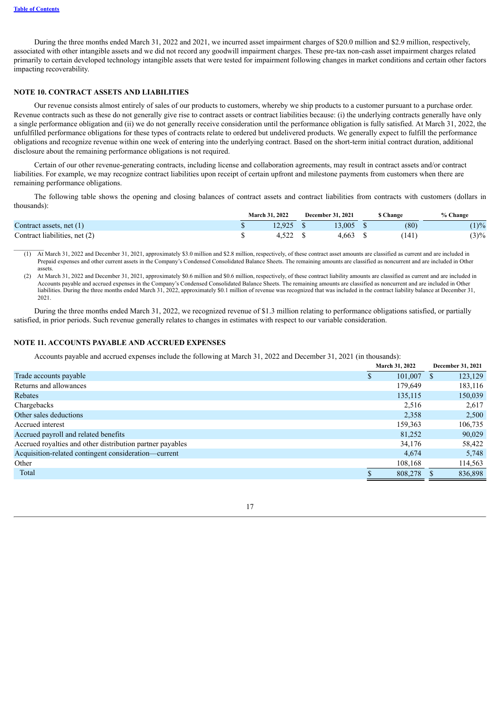During the three months ended March 31, 2022 and 2021, we incurred asset impairment charges of \$20.0 million and \$2.9 million, respectively, associated with other intangible assets and we did not record any goodwill impairment charges. These pre-tax non-cash asset impairment charges related primarily to certain developed technology intangible assets that were tested for impairment following changes in market conditions and certain other factors impacting recoverability.

### **NOTE 10. CONTRACT ASSETS AND LIABILITIES**

Our revenue consists almost entirely of sales of our products to customers, whereby we ship products to a customer pursuant to a purchase order. Revenue contracts such as these do not generally give rise to contract assets or contract liabilities because: (i) the underlying contracts generally have only a single performance obligation and (ii) we do not generally receive consideration until the performance obligation is fully satisfied. At March 31, 2022, the unfulfilled performance obligations for these types of contracts relate to ordered but undelivered products. We generally expect to fulfill the performance obligations and recognize revenue within one week of entering into the underlying contract. Based on the short-term initial contract duration, additional disclosure about the remaining performance obligations is not required.

Certain of our other revenue-generating contracts, including license and collaboration agreements, may result in contract assets and/or contract liabilities. For example, we may recognize contract liabilities upon receipt of certain upfront and milestone payments from customers when there are remaining performance obligations.

The following table shows the opening and closing balances of contract assets and contract liabilities from contracts with customers (dollars in thousands):

|                               | March 31, 2022 | <b>December 31, 2021</b> | <b>S Change</b>    | % Change |  |
|-------------------------------|----------------|--------------------------|--------------------|----------|--|
| Contract assets, net $(1)$    | 12.925         | 13.005                   | (80                | (1)%     |  |
| Contract liabilities, net (2) |                | 4,663                    | $\left[141\right]$ | $(3)\%$  |  |

 $\frac{1}{2}$ (1) At March 31, 2022 and December 31, 2021, approximately \$3.0 million and \$2.8 million, respectively, of these contract asset amounts are classified as current and are included in Prepaid expenses and other current assets in the Company's Condensed Consolidated Balance Sheets. The remaining amounts are classified as noncurrent and are included in Other assets.

(2) At March 31, 2022 and December 31, 2021, approximately \$0.6 million and \$0.6 million, respectively, of these contract liability amounts are classified as current and are included in Accounts payable and accrued expenses in the Company's Condensed Consolidated Balance Sheets. The remaining amounts are classified as noncurrent and are included in Other liabilities. During the three months ended March 31, 2022, approximately \$0.1 million of revenue was recognized that was included in the contract liability balance at December 31, 2021.

During the three months ended March 31, 2022, we recognized revenue of \$1.3 million relating to performance obligations satisfied, or partially satisfied, in prior periods. Such revenue generally relates to changes in estimates with respect to our variable consideration.

#### **NOTE 11. ACCOUNTS PAYABLE AND ACCRUED EXPENSES**

Accounts payable and accrued expenses include the following at March 31, 2022 and December 31, 2021 (in thousands):

|                                                           |   | March 31, 2022 |               | December 31, 2021 |
|-----------------------------------------------------------|---|----------------|---------------|-------------------|
| Trade accounts payable                                    | S | 101,007        | <sup>\$</sup> | 123,129           |
| Returns and allowances                                    |   | 179,649        |               | 183,116           |
| Rebates                                                   |   | 135,115        |               | 150,039           |
| Chargebacks                                               |   | 2,516          |               | 2,617             |
| Other sales deductions                                    |   | 2,358          |               | 2,500             |
| Accrued interest                                          |   | 159,363        |               | 106,735           |
| Accrued payroll and related benefits                      |   | 81.252         |               | 90,029            |
| Accrued royalties and other distribution partner payables |   | 34,176         |               | 58,422            |
| Acquisition-related contingent consideration—current      |   | 4.674          |               | 5,748             |
| Other                                                     |   | 108,168        |               | 114,563           |
| Total                                                     |   | 808,278        |               | 836,898           |
|                                                           |   |                |               |                   |

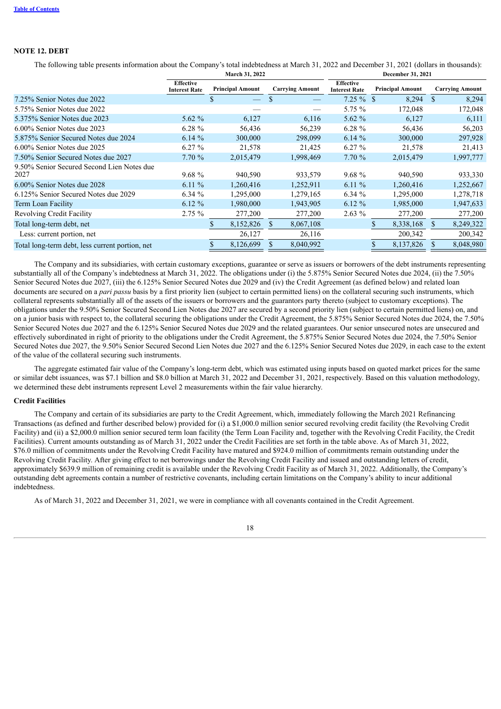# **NOTE 12. DEBT**

The following table presents information about the Company's total indebtedness at March 31, 2022 and December 31, 2021 (dollars in thousands): **March 31, 2022 December 31, 2021**

|                                                    |                                          |   | <b>MARILIE JA, 2022</b>  |                        | December 91, 2021                        |  |                         |               |                        |
|----------------------------------------------------|------------------------------------------|---|--------------------------|------------------------|------------------------------------------|--|-------------------------|---------------|------------------------|
|                                                    | <b>Effective</b><br><b>Interest Rate</b> |   | <b>Principal Amount</b>  | <b>Carrying Amount</b> | <b>Effective</b><br><b>Interest Rate</b> |  | <b>Principal Amount</b> |               | <b>Carrying Amount</b> |
| 7.25% Senior Notes due 2022                        |                                          | S | $\overline{\phantom{0}}$ |                        | $7.25 \%$ \$                             |  | 8,294                   | <sup>\$</sup> | 8,294                  |
| 5.75% Senior Notes due 2022                        |                                          |   |                          |                        | 5.75 %                                   |  | 172,048                 |               | 172,048                |
| 5.375% Senior Notes due 2023                       | 5.62 $%$                                 |   | 6,127                    | 6,116                  | $5.62\%$                                 |  | 6,127                   |               | 6,111                  |
| 6.00% Senior Notes due 2023                        | $6.28 \%$                                |   | 56,436                   | 56,239                 | $6.28 \%$                                |  | 56,436                  |               | 56,203                 |
| 5.875% Senior Secured Notes due 2024               | 6.14%                                    |   | 300,000                  | 298,099                | 6.14%                                    |  | 300,000                 |               | 297,928                |
| 6.00% Senior Notes due 2025                        | $6.27\%$                                 |   | 21,578                   | 21,425                 | 6.27%                                    |  | 21,578                  |               | 21,413                 |
| 7.50% Senior Secured Notes due 2027                | 7.70%                                    |   | 2,015,479                | 1,998,469              | 7.70%                                    |  | 2,015,479               |               | 1,997,777              |
| 9.50% Senior Secured Second Lien Notes due<br>2027 | 9.68%                                    |   | 940,590                  | 933,579                | 9.68%                                    |  | 940,590                 |               | 933,330                |
| 6.00% Senior Notes due 2028                        | 6.11%                                    |   | 1,260,416                | 1,252,911              | 6.11%                                    |  | 1,260,416               |               | 1,252,667              |
| 6.125% Senior Secured Notes due 2029               | 6.34%                                    |   | 1,295,000                | 1,279,165              | 6.34%                                    |  | 1,295,000               |               | 1,278,718              |
| Term Loan Facility                                 | 6.12 $%$                                 |   | 1,980,000                | 1,943,905              | $6.12\%$                                 |  | 1,985,000               |               | 1,947,633              |
| Revolving Credit Facility                          | 2.75%                                    |   | 277,200                  | 277,200                | $2.63\%$                                 |  | 277,200                 |               | 277,200                |
| Total long-term debt, net                          |                                          |   | 8,152,826                | 8,067,108              |                                          |  | 8,338,168               | \$.           | 8,249,322              |
| Less: current portion, net                         |                                          |   | 26,127                   | 26,116                 |                                          |  | 200,342                 |               | 200,342                |
| Total long-term debt, less current portion, net    |                                          |   | 8,126,699                | 8,040,992              |                                          |  | 8,137,826               |               | 8,048,980              |
|                                                    |                                          |   |                          |                        |                                          |  |                         |               |                        |

The Company and its subsidiaries, with certain customary exceptions, guarantee or serve as issuers or borrowers of the debt instruments representing substantially all of the Company's indebtedness at March 31, 2022. The obligations under (i) the 5.875% Senior Secured Notes due 2024, (ii) the 7.50% Senior Secured Notes due 2027, (iii) the 6.125% Senior Secured Notes due 2029 and (iv) the Credit Agreement (as defined below) and related loan documents are secured on a *pari passu* basis by a first priority lien (subject to certain permitted liens) on the collateral securing such instruments, which collateral represents substantially all of the assets of the issuers or borrowers and the guarantors party thereto (subject to customary exceptions). The obligations under the 9.50% Senior Secured Second Lien Notes due 2027 are secured by a second priority lien (subject to certain permitted liens) on, and on a junior basis with respect to, the collateral securing the obligations under the Credit Agreement, the 5.875% Senior Secured Notes due 2024, the 7.50% Senior Secured Notes due 2027 and the 6.125% Senior Secured Notes due 2029 and the related guarantees. Our senior unsecured notes are unsecured and effectively subordinated in right of priority to the obligations under the Credit Agreement, the 5.875% Senior Secured Notes due 2024, the 7.50% Senior Secured Notes due 2027, the 9.50% Senior Secured Second Lien Notes due 2027 and the 6.125% Senior Secured Notes due 2029, in each case to the extent of the value of the collateral securing such instruments.

The aggregate estimated fair value of the Company's long-term debt, which was estimated using inputs based on quoted market prices for the same or similar debt issuances, was \$7.1 billion and \$8.0 billion at March 31, 2022 and December 31, 2021, respectively. Based on this valuation methodology, we determined these debt instruments represent Level 2 measurements within the fair value hierarchy.

### **Credit Facilities**

The Company and certain of its subsidiaries are party to the Credit Agreement, which, immediately following the March 2021 Refinancing Transactions (as defined and further described below) provided for (i) a \$1,000.0 million senior secured revolving credit facility (the Revolving Credit Facility) and (ii) a \$2,000.0 million senior secured term loan facility (the Term Loan Facility and, together with the Revolving Credit Facility, the Credit Facilities). Current amounts outstanding as of March 31, 2022 under the Credit Facilities are set forth in the table above. As of March 31, 2022, \$76.0 million of commitments under the Revolving Credit Facility have matured and \$924.0 million of commitments remain outstanding under the Revolving Credit Facility. After giving effect to net borrowings under the Revolving Credit Facility and issued and outstanding letters of credit, approximately \$639.9 million of remaining credit is available under the Revolving Credit Facility as of March 31, 2022. Additionally, the Company's outstanding debt agreements contain a number of restrictive covenants, including certain limitations on the Company's ability to incur additional indebtedness.

As of March 31, 2022 and December 31, 2021, we were in compliance with all covenants contained in the Credit Agreement.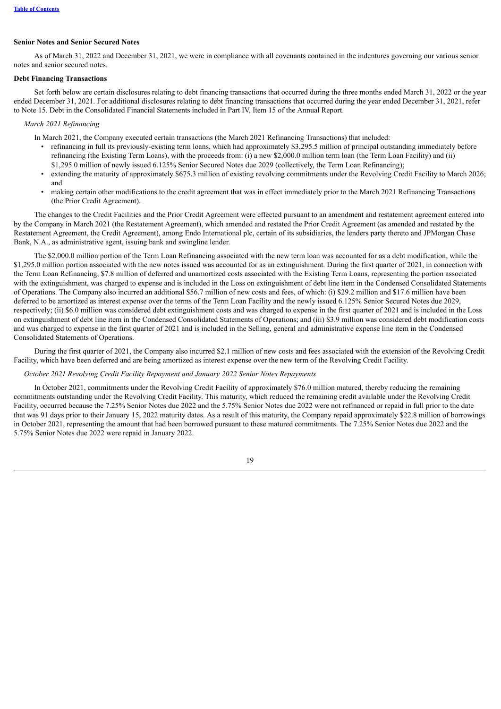### **Senior Notes and Senior Secured Notes**

As of March 31, 2022 and December 31, 2021, we were in compliance with all covenants contained in the indentures governing our various senior notes and senior secured notes.

### **Debt Financing Transactions**

Set forth below are certain disclosures relating to debt financing transactions that occurred during the three months ended March 31, 2022 or the year ended December 31, 2021. For additional disclosures relating to debt financing transactions that occurred during the year ended December 31, 2021, refer to Note 15. Debt in the Consolidated Financial Statements included in Part IV, Item 15 of the Annual Report.

### *March 2021 Refinancing*

In March 2021, the Company executed certain transactions (the March 2021 Refinancing Transactions) that included:

- refinancing in full its previously-existing term loans, which had approximately \$3,295.5 million of principal outstanding immediately before refinancing (the Existing Term Loans), with the proceeds from: (i) a new \$2,000.0 million term loan (the Term Loan Facility) and (ii) \$1,295.0 million of newly issued 6.125% Senior Secured Notes due 2029 (collectively, the Term Loan Refinancing);
- extending the maturity of approximately \$675.3 million of existing revolving commitments under the Revolving Credit Facility to March 2026; and
- making certain other modifications to the credit agreement that was in effect immediately prior to the March 2021 Refinancing Transactions (the Prior Credit Agreement).

The changes to the Credit Facilities and the Prior Credit Agreement were effected pursuant to an amendment and restatement agreement entered into by the Company in March 2021 (the Restatement Agreement), which amended and restated the Prior Credit Agreement (as amended and restated by the Restatement Agreement, the Credit Agreement), among Endo International plc, certain of its subsidiaries, the lenders party thereto and JPMorgan Chase Bank, N.A., as administrative agent, issuing bank and swingline lender.

The \$2,000.0 million portion of the Term Loan Refinancing associated with the new term loan was accounted for as a debt modification, while the \$1,295.0 million portion associated with the new notes issued was accounted for as an extinguishment. During the first quarter of 2021, in connection with the Term Loan Refinancing, \$7.8 million of deferred and unamortized costs associated with the Existing Term Loans, representing the portion associated with the extinguishment, was charged to expense and is included in the Loss on extinguishment of debt line item in the Condensed Consolidated Statements of Operations. The Company also incurred an additional \$56.7 million of new costs and fees, of which: (i) \$29.2 million and \$17.6 million have been deferred to be amortized as interest expense over the terms of the Term Loan Facility and the newly issued 6.125% Senior Secured Notes due 2029, respectively; (ii) \$6.0 million was considered debt extinguishment costs and was charged to expense in the first quarter of 2021 and is included in the Loss on extinguishment of debt line item in the Condensed Consolidated Statements of Operations; and (iii) \$3.9 million was considered debt modification costs and was charged to expense in the first quarter of 2021 and is included in the Selling, general and administrative expense line item in the Condensed Consolidated Statements of Operations.

During the first quarter of 2021, the Company also incurred \$2.1 million of new costs and fees associated with the extension of the Revolving Credit Facility, which have been deferred and are being amortized as interest expense over the new term of the Revolving Credit Facility.

# *October 2021 Revolving Credit Facility Repayment and January 2022 Senior Notes Repayments*

In October 2021, commitments under the Revolving Credit Facility of approximately \$76.0 million matured, thereby reducing the remaining commitments outstanding under the Revolving Credit Facility. This maturity, which reduced the remaining credit available under the Revolving Credit Facility, occurred because the 7.25% Senior Notes due 2022 and the 5.75% Senior Notes due 2022 were not refinanced or repaid in full prior to the date that was 91 days prior to their January 15, 2022 maturity dates. As a result of this maturity, the Company repaid approximately \$22.8 million of borrowings in October 2021, representing the amount that had been borrowed pursuant to these matured commitments. The 7.25% Senior Notes due 2022 and the 5.75% Senior Notes due 2022 were repaid in January 2022.

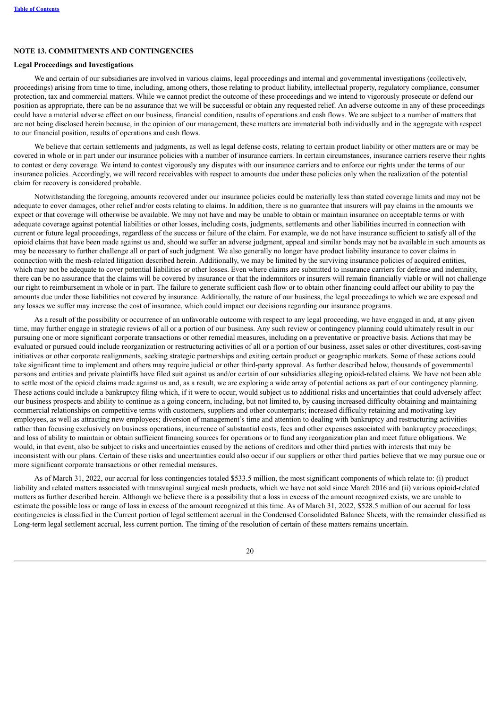# **NOTE 13. COMMITMENTS AND CONTINGENCIES**

#### **Legal Proceedings and Investigations**

We and certain of our subsidiaries are involved in various claims, legal proceedings and internal and governmental investigations (collectively, proceedings) arising from time to time, including, among others, those relating to product liability, intellectual property, regulatory compliance, consumer protection, tax and commercial matters. While we cannot predict the outcome of these proceedings and we intend to vigorously prosecute or defend our position as appropriate, there can be no assurance that we will be successful or obtain any requested relief. An adverse outcome in any of these proceedings could have a material adverse effect on our business, financial condition, results of operations and cash flows. We are subject to a number of matters that are not being disclosed herein because, in the opinion of our management, these matters are immaterial both individually and in the aggregate with respect to our financial position, results of operations and cash flows.

We believe that certain settlements and judgments, as well as legal defense costs, relating to certain product liability or other matters are or may be covered in whole or in part under our insurance policies with a number of insurance carriers. In certain circumstances, insurance carriers reserve their rights to contest or deny coverage. We intend to contest vigorously any disputes with our insurance carriers and to enforce our rights under the terms of our insurance policies. Accordingly, we will record receivables with respect to amounts due under these policies only when the realization of the potential claim for recovery is considered probable.

Notwithstanding the foregoing, amounts recovered under our insurance policies could be materially less than stated coverage limits and may not be adequate to cover damages, other relief and/or costs relating to claims. In addition, there is no guarantee that insurers will pay claims in the amounts we expect or that coverage will otherwise be available. We may not have and may be unable to obtain or maintain insurance on acceptable terms or with adequate coverage against potential liabilities or other losses, including costs, judgments, settlements and other liabilities incurred in connection with current or future legal proceedings, regardless of the success or failure of the claim. For example, we do not have insurance sufficient to satisfy all of the opioid claims that have been made against us and, should we suffer an adverse judgment, appeal and similar bonds may not be available in such amounts as may be necessary to further challenge all or part of such judgment. We also generally no longer have product liability insurance to cover claims in connection with the mesh-related litigation described herein. Additionally, we may be limited by the surviving insurance policies of acquired entities, which may not be adequate to cover potential liabilities or other losses. Even where claims are submitted to insurance carriers for defense and indemnity, there can be no assurance that the claims will be covered by insurance or that the indemnitors or insurers will remain financially viable or will not challenge our right to reimbursement in whole or in part. The failure to generate sufficient cash flow or to obtain other financing could affect our ability to pay the amounts due under those liabilities not covered by insurance. Additionally, the nature of our business, the legal proceedings to which we are exposed and any losses we suffer may increase the cost of insurance, which could impact our decisions regarding our insurance programs.

As a result of the possibility or occurrence of an unfavorable outcome with respect to any legal proceeding, we have engaged in and, at any given time, may further engage in strategic reviews of all or a portion of our business. Any such review or contingency planning could ultimately result in our pursuing one or more significant corporate transactions or other remedial measures, including on a preventative or proactive basis. Actions that may be evaluated or pursued could include reorganization or restructuring activities of all or a portion of our business, asset sales or other divestitures, cost-saving initiatives or other corporate realignments, seeking strategic partnerships and exiting certain product or geographic markets. Some of these actions could take significant time to implement and others may require judicial or other third-party approval. As further described below, thousands of governmental persons and entities and private plaintiffs have filed suit against us and/or certain of our subsidiaries alleging opioid-related claims. We have not been able to settle most of the opioid claims made against us and, as a result, we are exploring a wide array of potential actions as part of our contingency planning. These actions could include a bankruptcy filing which, if it were to occur, would subject us to additional risks and uncertainties that could adversely affect our business prospects and ability to continue as a going concern, including, but not limited to, by causing increased difficulty obtaining and maintaining commercial relationships on competitive terms with customers, suppliers and other counterparts; increased difficulty retaining and motivating key employees, as well as attracting new employees; diversion of management's time and attention to dealing with bankruptcy and restructuring activities rather than focusing exclusively on business operations; incurrence of substantial costs, fees and other expenses associated with bankruptcy proceedings; and loss of ability to maintain or obtain sufficient financing sources for operations or to fund any reorganization plan and meet future obligations. We would, in that event, also be subject to risks and uncertainties caused by the actions of creditors and other third parties with interests that may be inconsistent with our plans. Certain of these risks and uncertainties could also occur if our suppliers or other third parties believe that we may pursue one or more significant corporate transactions or other remedial measures.

As of March 31, 2022, our accrual for loss contingencies totaled \$533.5 million, the most significant components of which relate to: (i) product liability and related matters associated with transvaginal surgical mesh products, which we have not sold since March 2016 and (ii) various opioid-related matters as further described herein. Although we believe there is a possibility that a loss in excess of the amount recognized exists, we are unable to estimate the possible loss or range of loss in excess of the amount recognized at this time. As of March 31, 2022, \$528.5 million of our accrual for loss contingencies is classified in the Current portion of legal settlement accrual in the Condensed Consolidated Balance Sheets, with the remainder classified as Long-term legal settlement accrual, less current portion. The timing of the resolution of certain of these matters remains uncertain.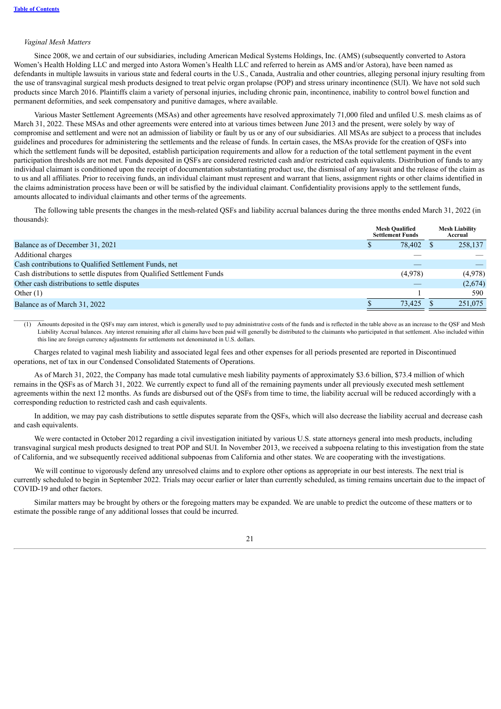$\mathcal{L}_\text{max}$ 

#### *Vaginal Mesh Matters*

Since 2008, we and certain of our subsidiaries, including American Medical Systems Holdings, Inc. (AMS) (subsequently converted to Astora Women's Health Holding LLC and merged into Astora Women's Health LLC and referred to herein as AMS and/or Astora), have been named as defendants in multiple lawsuits in various state and federal courts in the U.S., Canada, Australia and other countries, alleging personal injury resulting from the use of transvaginal surgical mesh products designed to treat pelvic organ prolapse (POP) and stress urinary incontinence (SUI). We have not sold such products since March 2016. Plaintiffs claim a variety of personal injuries, including chronic pain, incontinence, inability to control bowel function and permanent deformities, and seek compensatory and punitive damages, where available.

Various Master Settlement Agreements (MSAs) and other agreements have resolved approximately 71,000 filed and unfiled U.S. mesh claims as of March 31, 2022. These MSAs and other agreements were entered into at various times between June 2013 and the present, were solely by way of compromise and settlement and were not an admission of liability or fault by us or any of our subsidiaries. All MSAs are subject to a process that includes guidelines and procedures for administering the settlements and the release of funds. In certain cases, the MSAs provide for the creation of QSFs into which the settlement funds will be deposited, establish participation requirements and allow for a reduction of the total settlement payment in the event participation thresholds are not met. Funds deposited in QSFs are considered restricted cash and/or restricted cash equivalents. Distribution of funds to any individual claimant is conditioned upon the receipt of documentation substantiating product use, the dismissal of any lawsuit and the release of the claim as to us and all affiliates. Prior to receiving funds, an individual claimant must represent and warrant that liens, assignment rights or other claims identified in the claims administration process have been or will be satisfied by the individual claimant. Confidentiality provisions apply to the settlement funds, amounts allocated to individual claimants and other terms of the agreements.

The following table presents the changes in the mesh-related QSFs and liability accrual balances during the three months ended March 31, 2022 (in thousands):

|                                                                       | <b>Mesh Qualified</b><br><b>Settlement Funds</b> | <b>Mesh Liability</b><br>Accrual |
|-----------------------------------------------------------------------|--------------------------------------------------|----------------------------------|
| Balance as of December 31, 2021                                       | 78,402                                           | 258,137                          |
| Additional charges                                                    |                                                  |                                  |
| Cash contributions to Qualified Settlement Funds, net                 |                                                  |                                  |
| Cash distributions to settle disputes from Qualified Settlement Funds | (4,978)                                          | (4,978)                          |
| Other cash distributions to settle disputes                           |                                                  | (2,674)                          |
| Other $(1)$                                                           |                                                  | 590                              |
| Balance as of March 31, 2022                                          | 73.425                                           | 251,075                          |

(1) Amounts deposited in the QSFs may earn interest, which is generally used to pay administrative costs of the funds and is reflected in the table above as an increase to the QSF and Mesh Liability Accrual balances. Any interest remaining after all claims have been paid will generally be distributed to the claimants who participated in that settlement. Also included within this line are foreign currency adjustments for settlements not denominated in U.S. dollars.

Charges related to vaginal mesh liability and associated legal fees and other expenses for all periods presented are reported in Discontinued operations, net of tax in our Condensed Consolidated Statements of Operations.

As of March 31, 2022, the Company has made total cumulative mesh liability payments of approximately \$3.6 billion, \$73.4 million of which remains in the QSFs as of March 31, 2022. We currently expect to fund all of the remaining payments under all previously executed mesh settlement agreements within the next 12 months. As funds are disbursed out of the QSFs from time to time, the liability accrual will be reduced accordingly with a corresponding reduction to restricted cash and cash equivalents.

In addition, we may pay cash distributions to settle disputes separate from the QSFs, which will also decrease the liability accrual and decrease cash and cash equivalents.

We were contacted in October 2012 regarding a civil investigation initiated by various U.S. state attorneys general into mesh products, including transvaginal surgical mesh products designed to treat POP and SUI. In November 2013, we received a subpoena relating to this investigation from the state of California, and we subsequently received additional subpoenas from California and other states. We are cooperating with the investigations.

We will continue to vigorously defend any unresolved claims and to explore other options as appropriate in our best interests. The next trial is currently scheduled to begin in September 2022. Trials may occur earlier or later than currently scheduled, as timing remains uncertain due to the impact of COVID-19 and other factors.

Similar matters may be brought by others or the foregoing matters may be expanded. We are unable to predict the outcome of these matters or to estimate the possible range of any additional losses that could be incurred.

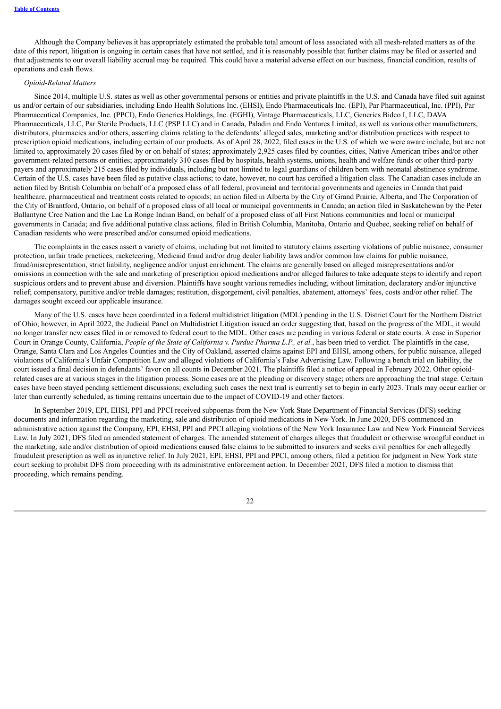Although the Company believes it has appropriately estimated the probable total amount of loss associated with all mesh-related matters as of the date of this report, litigation is ongoing in certain cases that have not settled, and it is reasonably possible that further claims may be filed or asserted and that adjustments to our overall liability accrual may be required. This could have a material adverse effect on our business, financial condition, results of operations and cash flows.

### *Opioid-Related Matters*

Since 2014, multiple U.S. states as well as other governmental persons or entities and private plaintiffs in the U.S. and Canada have filed suit against us and/or certain of our subsidiaries, including Endo Health Solutions Inc. (EHSI), Endo Pharmaceuticals Inc. (EPI), Par Pharmaceutical, Inc. (PPI), Par Pharmaceutical Companies, Inc. (PPCI), Endo Generics Holdings, Inc. (EGHI), Vintage Pharmaceuticals, LLC, Generics Bidco I, LLC, DAVA Pharmaceuticals, LLC, Par Sterile Products, LLC (PSP LLC) and in Canada, Paladin and Endo Ventures Limited, as well as various other manufacturers, distributors, pharmacies and/or others, asserting claims relating to the defendants' alleged sales, marketing and/or distribution practices with respect to prescription opioid medications, including certain of our products. As of April 28, 2022, filed cases in the U.S. of which we were aware include, but are not limited to, approximately 20 cases filed by or on behalf of states; approximately 2,925 cases filed by counties, cities, Native American tribes and/or other government-related persons or entities; approximately 310 cases filed by hospitals, health systems, unions, health and welfare funds or other third-party payers and approximately 215 cases filed by individuals, including but not limited to legal guardians of children born with neonatal abstinence syndrome. Certain of the U.S. cases have been filed as putative class actions; to date, however, no court has certified a litigation class. The Canadian cases include an action filed by British Columbia on behalf of a proposed class of all federal, provincial and territorial governments and agencies in Canada that paid healthcare, pharmaceutical and treatment costs related to opioids; an action filed in Alberta by the City of Grand Prairie, Alberta, and The Corporation of the City of Brantford, Ontario, on behalf of a proposed class of all local or municipal governments in Canada; an action filed in Saskatchewan by the Peter Ballantyne Cree Nation and the Lac La Ronge Indian Band, on behalf of a proposed class of all First Nations communities and local or municipal governments in Canada; and five additional putative class actions, filed in British Columbia, Manitoba, Ontario and Quebec, seeking relief on behalf of Canadian residents who were prescribed and/or consumed opioid medications.

The complaints in the cases assert a variety of claims, including but not limited to statutory claims asserting violations of public nuisance, consumer protection, unfair trade practices, racketeering, Medicaid fraud and/or drug dealer liability laws and/or common law claims for public nuisance, fraud/misrepresentation, strict liability, negligence and/or unjust enrichment. The claims are generally based on alleged misrepresentations and/or omissions in connection with the sale and marketing of prescription opioid medications and/or alleged failures to take adequate steps to identify and report suspicious orders and to prevent abuse and diversion. Plaintiffs have sought various remedies including, without limitation, declaratory and/or injunctive relief; compensatory, punitive and/or treble damages; restitution, disgorgement, civil penalties, abatement, attorneys' fees, costs and/or other relief. The damages sought exceed our applicable insurance.

Many of the U.S. cases have been coordinated in a federal multidistrict litigation (MDL) pending in the U.S. District Court for the Northern District of Ohio; however, in April 2022, the Judicial Panel on Multidistrict Litigation issued an order suggesting that, based on the progress of the MDL, it would no longer transfer new cases filed in or removed to federal court to the MDL. Other cases are pending in various federal or state courts. A case in Superior Court in Orange County, California, People of the State of California v. Purdue Pharma L.P., et al., has been tried to verdict. The plaintiffs in the case, Orange, Santa Clara and Los Angeles Counties and the City of Oakland, asserted claims against EPI and EHSI, among others, for public nuisance, alleged violations of California's Unfair Competition Law and alleged violations of California's False Advertising Law. Following a bench trial on liability, the court issued a final decision in defendants' favor on all counts in December 2021. The plaintiffs filed a notice of appeal in February 2022. Other opioidrelated cases are at various stages in the litigation process. Some cases are at the pleading or discovery stage; others are approaching the trial stage. Certain cases have been stayed pending settlement discussions; excluding such cases the next trial is currently set to begin in early 2023. Trials may occur earlier or later than currently scheduled, as timing remains uncertain due to the impact of COVID-19 and other factors.

In September 2019, EPI, EHSI, PPI and PPCI received subpoenas from the New York State Department of Financial Services (DFS) seeking documents and information regarding the marketing, sale and distribution of opioid medications in New York. In June 2020, DFS commenced an administrative action against the Company, EPI, EHSI, PPI and PPCI alleging violations of the New York Insurance Law and New York Financial Services Law. In July 2021, DFS filed an amended statement of charges. The amended statement of charges alleges that fraudulent or otherwise wrongful conduct in the marketing, sale and/or distribution of opioid medications caused false claims to be submitted to insurers and seeks civil penalties for each allegedly fraudulent prescription as well as injunctive relief. In July 2021, EPI, EHSI, PPI and PPCI, among others, filed a petition for judgment in New York state court seeking to prohibit DFS from proceeding with its administrative enforcement action. In December 2021, DFS filed a motion to dismiss that proceeding, which remains pending.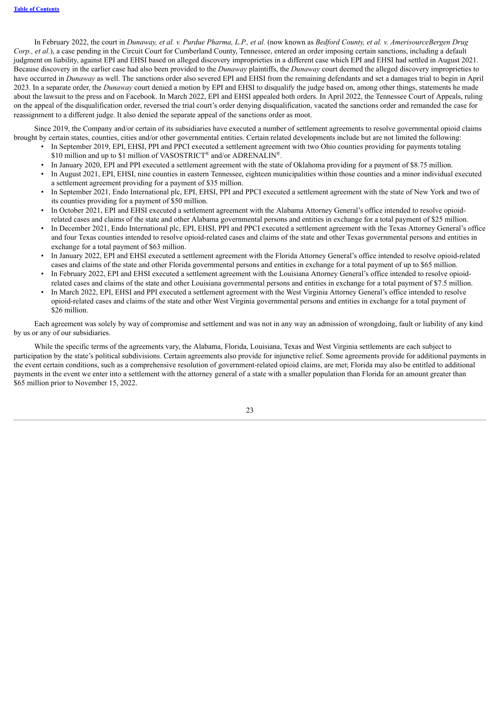In February 2022, the court in Dunaway, et al. v. Purdue Pharma, L.P., et al. (now known as Bedford County, et al. v. AmerisourceBergen Drug *Corp., et al.*), a case pending in the Circuit Court for Cumberland County, Tennessee, entered an order imposing certain sanctions, including a default judgment on liability, against EPI and EHSI based on alleged discovery improprieties in a different case which EPI and EHSI had settled in August 2021. Because discovery in the earlier case had also been provided to the *Dunaway* plaintiffs, the *Dunaway* court deemed the alleged discovery improprieties to have occurred in *Dunaway* as well. The sanctions order also severed EPI and EHSI from the remaining defendants and set a damages trial to begin in April 2023. In a separate order, the *Dunaway* court denied a motion by EPI and EHSI to disqualify the judge based on, among other things, statements he made about the lawsuit to the press and on Facebook. In March 2022, EPI and EHSI appealed both orders. In April 2022, the Tennessee Court of Appeals, ruling on the appeal of the disqualification order, reversed the trial court's order denying disqualification, vacated the sanctions order and remanded the case for reassignment to a different judge. It also denied the separate appeal of the sanctions order as moot.

Since 2019, the Company and/or certain of its subsidiaries have executed a number of settlement agreements to resolve governmental opioid claims brought by certain states, counties, cities and/or other governmental entities. Certain related developments include but are not limited the following:

- In September 2019, EPI, EHSI, PPI and PPCI executed a settlement agreement with two Ohio counties providing for payments totaling \$10 million and up to \$1 million of VASOSTRICT® and/or ADRENALIN®.
- In January 2020, EPI and PPI executed a settlement agreement with the state of Oklahoma providing for a payment of \$8.75 million.
- In August 2021, EPI, EHSI, nine counties in eastern Tennessee, eighteen municipalities within those counties and a minor individual executed a settlement agreement providing for a payment of \$35 million.
- In September 2021, Endo International plc, EPI, EHSI, PPI and PPCI executed a settlement agreement with the state of New York and two of its counties providing for a payment of \$50 million.
- In October 2021, EPI and EHSI executed a settlement agreement with the Alabama Attorney General's office intended to resolve opioidrelated cases and claims of the state and other Alabama governmental persons and entities in exchange for a total payment of \$25 million.
- In December 2021, Endo International plc, EPI, EHSI, PPI and PPCI executed a settlement agreement with the Texas Attorney General's office and four Texas counties intended to resolve opioid-related cases and claims of the state and other Texas governmental persons and entities in exchange for a total payment of \$63 million.
- In January 2022, EPI and EHSI executed a settlement agreement with the Florida Attorney General's office intended to resolve opioid-related cases and claims of the state and other Florida governmental persons and entities in exchange for a total payment of up to \$65 million.
- In February 2022, EPI and EHSI executed a settlement agreement with the Louisiana Attorney General's office intended to resolve opioidrelated cases and claims of the state and other Louisiana governmental persons and entities in exchange for a total payment of \$7.5 million.
- In March 2022, EPI, EHSI and PPI executed a settlement agreement with the West Virginia Attorney General's office intended to resolve opioid-related cases and claims of the state and other West Virginia governmental persons and entities in exchange for a total payment of \$26 million.

Each agreement was solely by way of compromise and settlement and was not in any way an admission of wrongdoing, fault or liability of any kind by us or any of our subsidiaries.

While the specific terms of the agreements vary, the Alabama, Florida, Louisiana, Texas and West Virginia settlements are each subject to participation by the state's political subdivisions. Certain agreements also provide for injunctive relief. Some agreements provide for additional payments in the event certain conditions, such as a comprehensive resolution of government-related opioid claims, are met; Florida may also be entitled to additional payments in the event we enter into a settlement with the attorney general of a state with a smaller population than Florida for an amount greater than \$65 million prior to November 15, 2022.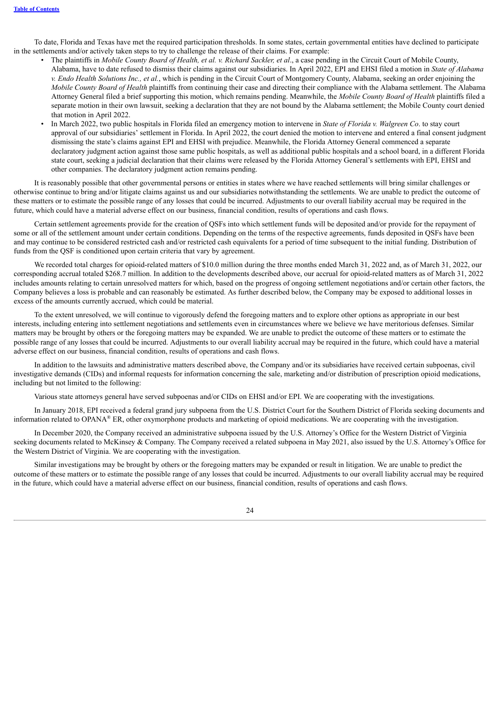To date, Florida and Texas have met the required participation thresholds. In some states, certain governmental entities have declined to participate in the settlements and/or actively taken steps to try to challenge the release of their claims. For example:

- The plaintiffs in *Mobile County Board of Health, et al. v. Richard Sackler, et al*., a case pending in the Circuit Court of Mobile County, Alabama, have to date refused to dismiss their claims against our subsidiaries. In April 2022, EPI and EHSI filed a motion in *State of Alabama v. Endo Health Solutions Inc., et al.*, which is pending in the Circuit Court of Montgomery County, Alabama, seeking an order enjoining the *Mobile County Board of Health* plaintiffs from continuing their case and directing their compliance with the Alabama settlement. The Alabama Attorney General filed a brief supporting this motion, which remains pending. Meanwhile, the *Mobile County Board of Health* plaintiffs filed a separate motion in their own lawsuit, seeking a declaration that they are not bound by the Alabama settlement; the Mobile County court denied that motion in April 2022.
- In March 2022, two public hospitals in Florida filed an emergency motion to intervene in *State of Florida v. Walgreen Co*. to stay court approval of our subsidiaries' settlement in Florida. In April 2022, the court denied the motion to intervene and entered a final consent judgment dismissing the state's claims against EPI and EHSI with prejudice. Meanwhile, the Florida Attorney General commenced a separate declaratory judgment action against those same public hospitals, as well as additional public hospitals and a school board, in a different Florida state court, seeking a judicial declaration that their claims were released by the Florida Attorney General's settlements with EPI, EHSI and other companies. The declaratory judgment action remains pending.

It is reasonably possible that other governmental persons or entities in states where we have reached settlements will bring similar challenges or otherwise continue to bring and/or litigate claims against us and our subsidiaries notwithstanding the settlements. We are unable to predict the outcome of these matters or to estimate the possible range of any losses that could be incurred. Adjustments to our overall liability accrual may be required in the future, which could have a material adverse effect on our business, financial condition, results of operations and cash flows.

Certain settlement agreements provide for the creation of QSFs into which settlement funds will be deposited and/or provide for the repayment of some or all of the settlement amount under certain conditions. Depending on the terms of the respective agreements, funds deposited in QSFs have been and may continue to be considered restricted cash and/or restricted cash equivalents for a period of time subsequent to the initial funding. Distribution of funds from the QSF is conditioned upon certain criteria that vary by agreement.

We recorded total charges for opioid-related matters of \$10.0 million during the three months ended March 31, 2022 and, as of March 31, 2022, our corresponding accrual totaled \$268.7 million. In addition to the developments described above, our accrual for opioid-related matters as of March 31, 2022 includes amounts relating to certain unresolved matters for which, based on the progress of ongoing settlement negotiations and/or certain other factors, the Company believes a loss is probable and can reasonably be estimated. As further described below, the Company may be exposed to additional losses in excess of the amounts currently accrued, which could be material.

To the extent unresolved, we will continue to vigorously defend the foregoing matters and to explore other options as appropriate in our best interests, including entering into settlement negotiations and settlements even in circumstances where we believe we have meritorious defenses. Similar matters may be brought by others or the foregoing matters may be expanded. We are unable to predict the outcome of these matters or to estimate the possible range of any losses that could be incurred. Adjustments to our overall liability accrual may be required in the future, which could have a material adverse effect on our business, financial condition, results of operations and cash flows.

In addition to the lawsuits and administrative matters described above, the Company and/or its subsidiaries have received certain subpoenas, civil investigative demands (CIDs) and informal requests for information concerning the sale, marketing and/or distribution of prescription opioid medications, including but not limited to the following:

Various state attorneys general have served subpoenas and/or CIDs on EHSI and/or EPI. We are cooperating with the investigations.

In January 2018, EPI received a federal grand jury subpoena from the U.S. District Court for the Southern District of Florida seeking documents and information related to OPANA® ER, other oxymorphone products and marketing of opioid medications. We are cooperating with the investigation.

In December 2020, the Company received an administrative subpoena issued by the U.S. Attorney's Office for the Western District of Virginia seeking documents related to McKinsey & Company. The Company received a related subpoena in May 2021, also issued by the U.S. Attorney's Office for the Western District of Virginia. We are cooperating with the investigation.

Similar investigations may be brought by others or the foregoing matters may be expanded or result in litigation. We are unable to predict the outcome of these matters or to estimate the possible range of any losses that could be incurred. Adjustments to our overall liability accrual may be required in the future, which could have a material adverse effect on our business, financial condition, results of operations and cash flows.

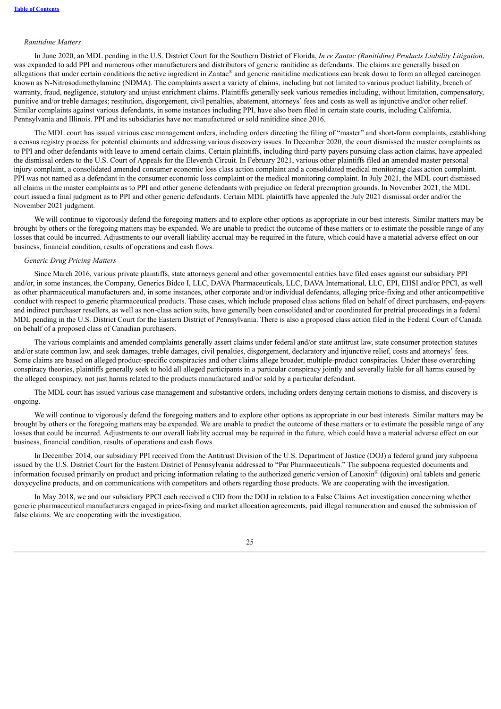#### *Ranitidine Matters*

In June 2020, an MDL pending in the U.S. District Court for the Southern District of Florida, *In re Zantac (Ranitidine) Products Liability Litigation*, was expanded to add PPI and numerous other manufacturers and distributors of generic ranitidine as defendants. The claims are generally based on allegations that under certain conditions the active ingredient in Zantac<sup>®</sup> and generic ranitidine medications can break down to form an alleged carcinogen known as N-Nitrosodimethylamine (NDMA). The complaints assert a variety of claims, including but not limited to various product liability, breach of warranty, fraud, negligence, statutory and unjust enrichment claims. Plaintiffs generally seek various remedies including, without limitation, compensatory, punitive and/or treble damages; restitution, disgorgement, civil penalties, abatement, attorneys' fees and costs as well as injunctive and/or other relief. Similar complaints against various defendants, in some instances including PPI, have also been filed in certain state courts, including California, Pennsylvania and Illinois. PPI and its subsidiaries have not manufactured or sold ranitidine since 2016.

The MDL court has issued various case management orders, including orders directing the filing of "master" and short-form complaints, establishing a census registry process for potential claimants and addressing various discovery issues. In December 2020, the court dismissed the master complaints as to PPI and other defendants with leave to amend certain claims. Certain plaintiffs, including third-party payers pursuing class action claims, have appealed the dismissal orders to the U.S. Court of Appeals for the Eleventh Circuit. In February 2021, various other plaintiffs filed an amended master personal injury complaint, a consolidated amended consumer economic loss class action complaint and a consolidated medical monitoring class action complaint. PPI was not named as a defendant in the consumer economic loss complaint or the medical monitoring complaint. In July 2021, the MDL court dismissed all claims in the master complaints as to PPI and other generic defendants with prejudice on federal preemption grounds. In November 2021, the MDL court issued a final judgment as to PPI and other generic defendants. Certain MDL plaintiffs have appealed the July 2021 dismissal order and/or the November 2021 judgment.

We will continue to vigorously defend the foregoing matters and to explore other options as appropriate in our best interests. Similar matters may be brought by others or the foregoing matters may be expanded. We are unable to predict the outcome of these matters or to estimate the possible range of any losses that could be incurred. Adjustments to our overall liability accrual may be required in the future, which could have a material adverse effect on our business, financial condition, results of operations and cash flows.

#### *Generic Drug Pricing Matters*

Since March 2016, various private plaintiffs, state attorneys general and other governmental entities have filed cases against our subsidiary PPI and/or, in some instances, the Company, Generics Bidco I, LLC, DAVA Pharmaceuticals, LLC, DAVA International, LLC, EPI, EHSI and/or PPCI, as well as other pharmaceutical manufacturers and, in some instances, other corporate and/or individual defendants, alleging price-fixing and other anticompetitive conduct with respect to generic pharmaceutical products. These cases, which include proposed class actions filed on behalf of direct purchasers, end-payers and indirect purchaser resellers, as well as non-class action suits, have generally been consolidated and/or coordinated for pretrial proceedings in a federal MDL pending in the U.S. District Court for the Eastern District of Pennsylvania. There is also a proposed class action filed in the Federal Court of Canada on behalf of a proposed class of Canadian purchasers.

The various complaints and amended complaints generally assert claims under federal and/or state antitrust law, state consumer protection statutes and/or state common law, and seek damages, treble damages, civil penalties, disgorgement, declaratory and injunctive relief, costs and attorneys' fees. Some claims are based on alleged product-specific conspiracies and other claims allege broader, multiple-product conspiracies. Under these overarching conspiracy theories, plaintiffs generally seek to hold all alleged participants in a particular conspiracy jointly and severally liable for all harms caused by the alleged conspiracy, not just harms related to the products manufactured and/or sold by a particular defendant.

The MDL court has issued various case management and substantive orders, including orders denying certain motions to dismiss, and discovery is ongoing.

We will continue to vigorously defend the foregoing matters and to explore other options as appropriate in our best interests. Similar matters may be brought by others or the foregoing matters may be expanded. We are unable to predict the outcome of these matters or to estimate the possible range of any losses that could be incurred. Adjustments to our overall liability accrual may be required in the future, which could have a material adverse effect on our business, financial condition, results of operations and cash flows.

In December 2014, our subsidiary PPI received from the Antitrust Division of the U.S. Department of Justice (DOJ) a federal grand jury subpoena issued by the U.S. District Court for the Eastern District of Pennsylvania addressed to "Par Pharmaceuticals." The subpoena requested documents and information focused primarily on product and pricing information relating to the authorized generic version of Lanoxin<sup>®</sup> (digoxin) oral tablets and generic doxycycline products, and on communications with competitors and others regarding those products. We are cooperating with the investigation.

In May 2018, we and our subsidiary PPCI each received a CID from the DOJ in relation to a False Claims Act investigation concerning whether generic pharmaceutical manufacturers engaged in price-fixing and market allocation agreements, paid illegal remuneration and caused the submission of false claims. We are cooperating with the investigation.

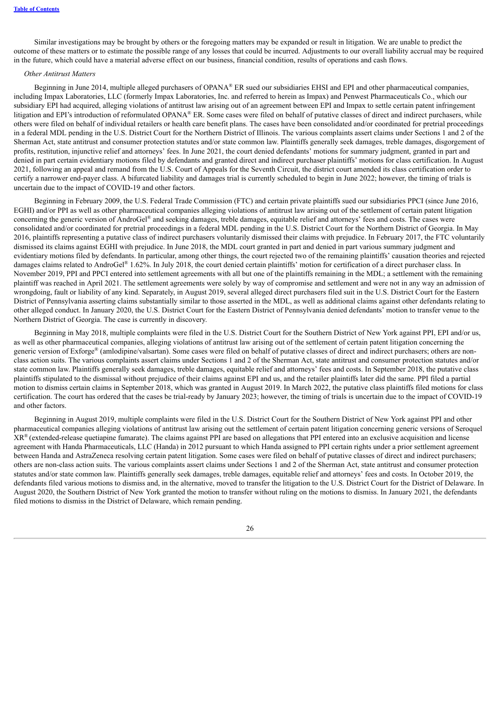Similar investigations may be brought by others or the foregoing matters may be expanded or result in litigation. We are unable to predict the outcome of these matters or to estimate the possible range of any losses that could be incurred. Adjustments to our overall liability accrual may be required in the future, which could have a material adverse effect on our business, financial condition, results of operations and cash flows.

#### *Other Antitrust Matters*

Beginning in June 2014, multiple alleged purchasers of OPANA® ER sued our subsidiaries EHSI and EPI and other pharmaceutical companies, including Impax Laboratories, LLC (formerly Impax Laboratories, Inc. and referred to herein as Impax) and Penwest Pharmaceuticals Co., which our subsidiary EPI had acquired, alleging violations of antitrust law arising out of an agreement between EPI and Impax to settle certain patent infringement litigation and EPI's introduction of reformulated OPANA® ER. Some cases were filed on behalf of putative classes of direct and indirect purchasers, while others were filed on behalf of individual retailers or health care benefit plans. The cases have been consolidated and/or coordinated for pretrial proceedings in a federal MDL pending in the U.S. District Court for the Northern District of Illinois. The various complaints assert claims under Sections 1 and 2 of the Sherman Act, state antitrust and consumer protection statutes and/or state common law. Plaintiffs generally seek damages, treble damages, disgorgement of profits, restitution, injunctive relief and attorneys' fees. In June 2021, the court denied defendants' motions for summary judgment, granted in part and denied in part certain evidentiary motions filed by defendants and granted direct and indirect purchaser plaintiffs' motions for class certification. In August 2021, following an appeal and remand from the U.S. Court of Appeals for the Seventh Circuit, the district court amended its class certification order to certify a narrower end-payer class. A bifurcated liability and damages trial is currently scheduled to begin in June 2022; however, the timing of trials is uncertain due to the impact of COVID-19 and other factors.

Beginning in February 2009, the U.S. Federal Trade Commission (FTC) and certain private plaintiffs sued our subsidiaries PPCI (since June 2016, EGHI) and/or PPI as well as other pharmaceutical companies alleging violations of antitrust law arising out of the settlement of certain patent litigation concerning the generic version of AndroGel® and seeking damages, treble damages, equitable relief and attorneys' fees and costs. The cases were consolidated and/or coordinated for pretrial proceedings in a federal MDL pending in the U.S. District Court for the Northern District of Georgia. In May 2016, plaintiffs representing a putative class of indirect purchasers voluntarily dismissed their claims with prejudice. In February 2017, the FTC voluntarily dismissed its claims against EGHI with prejudice. In June 2018, the MDL court granted in part and denied in part various summary judgment and evidentiary motions filed by defendants. In particular, among other things, the court rejected two of the remaining plaintiffs' causation theories and rejected damages claims related to AndroGel® 1.62%. In July 2018, the court denied certain plaintiffs' motion for certification of a direct purchaser class. In November 2019, PPI and PPCI entered into settlement agreements with all but one of the plaintiffs remaining in the MDL; a settlement with the remaining plaintiff was reached in April 2021. The settlement agreements were solely by way of compromise and settlement and were not in any way an admission of wrongdoing, fault or liability of any kind. Separately, in August 2019, several alleged direct purchasers filed suit in the U.S. District Court for the Eastern District of Pennsylvania asserting claims substantially similar to those asserted in the MDL, as well as additional claims against other defendants relating to other alleged conduct. In January 2020, the U.S. District Court for the Eastern District of Pennsylvania denied defendants' motion to transfer venue to the Northern District of Georgia. The case is currently in discovery.

Beginning in May 2018, multiple complaints were filed in the U.S. District Court for the Southern District of New York against PPI, EPI and/or us, as well as other pharmaceutical companies, alleging violations of antitrust law arising out of the settlement of certain patent litigation concerning the generic version of Exforge® (amlodipine/valsartan). Some cases were filed on behalf of putative classes of direct and indirect purchasers; others are nonclass action suits. The various complaints assert claims under Sections 1 and 2 of the Sherman Act, state antitrust and consumer protection statutes and/or state common law. Plaintiffs generally seek damages, treble damages, equitable relief and attorneys' fees and costs. In September 2018, the putative class plaintiffs stipulated to the dismissal without prejudice of their claims against EPI and us, and the retailer plaintiffs later did the same. PPI filed a partial motion to dismiss certain claims in September 2018, which was granted in August 2019. In March 2022, the putative class plaintiffs filed motions for class certification. The court has ordered that the cases be trial-ready by January 2023; however, the timing of trials is uncertain due to the impact of COVID-19 and other factors.

Beginning in August 2019, multiple complaints were filed in the U.S. District Court for the Southern District of New York against PPI and other pharmaceutical companies alleging violations of antitrust law arising out the settlement of certain patent litigation concerning generic versions of Seroquel  $XR^{\circledast}$  (extended-release quetiapine fumarate). The claims against PPI are based on allegations that PPI entered into an exclusive acquisition and license agreement with Handa Pharmaceuticals, LLC (Handa) in 2012 pursuant to which Handa assigned to PPI certain rights under a prior settlement agreement between Handa and AstraZeneca resolving certain patent litigation. Some cases were filed on behalf of putative classes of direct and indirect purchasers; others are non-class action suits. The various complaints assert claims under Sections 1 and 2 of the Sherman Act, state antitrust and consumer protection statutes and/or state common law. Plaintiffs generally seek damages, treble damages, equitable relief and attorneys' fees and costs. In October 2019, the defendants filed various motions to dismiss and, in the alternative, moved to transfer the litigation to the U.S. District Court for the District of Delaware. In August 2020, the Southern District of New York granted the motion to transfer without ruling on the motions to dismiss. In January 2021, the defendants filed motions to dismiss in the District of Delaware, which remain pending.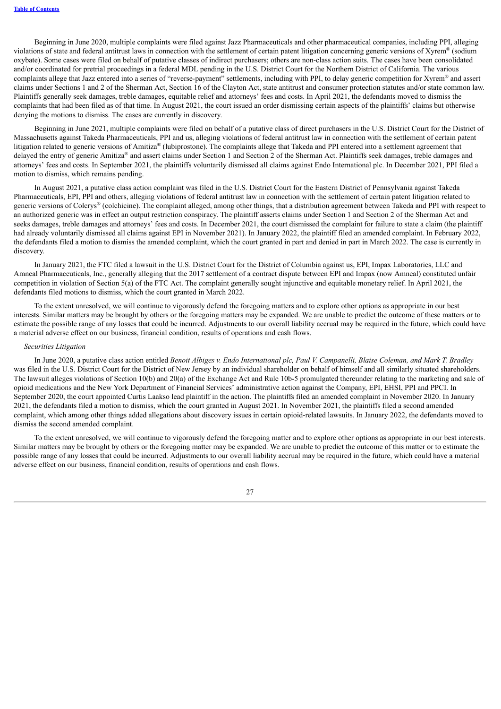Beginning in June 2020, multiple complaints were filed against Jazz Pharmaceuticals and other pharmaceutical companies, including PPI, alleging violations of state and federal antitrust laws in connection with the settlement of certain patent litigation concerning generic versions of Xyrem<sup>®</sup> (sodium oxybate). Some cases were filed on behalf of putative classes of indirect purchasers; others are non-class action suits. The cases have been consolidated and/or coordinated for pretrial proceedings in a federal MDL pending in the U.S. District Court for the Northern District of California. The various complaints allege that Jazz entered into a series of "reverse-payment" settlements, including with PPI, to delay generic competition for Xyrem® and assert claims under Sections 1 and 2 of the Sherman Act, Section 16 of the Clayton Act, state antitrust and consumer protection statutes and/or state common law. Plaintiffs generally seek damages, treble damages, equitable relief and attorneys' fees and costs. In April 2021, the defendants moved to dismiss the complaints that had been filed as of that time. In August 2021, the court issued an order dismissing certain aspects of the plaintiffs' claims but otherwise denying the motions to dismiss. The cases are currently in discovery.

Beginning in June 2021, multiple complaints were filed on behalf of a putative class of direct purchasers in the U.S. District Court for the District of Massachusetts against Takeda Pharmaceuticals, PPI and us, alleging violations of federal antitrust law in connection with the settlement of certain patent litigation related to generic versions of Amitiza® (lubiprostone). The complaints allege that Takeda and PPI entered into a settlement agreement that delayed the entry of generic Amitiza® and assert claims under Section 1 and Section 2 of the Sherman Act. Plaintiffs seek damages, treble damages and attorneys' fees and costs. In September 2021, the plaintiffs voluntarily dismissed all claims against Endo International plc. In December 2021, PPI filed a motion to dismiss, which remains pending.

In August 2021, a putative class action complaint was filed in the U.S. District Court for the Eastern District of Pennsylvania against Takeda Pharmaceuticals, EPI, PPI and others, alleging violations of federal antitrust law in connection with the settlement of certain patent litigation related to generic versions of Colcrys® (colchicine). The complaint alleged, among other things, that a distribution agreement between Takeda and PPI with respect to an authorized generic was in effect an output restriction conspiracy. The plaintiff asserts claims under Section 1 and Section 2 of the Sherman Act and seeks damages, treble damages and attorneys' fees and costs. In December 2021, the court dismissed the complaint for failure to state a claim (the plaintiff had already voluntarily dismissed all claims against EPI in November 2021). In January 2022, the plaintiff filed an amended complaint. In February 2022, the defendants filed a motion to dismiss the amended complaint, which the court granted in part and denied in part in March 2022. The case is currently in discovery.

In January 2021, the FTC filed a lawsuit in the U.S. District Court for the District of Columbia against us, EPI, Impax Laboratories, LLC and Amneal Pharmaceuticals, Inc., generally alleging that the 2017 settlement of a contract dispute between EPI and Impax (now Amneal) constituted unfair competition in violation of Section 5(a) of the FTC Act. The complaint generally sought injunctive and equitable monetary relief. In April 2021, the defendants filed motions to dismiss, which the court granted in March 2022.

To the extent unresolved, we will continue to vigorously defend the foregoing matters and to explore other options as appropriate in our best interests. Similar matters may be brought by others or the foregoing matters may be expanded. We are unable to predict the outcome of these matters or to estimate the possible range of any losses that could be incurred. Adjustments to our overall liability accrual may be required in the future, which could have a material adverse effect on our business, financial condition, results of operations and cash flows.

#### *Securities Litigation*

In June 2020, a putative class action entitled Benoit Albiges v. Endo International plc, Paul V. Campanelli, Blaise Coleman, and Mark T. Bradley was filed in the U.S. District Court for the District of New Jersey by an individual shareholder on behalf of himself and all similarly situated shareholders. The lawsuit alleges violations of Section 10(b) and 20(a) of the Exchange Act and Rule 10b-5 promulgated thereunder relating to the marketing and sale of opioid medications and the New York Department of Financial Services' administrative action against the Company, EPI, EHSI, PPI and PPCI. In September 2020, the court appointed Curtis Laakso lead plaintiff in the action. The plaintiffs filed an amended complaint in November 2020. In January 2021, the defendants filed a motion to dismiss, which the court granted in August 2021. In November 2021, the plaintiffs filed a second amended complaint, which among other things added allegations about discovery issues in certain opioid-related lawsuits. In January 2022, the defendants moved to dismiss the second amended complaint.

To the extent unresolved, we will continue to vigorously defend the foregoing matter and to explore other options as appropriate in our best interests. Similar matters may be brought by others or the foregoing matter may be expanded. We are unable to predict the outcome of this matter or to estimate the possible range of any losses that could be incurred. Adjustments to our overall liability accrual may be required in the future, which could have a material adverse effect on our business, financial condition, results of operations and cash flows.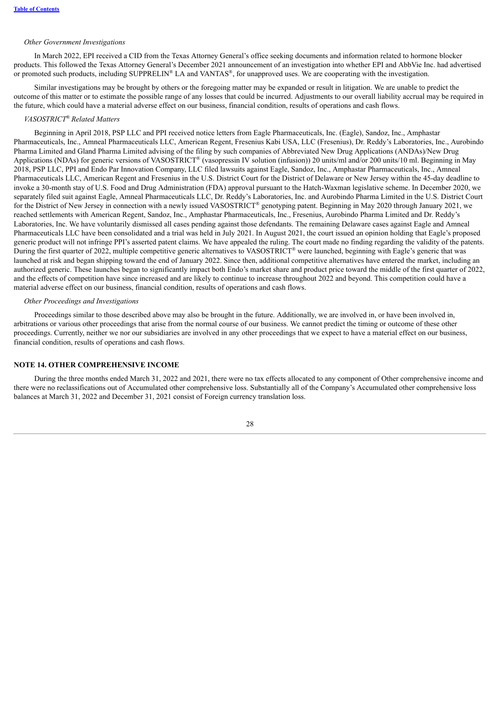#### *Other Government Investigations*

In March 2022, EPI received a CID from the Texas Attorney General's office seeking documents and information related to hormone blocker products. This followed the Texas Attorney General's December 2021 announcement of an investigation into whether EPI and AbbVie Inc. had advertised or promoted such products, including SUPPRELIN® LA and VANTAS<sup>®</sup>, for unapproved uses. We are cooperating with the investigation.

Similar investigations may be brought by others or the foregoing matter may be expanded or result in litigation. We are unable to predict the outcome of this matter or to estimate the possible range of any losses that could be incurred. Adjustments to our overall liability accrual may be required in the future, which could have a material adverse effect on our business, financial condition, results of operations and cash flows.

#### $VASOSTRICT^{\circledast}$  *Related Matters*

Beginning in April 2018, PSP LLC and PPI received notice letters from Eagle Pharmaceuticals, Inc. (Eagle), Sandoz, Inc., Amphastar Pharmaceuticals, Inc., Amneal Pharmaceuticals LLC, American Regent, Fresenius Kabi USA, LLC (Fresenius), Dr. Reddy's Laboratories, Inc., Aurobindo Pharma Limited and Gland Pharma Limited advising of the filing by such companies of Abbreviated New Drug Applications (ANDAs)/New Drug Applications (NDAs) for generic versions of VASOSTRICT<sup>®</sup> (vasopressin IV solution (infusion)) 20 units/ml and/or 200 units/10 ml. Beginning in May 2018, PSP LLC, PPI and Endo Par Innovation Company, LLC filed lawsuits against Eagle, Sandoz, Inc., Amphastar Pharmaceuticals, Inc., Amneal Pharmaceuticals LLC, American Regent and Fresenius in the U.S. District Court for the District of Delaware or New Jersey within the 45-day deadline to invoke a 30-month stay of U.S. Food and Drug Administration (FDA) approval pursuant to the Hatch-Waxman legislative scheme. In December 2020, we separately filed suit against Eagle, Amneal Pharmaceuticals LLC, Dr. Reddy's Laboratories, Inc. and Aurobindo Pharma Limited in the U.S. District Court for the District of New Jersey in connection with a newly issued VASOSTRICT® genotyping patent. Beginning in May 2020 through January 2021, we reached settlements with American Regent, Sandoz, Inc., Amphastar Pharmaceuticals, Inc., Fresenius, Aurobindo Pharma Limited and Dr. Reddy's Laboratories, Inc. We have voluntarily dismissed all cases pending against those defendants. The remaining Delaware cases against Eagle and Amneal Pharmaceuticals LLC have been consolidated and a trial was held in July 2021. In August 2021, the court issued an opinion holding that Eagle's proposed generic product will not infringe PPI's asserted patent claims. We have appealed the ruling. The court made no finding regarding the validity of the patents. During the first quarter of 2022, multiple competitive generic alternatives to VASOSTRICT® were launched, beginning with Eagle's generic that was launched at risk and began shipping toward the end of January 2022. Since then, additional competitive alternatives have entered the market, including an authorized generic. These launches began to significantly impact both Endo's market share and product price toward the middle of the first quarter of 2022, and the effects of competition have since increased and are likely to continue to increase throughout 2022 and beyond. This competition could have a material adverse effect on our business, financial condition, results of operations and cash flows.

#### *Other Proceedings and Investigations*

Proceedings similar to those described above may also be brought in the future. Additionally, we are involved in, or have been involved in, arbitrations or various other proceedings that arise from the normal course of our business. We cannot predict the timing or outcome of these other proceedings. Currently, neither we nor our subsidiaries are involved in any other proceedings that we expect to have a material effect on our business, financial condition, results of operations and cash flows.

## **NOTE 14. OTHER COMPREHENSIVE INCOME**

During the three months ended March 31, 2022 and 2021, there were no tax effects allocated to any component of Other comprehensive income and there were no reclassifications out of Accumulated other comprehensive loss. Substantially all of the Company's Accumulated other comprehensive loss balances at March 31, 2022 and December 31, 2021 consist of Foreign currency translation loss.

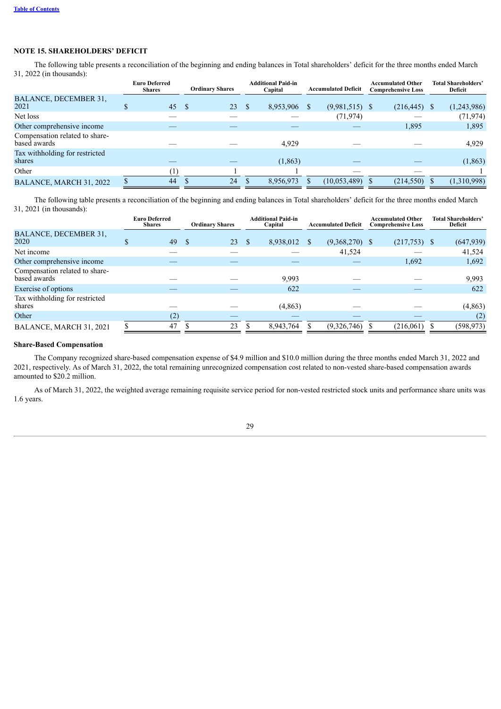# **NOTE 15. SHAREHOLDERS' DEFICIT**

The following table presents a reconciliation of the beginning and ending balances in Total shareholders' deficit for the three months ended March 31, 2022 (in thousands):

|                                                | <b>Euro Deferred</b><br><b>Shares</b> | <b>Ordinary Shares</b> | <b>Additional Paid-in</b><br>Capital | <b>Accumulated Other</b><br><b>Accumulated Deficit</b><br><b>Comprehensive Loss</b> |            | <b>Total Shareholders'</b><br>Deficit |
|------------------------------------------------|---------------------------------------|------------------------|--------------------------------------|-------------------------------------------------------------------------------------|------------|---------------------------------------|
| BALANCE, DECEMBER 31,<br>2021                  | 45                                    | 23<br><sup>S</sup>     | 8,953,906 \$                         | $(9,981,515)$ \$                                                                    | (216, 445) | (1,243,986)<br><sup>S</sup>           |
| Net loss                                       |                                       |                        |                                      | (71, 974)                                                                           |            | (71, 974)                             |
| Other comprehensive income                     |                                       |                        |                                      |                                                                                     | 1,895      | 1,895                                 |
| Compensation related to share-<br>based awards |                                       |                        | 4,929                                |                                                                                     |            | 4,929                                 |
| Tax withholding for restricted<br>shares       |                                       |                        | (1, 863)                             |                                                                                     |            | (1, 863)                              |
| Other                                          |                                       |                        |                                      |                                                                                     |            |                                       |
| BALANCE, MARCH 31, 2022                        | 44                                    | 24                     | 8,956,973                            | (10.053, 489)                                                                       | (214, 550) | (1,310,998)                           |

The following table presents a reconciliation of the beginning and ending balances in Total shareholders' deficit for the three months ended March 31, 2021 (in thousands):

|                                                | <b>Euro Deferred</b><br><b>Shares</b> | <b>Ordinary Shares</b> | <b>Additional Paid-in</b><br>Capital<br><b>Accumulated Deficit</b> |                  | <b>Accumulated Other</b><br><b>Comprehensive Loss</b> | <b>Total Shareholders'</b><br>Deficit |
|------------------------------------------------|---------------------------------------|------------------------|--------------------------------------------------------------------|------------------|-------------------------------------------------------|---------------------------------------|
| <b>BALANCE, DECEMBER 31,</b><br>2020           | 49                                    | -S<br>23               | 8,938,012 \$<br>\$.                                                | $(9,368,270)$ \$ | $(217,753)$ \$                                        | (647,939)                             |
| Net income                                     |                                       |                        |                                                                    | 41,524           |                                                       | 41,524                                |
| Other comprehensive income                     |                                       |                        |                                                                    |                  | 1,692                                                 | 1,692                                 |
| Compensation related to share-<br>based awards |                                       |                        | 9,993                                                              |                  |                                                       | 9,993                                 |
| Exercise of options                            |                                       |                        | 622                                                                |                  |                                                       | 622                                   |
| Tax withholding for restricted<br>shares       |                                       |                        | (4,863)                                                            |                  |                                                       | (4, 863)                              |
| Other                                          | (2)                                   |                        |                                                                    |                  |                                                       | (2)                                   |
| BALANCE, MARCH 31, 2021                        | 47                                    | 23                     | 8,943,764                                                          | (9,326,746)      | (216,061)                                             | (598, 973)                            |

#### **Share-Based Compensation**

The Company recognized share-based compensation expense of \$4.9 million and \$10.0 million during the three months ended March 31, 2022 and 2021, respectively. As of March 31, 2022, the total remaining unrecognized compensation cost related to non-vested share-based compensation awards amounted to \$20.2 million.

As of March 31, 2022, the weighted average remaining requisite service period for non-vested restricted stock units and performance share units was 1.6 years.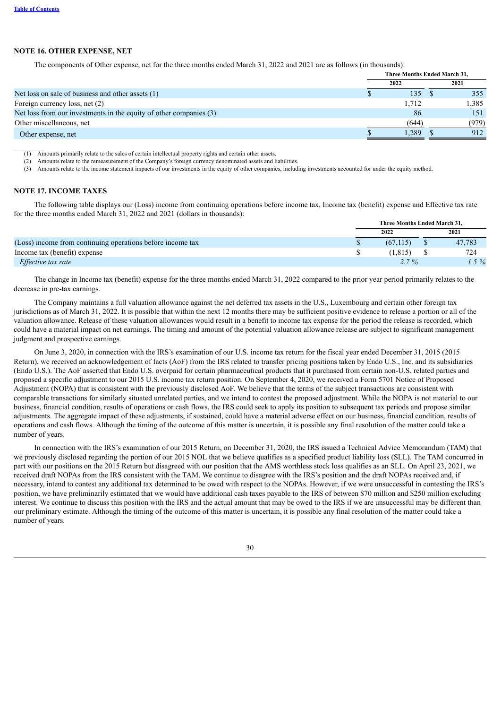$\frac{1}{2}$ 

### **NOTE 16. OTHER EXPENSE, NET**

The components of Other expense, net for the three months ended March 31, 2022 and 2021 are as follows (in thousands):

|                                                                    | Three Months Ended March 31, |  |       |  |
|--------------------------------------------------------------------|------------------------------|--|-------|--|
|                                                                    | 2022                         |  | 2021  |  |
| Net loss on sale of business and other assets $(1)$                | 135                          |  | 355   |  |
| Foreign currency loss, net (2)                                     | 1.712                        |  | 1,385 |  |
| Net loss from our investments in the equity of other companies (3) | 86                           |  | 151   |  |
| Other miscellaneous, net                                           | (644)                        |  | (979) |  |
| Other expense, net                                                 | .289                         |  | 912   |  |

 $(1)$  Amounts primarily relate to the sales of certain intellectual property rights and certain other assets.

(2) Amounts relate to the remeasurement of the Company's foreign currency denominated assets and liabilities.

(3) Amounts relate to the income statement impacts of our investments in the equity of other companies, including investments accounted for under the equity method.

#### **NOTE 17. INCOME TAXES**

The following table displays our (Loss) income from continuing operations before income tax, Income tax (benefit) expense and Effective tax rate for the three months ended March 31, 2022 and 2021 (dollars in thousands):

|                                                            | Three Months Ended March 31. |  |        |  |  |  |
|------------------------------------------------------------|------------------------------|--|--------|--|--|--|
|                                                            | 2022                         |  | 2021   |  |  |  |
| (Loss) income from continuing operations before income tax | (67.115)                     |  | 47,783 |  |  |  |
| Income tax (benefit) expense                               | (1.815)                      |  | 724    |  |  |  |
| <i>Effective tax rate</i>                                  | $2.7\%$                      |  | $.5\%$ |  |  |  |

The change in Income tax (benefit) expense for the three months ended March 31, 2022 compared to the prior year period primarily relates to the decrease in pre-tax earnings.

The Company maintains a full valuation allowance against the net deferred tax assets in the U.S., Luxembourg and certain other foreign tax jurisdictions as of March 31, 2022. It is possible that within the next 12 months there may be sufficient positive evidence to release a portion or all of the valuation allowance. Release of these valuation allowances would result in a benefit to income tax expense for the period the release is recorded, which could have a material impact on net earnings. The timing and amount of the potential valuation allowance release are subject to significant management judgment and prospective earnings.

On June 3, 2020, in connection with the IRS's examination of our U.S. income tax return for the fiscal year ended December 31, 2015 (2015 Return), we received an acknowledgement of facts (AoF) from the IRS related to transfer pricing positions taken by Endo U.S., Inc. and its subsidiaries (Endo U.S.). The AoF asserted that Endo U.S. overpaid for certain pharmaceutical products that it purchased from certain non-U.S. related parties and proposed a specific adjustment to our 2015 U.S. income tax return position. On September 4, 2020, we received a Form 5701 Notice of Proposed Adjustment (NOPA) that is consistent with the previously disclosed AoF. We believe that the terms of the subject transactions are consistent with comparable transactions for similarly situated unrelated parties, and we intend to contest the proposed adjustment. While the NOPA is not material to our business, financial condition, results of operations or cash flows, the IRS could seek to apply its position to subsequent tax periods and propose similar adjustments. The aggregate impact of these adjustments, if sustained, could have a material adverse effect on our business, financial condition, results of operations and cash flows. Although the timing of the outcome of this matter is uncertain, it is possible any final resolution of the matter could take a number of years.

In connection with the IRS's examination of our 2015 Return, on December 31, 2020, the IRS issued a Technical Advice Memorandum (TAM) that we previously disclosed regarding the portion of our 2015 NOL that we believe qualifies as a specified product liability loss (SLL). The TAM concurred in part with our positions on the 2015 Return but disagreed with our position that the AMS worthless stock loss qualifies as an SLL. On April 23, 2021, we received draft NOPAs from the IRS consistent with the TAM. We continue to disagree with the IRS's position and the draft NOPAs received and, if necessary, intend to contest any additional tax determined to be owed with respect to the NOPAs. However, if we were unsuccessful in contesting the IRS's position, we have preliminarily estimated that we would have additional cash taxes payable to the IRS of between \$70 million and \$250 million excluding interest. We continue to discuss this position with the IRS and the actual amount that may be owed to the IRS if we are unsuccessful may be different than our preliminary estimate. Although the timing of the outcome of this matter is uncertain, it is possible any final resolution of the matter could take a number of years.

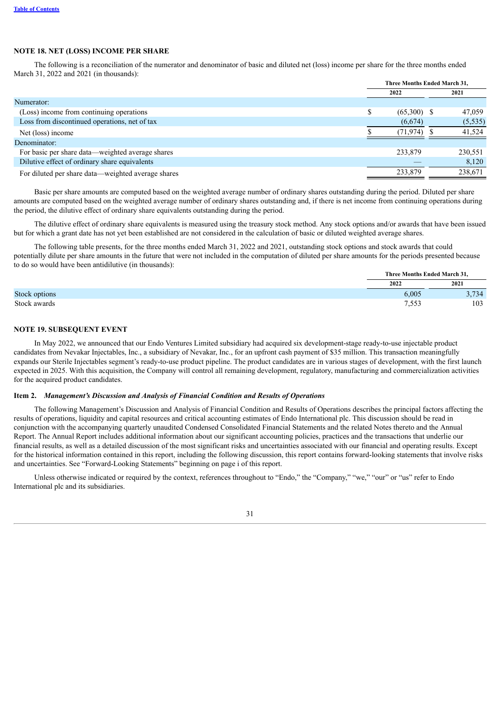# **NOTE 18. NET (LOSS) INCOME PER SHARE**

The following is a reconciliation of the numerator and denominator of basic and diluted net (loss) income per share for the three months ended March 31, 2022 and 2021 (in thousands):

|                                                    |      | Three Months Ended March 31, |  |          |
|----------------------------------------------------|------|------------------------------|--|----------|
|                                                    | 2022 |                              |  | 2021     |
| Numerator:                                         |      |                              |  |          |
| (Loss) income from continuing operations           | \$   | $(65,300)$ \$                |  | 47,059   |
| Loss from discontinued operations, net of tax      |      | (6,674)                      |  | (5, 535) |
| Net (loss) income                                  |      | (71, 974)                    |  | 41,524   |
| Denominator:                                       |      |                              |  |          |
| For basic per share data-weighted average shares   |      | 233,879                      |  | 230,551  |
| Dilutive effect of ordinary share equivalents      |      |                              |  | 8,120    |
| For diluted per share data—weighted average shares |      | 233,879                      |  | 238,671  |

Basic per share amounts are computed based on the weighted average number of ordinary shares outstanding during the period. Diluted per share amounts are computed based on the weighted average number of ordinary shares outstanding and, if there is net income from continuing operations during the period, the dilutive effect of ordinary share equivalents outstanding during the period.

The dilutive effect of ordinary share equivalents is measured using the treasury stock method. Any stock options and/or awards that have been issued but for which a grant date has not yet been established are not considered in the calculation of basic or diluted weighted average shares.

The following table presents, for the three months ended March 31, 2022 and 2021, outstanding stock options and stock awards that could potentially dilute per share amounts in the future that were not included in the computation of diluted per share amounts for the periods presented because to do so would have been antidilutive (in thousands):

|               | Three Months Ended March 31, |       |
|---------------|------------------------------|-------|
|               | 2022                         | 2021  |
| Stock options | 6,005                        | 3,734 |
| Stock awards  | 7,553                        | 103   |

# **NOTE 19. SUBSEQUENT EVENT**

In May 2022, we announced that our Endo Ventures Limited subsidiary had acquired six development-stage ready-to-use injectable product candidates from Nevakar Injectables, Inc., a subsidiary of Nevakar, Inc., for an upfront cash payment of \$35 million. This transaction meaningfully expands our Sterile Injectables segment's ready-to-use product pipeline. The product candidates are in various stages of development, with the first launch expected in 2025. With this acquisition, the Company will control all remaining development, regulatory, manufacturing and commercialization activities for the acquired product candidates.

### <span id="page-34-0"></span>**Item 2.** *Management's Discussion and Analysis of Financial Condition and Results of Operations*

The following Management's Discussion and Analysis of Financial Condition and Results of Operations describes the principal factors affecting the results of operations, liquidity and capital resources and critical accounting estimates of Endo International plc. This discussion should be read in conjunction with the accompanying quarterly unaudited Condensed Consolidated Financial Statements and the related Notes thereto and the Annual Report. The Annual Report includes additional information about our significant accounting policies, practices and the transactions that underlie our financial results, as well as a detailed discussion of the most significant risks and uncertainties associated with our financial and operating results. Except for the historical information contained in this report, including the following discussion, this report contains forward-looking statements that involve risks and uncertainties. See "Forward-Looking Statements" beginning on page i of this report.

Unless otherwise indicated or required by the context, references throughout to "Endo," the "Company," "we," "our" or "us" refer to Endo International plc and its subsidiaries.

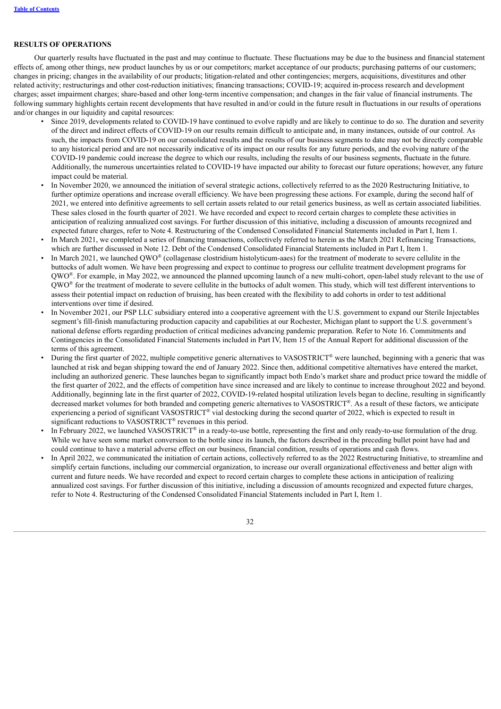### **RESULTS OF OPERATIONS**

Our quarterly results have fluctuated in the past and may continue to fluctuate. These fluctuations may be due to the business and financial statement effects of, among other things, new product launches by us or our competitors; market acceptance of our products; purchasing patterns of our customers; changes in pricing; changes in the availability of our products; litigation-related and other contingencies; mergers, acquisitions, divestitures and other related activity; restructurings and other cost-reduction initiatives; financing transactions; COVID-19; acquired in-process research and development charges; asset impairment charges; share-based and other long-term incentive compensation; and changes in the fair value of financial instruments. The following summary highlights certain recent developments that have resulted in and/or could in the future result in fluctuations in our results of operations and/or changes in our liquidity and capital resources:

- Since 2019, developments related to COVID-19 have continued to evolve rapidly and are likely to continue to do so. The duration and severity of the direct and indirect effects of COVID-19 on our results remain difficult to anticipate and, in many instances, outside of our control. As such, the impacts from COVID-19 on our consolidated results and the results of our business segments to date may not be directly comparable to any historical period and are not necessarily indicative of its impact on our results for any future periods, and the evolving nature of the COVID-19 pandemic could increase the degree to which our results, including the results of our business segments, fluctuate in the future. Additionally, the numerous uncertainties related to COVID-19 have impacted our ability to forecast our future operations; however, any future impact could be material.
- In November 2020, we announced the initiation of several strategic actions, collectively referred to as the 2020 Restructuring Initiative, to further optimize operations and increase overall efficiency. We have been progressing these actions. For example, during the second half of 2021, we entered into definitive agreements to sell certain assets related to our retail generics business, as well as certain associated liabilities. These sales closed in the fourth quarter of 2021. We have recorded and expect to record certain charges to complete these activities in anticipation of realizing annualized cost savings. For further discussion of this initiative, including a discussion of amounts recognized and expected future charges, refer to Note 4. Restructuring of the Condensed Consolidated Financial Statements included in Part I, Item 1.
- In March 2021, we completed a series of financing transactions, collectively referred to herein as the March 2021 Refinancing Transactions, which are further discussed in Note 12. Debt of the Condensed Consolidated Financial Statements included in Part I, Item 1.
- In March 2021, we launched QWO® (collagenase clostridium histolyticum-aaes) for the treatment of moderate to severe cellulite in the buttocks of adult women. We have been progressing and expect to continue to progress our cellulite treatment development programs for  $QWO^{\circledast}$ . For example, in May 2022, we announced the planned upcoming launch of a new multi-cohort, open-label study relevant to the use of  $QWO^{\circledast}$  for the treatment of moderate to severe cellulite in the buttocks of adult women. This study, which will test different interventions to assess their potential impact on reduction of bruising, has been created with the flexibility to add cohorts in order to test additional interventions over time if desired.
- In November 2021, our PSP LLC subsidiary entered into a cooperative agreement with the U.S. government to expand our Sterile Injectables segment's fill-finish manufacturing production capacity and capabilities at our Rochester, Michigan plant to support the U.S. government's national defense efforts regarding production of critical medicines advancing pandemic preparation. Refer to Note 16. Commitments and Contingencies in the Consolidated Financial Statements included in Part IV, Item 15 of the Annual Report for additional discussion of the terms of this agreement.
- During the first quarter of 2022, multiple competitive generic alternatives to VASOSTRICT® were launched, beginning with a generic that was launched at risk and began shipping toward the end of January 2022. Since then, additional competitive alternatives have entered the market, including an authorized generic. These launches began to significantly impact both Endo's market share and product price toward the middle of the first quarter of 2022, and the effects of competition have since increased and are likely to continue to increase throughout 2022 and beyond. Additionally, beginning late in the first quarter of 2022, COVID-19-related hospital utilization levels began to decline, resulting in significantly decreased market volumes for both branded and competing generic alternatives to VASOSTRICT®. As a result of these factors, we anticipate experiencing a period of significant VASOSTRICT® vial destocking during the second quarter of 2022, which is expected to result in significant reductions to VASOSTRICT® revenues in this period.
- In February 2022, we launched VASOSTRICT® in a ready-to-use bottle, representing the first and only ready-to-use formulation of the drug. While we have seen some market conversion to the bottle since its launch, the factors described in the preceding bullet point have had and could continue to have a material adverse effect on our business, financial condition, results of operations and cash flows.
- In April 2022, we communicated the initiation of certain actions, collectively referred to as the 2022 Restructuring Initiative, to streamline and simplify certain functions, including our commercial organization, to increase our overall organizational effectiveness and better align with current and future needs. We have recorded and expect to record certain charges to complete these actions in anticipation of realizing annualized cost savings. For further discussion of this initiative, including a discussion of amounts recognized and expected future charges, refer to Note 4. Restructuring of the Condensed Consolidated Financial Statements included in Part I, Item 1.

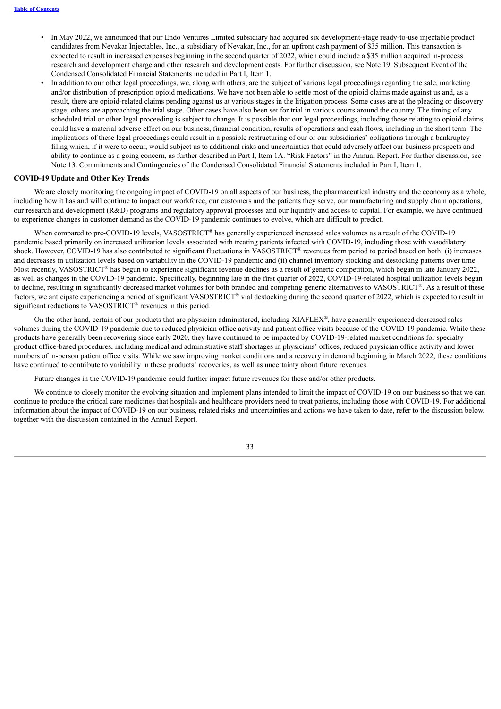- In May 2022, we announced that our Endo Ventures Limited subsidiary had acquired six development-stage ready-to-use injectable product candidates from Nevakar Injectables, Inc., a subsidiary of Nevakar, Inc., for an upfront cash payment of \$35 million. This transaction is expected to result in increased expenses beginning in the second quarter of 2022, which could include a \$35 million acquired in-process research and development charge and other research and development costs. For further discussion, see Note 19. Subsequent Event of the Condensed Consolidated Financial Statements included in Part I, Item 1.
- In addition to our other legal proceedings, we, along with others, are the subject of various legal proceedings regarding the sale, marketing and/or distribution of prescription opioid medications. We have not been able to settle most of the opioid claims made against us and, as a result, there are opioid-related claims pending against us at various stages in the litigation process. Some cases are at the pleading or discovery stage; others are approaching the trial stage. Other cases have also been set for trial in various courts around the country. The timing of any scheduled trial or other legal proceeding is subject to change. It is possible that our legal proceedings, including those relating to opioid claims, could have a material adverse effect on our business, financial condition, results of operations and cash flows, including in the short term. The implications of these legal proceedings could result in a possible restructuring of our or our subsidiaries' obligations through a bankruptcy filing which, if it were to occur, would subject us to additional risks and uncertainties that could adversely affect our business prospects and ability to continue as a going concern, as further described in Part I, Item 1A. "Risk Factors" in the Annual Report. For further discussion, see Note 13. Commitments and Contingencies of the Condensed Consolidated Financial Statements included in Part I, Item 1.

#### **COVID-19 Update and Other Key Trends**

We are closely monitoring the ongoing impact of COVID-19 on all aspects of our business, the pharmaceutical industry and the economy as a whole, including how it has and will continue to impact our workforce, our customers and the patients they serve, our manufacturing and supply chain operations, our research and development (R&D) programs and regulatory approval processes and our liquidity and access to capital. For example, we have continued to experience changes in customer demand as the COVID-19 pandemic continues to evolve, which are difficult to predict.

When compared to pre-COVID-19 levels, VASOSTRICT<sup>®</sup> has generally experienced increased sales volumes as a result of the COVID-19 pandemic based primarily on increased utilization levels associated with treating patients infected with COVID-19, including those with vasodilatory shock. However, COVID-19 has also contributed to significant fluctuations in VASOSTRICT® revenues from period to period based on both: (i) increases and decreases in utilization levels based on variability in the COVID-19 pandemic and (ii) channel inventory stocking and destocking patterns over time. Most recently, VASOSTRICT® has begun to experience significant revenue declines as a result of generic competition, which began in late January 2022, as well as changes in the COVID-19 pandemic. Specifically, beginning late in the first quarter of 2022, COVID-19-related hospital utilization levels began to decline, resulting in significantly decreased market volumes for both branded and competing generic alternatives to VASOSTRICT®. As a result of these factors, we anticipate experiencing a period of significant VASOSTRICT® vial destocking during the second quarter of 2022, which is expected to result in significant reductions to VASOSTRICT® revenues in this period.

On the other hand, certain of our products that are physician administered, including  $XIAFLEX^{\otimes}$ , have generally experienced decreased sales volumes during the COVID-19 pandemic due to reduced physician office activity and patient office visits because of the COVID-19 pandemic. While these products have generally been recovering since early 2020, they have continued to be impacted by COVID-19-related market conditions for specialty product office-based procedures, including medical and administrative staff shortages in physicians' offices, reduced physician office activity and lower numbers of in-person patient office visits. While we saw improving market conditions and a recovery in demand beginning in March 2022, these conditions have continued to contribute to variability in these products' recoveries, as well as uncertainty about future revenues.

Future changes in the COVID-19 pandemic could further impact future revenues for these and/or other products.

We continue to closely monitor the evolving situation and implement plans intended to limit the impact of COVID-19 on our business so that we can continue to produce the critical care medicines that hospitals and healthcare providers need to treat patients, including those with COVID-19. For additional information about the impact of COVID-19 on our business, related risks and uncertainties and actions we have taken to date, refer to the discussion below, together with the discussion contained in the Annual Report.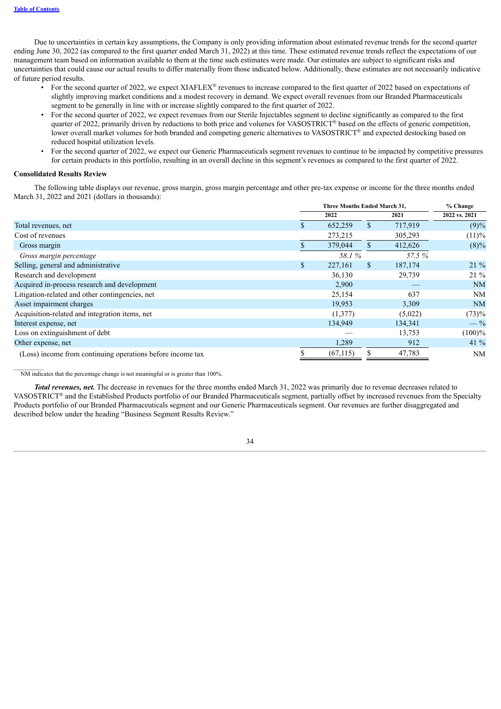Due to uncertainties in certain key assumptions, the Company is only providing information about estimated revenue trends for the second quarter ending June 30, 2022 (as compared to the first quarter ended March 31, 2022) at this time. These estimated revenue trends reflect the expectations of our management team based on information available to them at the time such estimates were made. Our estimates are subject to significant risks and uncertainties that could cause our actual results to differ materially from those indicated below. Additionally, these estimates are not necessarily indicative of future period results.

- For the second quarter of 2022, we expect XIAFLEX<sup>®</sup> revenues to increase compared to the first quarter of 2022 based on expectations of slightly improving market conditions and a modest recovery in demand. We expect overall revenues from our Branded Pharmaceuticals segment to be generally in line with or increase slightly compared to the first quarter of 2022.
- For the second quarter of 2022, we expect revenues from our Sterile Injectables segment to decline significantly as compared to the first quarter of 2022, primarily driven by reductions to both price and volumes for VASOSTRICT® based on the effects of generic competition, lower overall market volumes for both branded and competing generic alternatives to VASOSTRICT® and expected destocking based on reduced hospital utilization levels.
- For the second quarter of 2022, we expect our Generic Pharmaceuticals segment revenues to continue to be impacted by competitive pressures for certain products in this portfolio, resulting in an overall decline in this segment's revenues as compared to the first quarter of 2022.

#### **Consolidated Results Review**

The following table displays our revenue, gross margin, gross margin percentage and other pre-tax expense or income for the three months ended March 31, 2022 and 2021 (dollars in thousands):

|                                                            | Three Months Ended March 31, |           |    |         | % Change      |  |
|------------------------------------------------------------|------------------------------|-----------|----|---------|---------------|--|
|                                                            |                              | 2022      |    | 2021    | 2022 vs. 2021 |  |
| Total revenues, net                                        | S                            | 652,259   | \$ | 717,919 | (9)%          |  |
| Cost of revenues                                           |                              | 273,215   |    | 305,293 | (11)%         |  |
| Gross margin                                               |                              | 379,044   | \$ | 412,626 | $(8)\%$       |  |
| Gross margin percentage                                    |                              | 58.1 %    |    | 57.5 %  |               |  |
| Selling, general and administrative                        | \$                           | 227,161   | \$ | 187,174 | $21\%$        |  |
| Research and development                                   |                              | 36,130    |    | 29,739  | $21\%$        |  |
| Acquired in-process research and development               |                              | 2,900     |    |         | NM            |  |
| Litigation-related and other contingencies, net            |                              | 25,154    |    | 637     | NM            |  |
| Asset impairment charges                                   |                              | 19,953    |    | 3,309   | NM            |  |
| Acquisition-related and integration items, net             |                              | (1,377)   |    | (5,022) | (73)%         |  |
| Interest expense, net                                      |                              | 134,949   |    | 134,341 | $-$ %         |  |
| Loss on extinguishment of debt                             |                              |           |    | 13,753  | $(100)\%$     |  |
| Other expense, net                                         |                              | 1,289     |    | 912     | 41 $%$        |  |
| (Loss) income from continuing operations before income tax |                              | (67, 115) |    | 47,783  | NM            |  |

 $\frac{1}{2}$ NM indicates that the percentage change is not meaningful or is greater than 100%.

*Total revenues, net.* The decrease in revenues for the three months ended March 31, 2022 was primarily due to revenue decreases related to VASOSTRICT® and the Established Products portfolio of our Branded Pharmaceuticals segment, partially offset by increased revenues from the Specialty Products portfolio of our Branded Pharmaceuticals segment and our Generic Pharmaceuticals segment. Our revenues are further disaggregated and described below under the heading "Business Segment Results Review."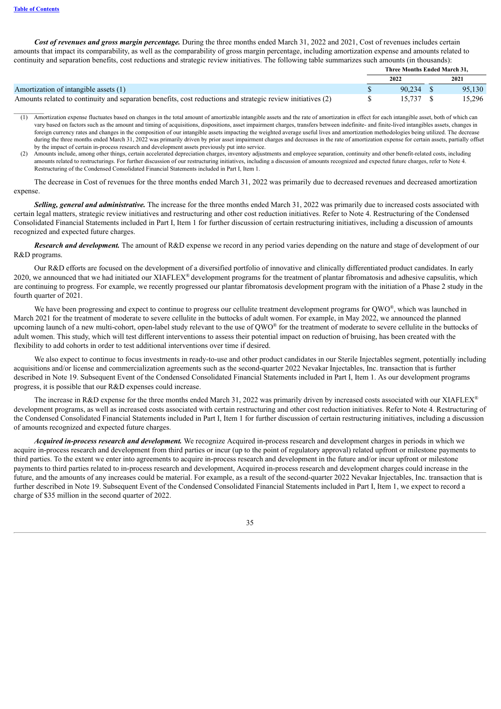*Cost of revenues and gross margin percentage.* During the three months ended March 31, 2022 and 2021, Cost of revenues includes certain amounts that impact its comparability, as well as the comparability of gross margin percentage, including amortization expense and amounts related to continuity and separation benefits, cost reductions and strategic review initiatives. The following table summarizes such amounts (in thousands):

|                                                                                                             | Three Months Ended March 31. |        |
|-------------------------------------------------------------------------------------------------------------|------------------------------|--------|
|                                                                                                             | 2022                         | 2021   |
| Amortization of intangible assets (1)                                                                       | $90.234$ \$                  | 95.130 |
| Amounts related to continuity and separation benefits, cost reductions and strategic review initiatives (2) | 15.737 \$                    | 15.296 |

 $\frac{1}{2}$ (1) Amortization expense fluctuates based on changes in the total amount of amortizable intangible assets and the rate of amortization in effect for each intangible asset, both of which can vary based on factors such as the amount and timing of acquisitions, dispositions, asset impairment charges, transfers between indefinite- and finite-lived intangibles assets, changes in foreign currency rates and changes in the composition of our intangible assets impacting the weighted average useful lives and amortization methodologies being utilized. The decrease during the three months ended March 31, 2022 was primarily driven by prior asset impairment charges and decreases in the rate of amortization expense for certain assets, partially offset by the impact of certain in-process research and development assets previously put into service.

The decrease in Cost of revenues for the three months ended March 31, 2022 was primarily due to decreased revenues and decreased amortization expense.

*Selling, general and administrative.* The increase for the three months ended March 31, 2022 was primarily due to increased costs associated with certain legal matters, strategic review initiatives and restructuring and other cost reduction initiatives. Refer to Note 4. Restructuring of the Condensed Consolidated Financial Statements included in Part I, Item 1 for further discussion of certain restructuring initiatives, including a discussion of amounts recognized and expected future charges.

*Research and development.* The amount of R&D expense we record in any period varies depending on the nature and stage of development of our R&D programs.

Our R&D efforts are focused on the development of a diversified portfolio of innovative and clinically differentiated product candidates. In early 2020, we announced that we had initiated our XIAFLEX<sup>®</sup> development programs for the treatment of plantar fibromatosis and adhesive capsulitis, which are continuing to progress. For example, we recently progressed our plantar fibromatosis development program with the initiation of a Phase 2 study in the fourth quarter of 2021.

We have been progressing and expect to continue to progress our cellulite treatment development programs for QWO®, which was launched in March 2021 for the treatment of moderate to severe cellulite in the buttocks of adult women. For example, in May 2022, we announced the planned upcoming launch of a new multi-cohort, open-label study relevant to the use of  $QWO^{\circledast}$  for the treatment of moderate to severe cellulite in the buttocks of adult women. This study, which will test different interventions to assess their potential impact on reduction of bruising, has been created with the flexibility to add cohorts in order to test additional interventions over time if desired.

We also expect to continue to focus investments in ready-to-use and other product candidates in our Sterile Injectables segment, potentially including acquisitions and/or license and commercialization agreements such as the second-quarter 2022 Nevakar Injectables, Inc. transaction that is further described in Note 19. Subsequent Event of the Condensed Consolidated Financial Statements included in Part I, Item 1. As our development programs progress, it is possible that our R&D expenses could increase.

The increase in R&D expense for the three months ended March 31, 2022 was primarily driven by increased costs associated with our XIAFLEX<sup>®</sup> development programs, as well as increased costs associated with certain restructuring and other cost reduction initiatives. Refer to Note 4. Restructuring of the Condensed Consolidated Financial Statements included in Part I, Item 1 for further discussion of certain restructuring initiatives, including a discussion of amounts recognized and expected future charges.

*Acquired in-process research and development.* We recognize Acquired in-process research and development charges in periods in which we acquire in-process research and development from third parties or incur (up to the point of regulatory approval) related upfront or milestone payments to third parties. To the extent we enter into agreements to acquire in-process research and development in the future and/or incur upfront or milestone payments to third parties related to in-process research and development, Acquired in-process research and development charges could increase in the future, and the amounts of any increases could be material. For example, as a result of the second-quarter 2022 Nevakar Injectables, Inc. transaction that is further described in Note 19. Subsequent Event of the Condensed Consolidated Financial Statements included in Part I, Item 1, we expect to record a charge of \$35 million in the second quarter of 2022.

<sup>(2)</sup> Amounts include, among other things, certain accelerated depreciation charges, inventory adjustments and employee separation, continuity and other benefit-related costs, including amounts related to restructurings. For further discussion of our restructuring initiatives, including a discussion of amounts recognized and expected future charges, refer to Note 4. Restructuring of the Condensed Consolidated Financial Statements included in Part I, Item 1.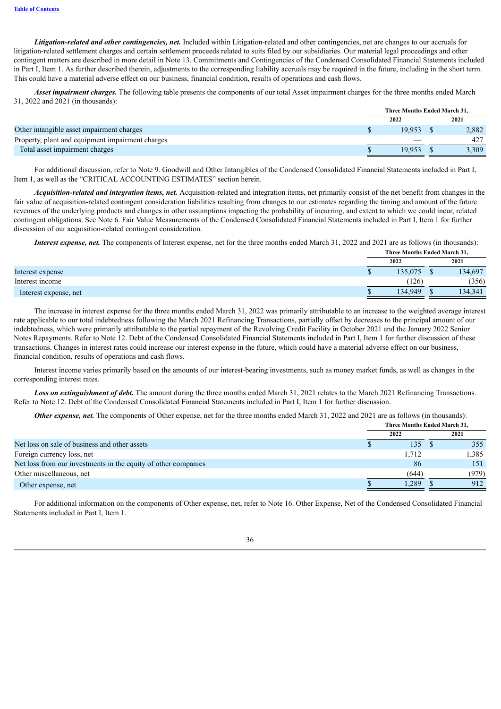*Litigation-related and other contingencies, net.* Included within Litigation-related and other contingencies, net are changes to our accruals for litigation-related settlement charges and certain settlement proceeds related to suits filed by our subsidiaries. Our material legal proceedings and other contingent matters are described in more detail in Note 13. Commitments and Contingencies of the Condensed Consolidated Financial Statements included in Part I, Item 1. As further described therein, adjustments to the corresponding liability accruals may be required in the future, including in the short term. This could have a material adverse effect on our business, financial condition, results of operations and cash flows.

*Asset impairment charges.* The following table presents the components of our total Asset impairment charges for the three months ended March 31, 2022 and 2021 (in thousands):

| Three Months Ended March 31. |  |       |  |
|------------------------------|--|-------|--|
| 2022                         |  | 2021  |  |
| 19.953                       |  | 2,882 |  |
|                              |  | 427   |  |
| 19.953                       |  | 3.309 |  |
|                              |  |       |  |

For additional discussion, refer to Note 9. Goodwill and Other Intangibles of the Condensed Consolidated Financial Statements included in Part I, Item 1, as well as the "CRITICAL ACCOUNTING ESTIMATES" section herein.

*Acquisition-related and integration items, net.* Acquisition-related and integration items, net primarily consist of the net benefit from changes in the fair value of acquisition-related contingent consideration liabilities resulting from changes to our estimates regarding the timing and amount of the future revenues of the underlying products and changes in other assumptions impacting the probability of incurring, and extent to which we could incur, related contingent obligations. See Note 6. Fair Value Measurements of the Condensed Consolidated Financial Statements included in Part I, Item 1 for further discussion of our acquisition-related contingent consideration.

*Interest expense, net.* The components of Interest expense, net for the three months ended March 31, 2022 and 2021 are as follows (in thousands):

|                       |   | Three Months Ended March 31, |  |         |  |
|-----------------------|---|------------------------------|--|---------|--|
|                       |   | 2022                         |  | 2021    |  |
| Interest expense      | P | 135,075                      |  | 134,697 |  |
| Interest income       |   | (126)                        |  | (356)   |  |
| Interest expense, net |   | 134,949                      |  | 134,341 |  |
|                       |   |                              |  |         |  |

The increase in interest expense for the three months ended March 31, 2022 was primarily attributable to an increase to the weighted average interest rate applicable to our total indebtedness following the March 2021 Refinancing Transactions, partially offset by decreases to the principal amount of our indebtedness, which were primarily attributable to the partial repayment of the Revolving Credit Facility in October 2021 and the January 2022 Senior Notes Repayments. Refer to Note 12. Debt of the Condensed Consolidated Financial Statements included in Part I, Item 1 for further discussion of these transactions. Changes in interest rates could increase our interest expense in the future, which could have a material adverse effect on our business, financial condition, results of operations and cash flows.

Interest income varies primarily based on the amounts of our interest-bearing investments, such as money market funds, as well as changes in the corresponding interest rates.

*Loss on extinguishment of debt.* The amount during the three months ended March 31, 2021 relates to the March 2021 Refinancing Transactions. Refer to Note 12. Debt of the Condensed Consolidated Financial Statements included in Part I, Item 1 for further discussion.

*Other expense, net.* The components of Other expense, net for the three months ended March 31, 2022 and 2021 are as follows (in thousands):

|                                                                | Three Months Ended March 31, |       |  |       |
|----------------------------------------------------------------|------------------------------|-------|--|-------|
|                                                                |                              | 2022  |  | 2021  |
| Net loss on sale of business and other assets                  |                              | 135   |  | 355   |
| Foreign currency loss, net                                     |                              | 1.712 |  | 1,385 |
| Net loss from our investments in the equity of other companies |                              | 86    |  | 151   |
| Other miscellaneous, net                                       |                              | (644) |  | (979) |
| Other expense, net                                             |                              | 1,289 |  | 912   |

For additional information on the components of Other expense, net, refer to Note 16. Other Expense, Net of the Condensed Consolidated Financial Statements included in Part I, Item 1.

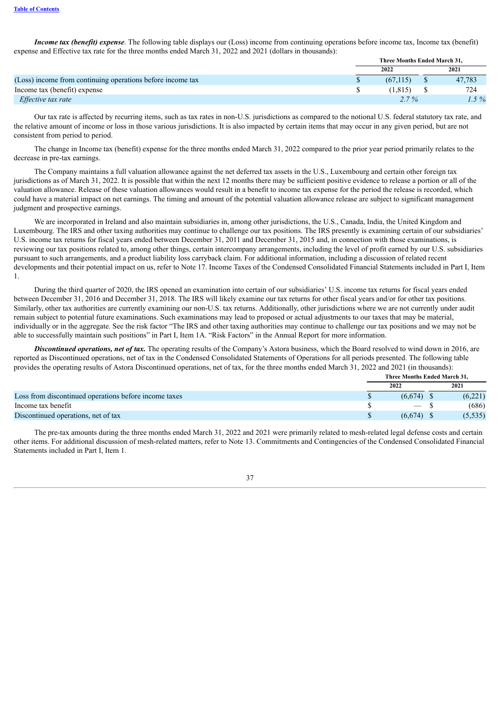*Income tax (benefit) expense*. The following table displays our (Loss) income from continuing operations before income tax, Income tax (benefit) expense and Effective tax rate for the three months ended March 31, 2022 and 2021 (dollars in thousands): **Three Months Ended March 31,**

|                                                            | Three Months Ended March 31. |  |        |  |  |  |
|------------------------------------------------------------|------------------------------|--|--------|--|--|--|
|                                                            | 2022                         |  | 2021   |  |  |  |
| (Loss) income from continuing operations before income tax | (67.115)                     |  | 47,783 |  |  |  |
| Income tax (benefit) expense                               | (1.815)                      |  | 724    |  |  |  |
| <i>Effective tax rate</i>                                  | $2.7\%$                      |  | $.5\%$ |  |  |  |

Our tax rate is affected by recurring items, such as tax rates in non-U.S. jurisdictions as compared to the notional U.S. federal statutory tax rate, and the relative amount of income or loss in those various jurisdictions. It is also impacted by certain items that may occur in any given period, but are not consistent from period to period.

The change in Income tax (benefit) expense for the three months ended March 31, 2022 compared to the prior year period primarily relates to the decrease in pre-tax earnings.

The Company maintains a full valuation allowance against the net deferred tax assets in the U.S., Luxembourg and certain other foreign tax jurisdictions as of March 31, 2022. It is possible that within the next 12 months there may be sufficient positive evidence to release a portion or all of the valuation allowance. Release of these valuation allowances would result in a benefit to income tax expense for the period the release is recorded, which could have a material impact on net earnings. The timing and amount of the potential valuation allowance release are subject to significant management judgment and prospective earnings.

We are incorporated in Ireland and also maintain subsidiaries in, among other jurisdictions, the U.S., Canada, India, the United Kingdom and Luxembourg. The IRS and other taxing authorities may continue to challenge our tax positions. The IRS presently is examining certain of our subsidiaries' U.S. income tax returns for fiscal years ended between December 31, 2011 and December 31, 2015 and, in connection with those examinations, is reviewing our tax positions related to, among other things, certain intercompany arrangements, including the level of profit earned by our U.S. subsidiaries pursuant to such arrangements, and a product liability loss carryback claim. For additional information, including a discussion of related recent developments and their potential impact on us, refer to Note 17. Income Taxes of the Condensed Consolidated Financial Statements included in Part I, Item 1.

During the third quarter of 2020, the IRS opened an examination into certain of our subsidiaries' U.S. income tax returns for fiscal years ended between December 31, 2016 and December 31, 2018. The IRS will likely examine our tax returns for other fiscal years and/or for other tax positions. Similarly, other tax authorities are currently examining our non-U.S. tax returns. Additionally, other jurisdictions where we are not currently under audit remain subject to potential future examinations. Such examinations may lead to proposed or actual adjustments to our taxes that may be material, individually or in the aggregate. See the risk factor "The IRS and other taxing authorities may continue to challenge our tax positions and we may not be able to successfully maintain such positions" in Part I, Item 1A. "Risk Factors" in the Annual Report for more information.

*Discontinued operations, net of tax.* The operating results of the Company's Astora business, which the Board resolved to wind down in 2016, are reported as Discontinued operations, net of tax in the Condensed Consolidated Statements of Operations for all periods presented. The following table provides the operating results of Astora Discontinued operations, net of tax, for the three months ended March 31, 2022 and 2021 (in thousands):

|                                                       | Three Months Ended March 31. |          |
|-------------------------------------------------------|------------------------------|----------|
|                                                       | 2022                         | 2021     |
| Loss from discontinued operations before income taxes | (6.674)                      | (6,221)  |
| Income tax benefit                                    | $ \sim$                      | (686)    |
| Discontinued operations, net of tax                   | (6.674)                      | (5, 535) |

The pre-tax amounts during the three months ended March 31, 2022 and 2021 were primarily related to mesh-related legal defense costs and certain other items. For additional discussion of mesh-related matters, refer to Note 13. Commitments and Contingencies of the Condensed Consolidated Financial Statements included in Part I, Item 1.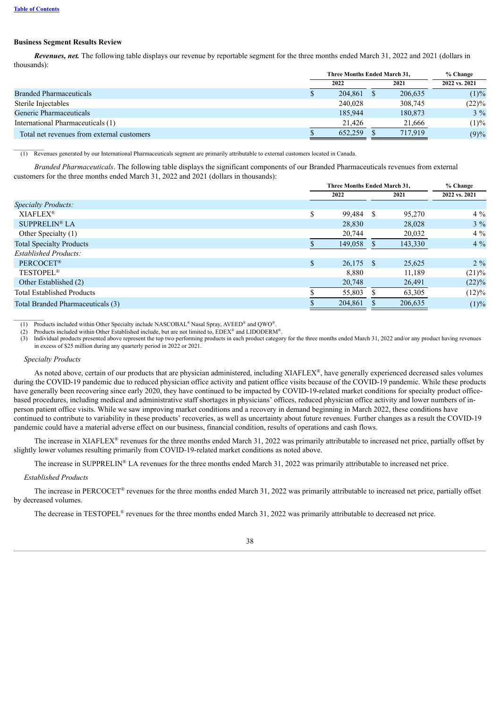### **Business Segment Results Review**

*Revenues, net.* The following table displays our revenue by reportable segment for the three months ended March 31, 2022 and 2021 (dollars in thousands):

|                                            |  | Three Months Ended March 31. |      |         |               |
|--------------------------------------------|--|------------------------------|------|---------|---------------|
|                                            |  | 2022                         | 2021 |         | 2022 vs. 2021 |
| <b>Branded Pharmaceuticals</b>             |  | 204.861                      |      | 206,635 | $(1)\%$       |
| Sterile Injectables                        |  | 240.028                      |      | 308,745 | $(22)\%$      |
| Generic Pharmaceuticals                    |  | 185,944                      |      | 180,873 | $3\%$         |
| International Pharmaceuticals (1)          |  | 21.426                       |      | 21,666  | $(1) \%$      |
| Total net revenues from external customers |  | 652.259                      |      | 717.919 | (9)%          |

 $\frac{1}{2}$ (1) Revenues generated by our International Pharmaceuticals segment are primarily attributable to external customers located in Canada.

*Branded Pharmaceuticals*. The following table displays the significant components of our Branded Pharmaceuticals revenues from external customers for the three months ended March 31, 2022 and 2021 (dollars in thousands):

|                                   |        | Three Months Ended March 31, |      |         | % Change      |  |
|-----------------------------------|--------|------------------------------|------|---------|---------------|--|
|                                   |        | 2022                         | 2021 |         | 2022 vs. 2021 |  |
| <b>Specialty Products:</b>        |        |                              |      |         |               |  |
| <b>XIAFLEX®</b>                   | Φ<br>ъ | 99,484 \$                    |      | 95,270  | $4\%$         |  |
| <b>SUPPRELIN® LA</b>              |        | 28,830                       |      | 28,028  | $3\%$         |  |
| Other Specialty (1)               |        | 20,744                       |      | 20,032  | $4\%$         |  |
| <b>Total Specialty Products</b>   |        | 149,058                      |      | 143,330 | $4\%$         |  |
| Established Products:             |        |                              |      |         |               |  |
| <b>PERCOCET®</b>                  | \$     | $26,175$ \$                  |      | 25,625  | $2\%$         |  |
| <b>TESTOPEL®</b>                  |        | 8,880                        |      | 11,189  | $(21)\%$      |  |
| Other Established (2)             |        | 20,748                       |      | 26,491  | $(22)\%$      |  |
| <b>Total Established Products</b> |        | 55,803                       |      | 63,305  | $(12)\%$      |  |
| Total Branded Pharmaceuticals (3) |        | 204,861                      |      | 206,635 | (1)%          |  |
|                                   |        |                              |      |         |               |  |

(1) Products included within Other Specialty include  $NASCOBAL^{\circledast}$  Nasal Spray, AVEED<sup>®</sup> and QWO<sup>®</sup>.

(2) Products included within Other Established include, but are not limited to,  $EDEX^{\circledast}$  and LIDODERM<sup>®</sup>.

(3) Individual products presented above represent the top two performing products in each product category for the three months ended March 31, 2022 and/or any product having revenues in excess of \$25 million during any quarterly period in 2022 or 2021.

#### *Specialty Products*

 $\mathcal{L}_\text{max}$ 

As noted above, certain of our products that are physician administered, including XIAFLEX®, have generally experienced decreased sales volumes during the COVID-19 pandemic due to reduced physician office activity and patient office visits because of the COVID-19 pandemic. While these products have generally been recovering since early 2020, they have continued to be impacted by COVID-19-related market conditions for specialty product officebased procedures, including medical and administrative staff shortages in physicians' offices, reduced physician office activity and lower numbers of inperson patient office visits. While we saw improving market conditions and a recovery in demand beginning in March 2022, these conditions have continued to contribute to variability in these products' recoveries, as well as uncertainty about future revenues. Further changes as a result the COVID-19 pandemic could have a material adverse effect on our business, financial condition, results of operations and cash flows.

The increase in XIAFLEX<sup>®</sup> revenues for the three months ended March 31, 2022 was primarily attributable to increased net price, partially offset by slightly lower volumes resulting primarily from COVID-19-related market conditions as noted above.

The increase in SUPPRELIN® LA revenues for the three months ended March 31, 2022 was primarily attributable to increased net price.

### *Established Products*

The increase in PERCOCET® revenues for the three months ended March  $31$ , 2022 was primarily attributable to increased net price, partially offset by decreased volumes.

The decrease in TESTOPEL<sup>®</sup> revenues for the three months ended March 31, 2022 was primarily attributable to decreased net price.

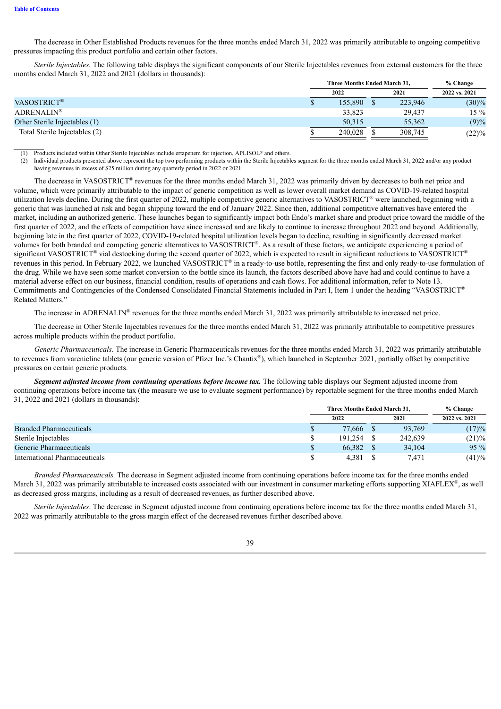$\mathcal{L}_\text{max}$ 

The decrease in Other Established Products revenues for the three months ended March 31, 2022 was primarily attributable to ongoing competitive pressures impacting this product portfolio and certain other factors.

*Sterile Injectables.* The following table displays the significant components of our Sterile Injectables revenues from external customers for the three months ended March 31, 2022 and 2021 (dollars in thousands):

|                               | Three Months Ended March 31. |  |         | % Change      |  |
|-------------------------------|------------------------------|--|---------|---------------|--|
|                               | 2022                         |  | 2021    | 2022 vs. 2021 |  |
| VASOSTRICT <sup>®</sup>       | 155,890                      |  | 223,946 | $(30)\%$      |  |
| ADRENALIN <sup>®</sup>        | 33,823                       |  | 29,437  | $15 \%$       |  |
| Other Sterile Injectables (1) | 50.315                       |  | 55,362  | (9)%          |  |
| Total Sterile Injectables (2) | 240.028                      |  | 308,745 | $(22)\%$      |  |

(1) Products included within Other Sterile Injectables include ertapenem for injection, APLISOL® and others.

(2) Individual products presented above represent the top two performing products within the Sterile Injectables segment for the three months ended March 31, 2022 and/or any product having revenues in excess of \$25 million during any quarterly period in 2022 or 2021.

The decrease in VASOSTRICT<sup>®</sup> revenues for the three months ended March 31, 2022 was primarily driven by decreases to both net price and volume, which were primarily attributable to the impact of generic competition as well as lower overall market demand as COVID-19-related hospital utilization levels decline. During the first quarter of 2022, multiple competitive generic alternatives to VASOSTRICT® were launched, beginning with a generic that was launched at risk and began shipping toward the end of January 2022. Since then, additional competitive alternatives have entered the market, including an authorized generic. These launches began to significantly impact both Endo's market share and product price toward the middle of the first quarter of 2022, and the effects of competition have since increased and are likely to continue to increase throughout 2022 and beyond. Additionally, beginning late in the first quarter of 2022, COVID-19-related hospital utilization levels began to decline, resulting in significantly decreased market volumes for both branded and competing generic alternatives to VASOSTRICT®. As a result of these factors, we anticipate experiencing a period of significant VASOSTRICT® vial destocking during the second quarter of 2022, which is expected to result in significant reductions to VASOSTRICT® revenues in this period. In February 2022, we launched VASOSTRICT<sup>®</sup> in a ready-to-use bottle, representing the first and only ready-to-use formulation of the drug. While we have seen some market conversion to the bottle since its launch, the factors described above have had and could continue to have a material adverse effect on our business, financial condition, results of operations and cash flows. For additional information, refer to Note 13. Commitments and Contingencies of the Condensed Consolidated Financial Statements included in Part I, Item 1 under the heading "VASOSTRICT ® Related Matters."

The increase in ADRENALIN® revenues for the three months ended March 31, 2022 was primarily attributable to increased net price.

The decrease in Other Sterile Injectables revenues for the three months ended March 31, 2022 was primarily attributable to competitive pressures across multiple products within the product portfolio.

*Generic Pharmaceuticals.* The increase in Generic Pharmaceuticals revenues for the three months ended March 31, 2022 was primarily attributable to revenues from varenicline tablets (our generic version of Pfizer Inc.'s Chantix®), which launched in September 2021, partially offset by competitive pressures on certain generic products.

*Segment adjusted income from continuing operations before income tax.* The following table displays our Segment adjusted income from continuing operations before income tax (the measure we use to evaluate segment performance) by reportable segment for the three months ended March 31, 2022 and 2021 (dollars in thousands):

|                                | Three Months Ended March 31. |  |         | % Change      |  |
|--------------------------------|------------------------------|--|---------|---------------|--|
|                                | 2022                         |  | 2021    | 2022 vs. 2021 |  |
| <b>Branded Pharmaceuticals</b> | 77.666 \$                    |  | 93.769  | (17)%         |  |
| Sterile Injectables            | 191.254                      |  | 242.639 | (21)%         |  |
| Generic Pharmaceuticals        | 66.382 \$                    |  | 34.104  | $95\%$        |  |
| International Pharmaceuticals  | 4.381                        |  | 7.471   | (41)%         |  |

*Branded Pharmaceuticals.* The decrease in Segment adjusted income from continuing operations before income tax for the three months ended March 31, 2022 was primarily attributable to increased costs associated with our investment in consumer marketing efforts supporting XIAFLEX<sup>®</sup>, as well as decreased gross margins, including as a result of decreased revenues, as further described above.

*Sterile Injectables*. The decrease in Segment adjusted income from continuing operations before income tax for the three months ended March 31, 2022 was primarily attributable to the gross margin effect of the decreased revenues further described above.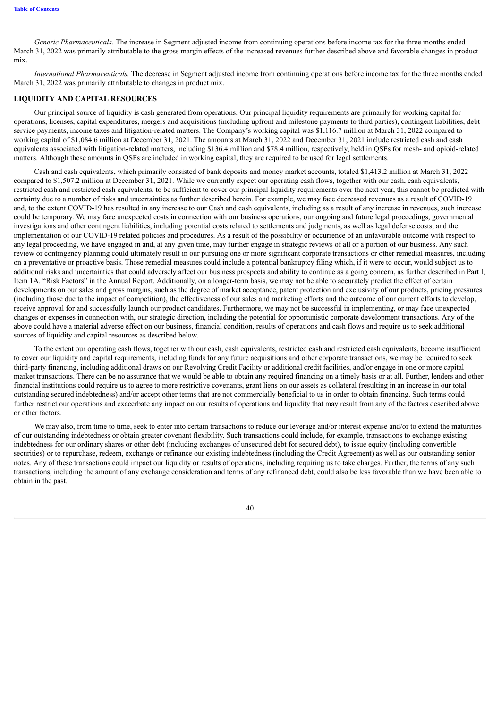*Generic Pharmaceuticals.* The increase in Segment adjusted income from continuing operations before income tax for the three months ended March 31, 2022 was primarily attributable to the gross margin effects of the increased revenues further described above and favorable changes in product mix.

*International Pharmaceuticals.* The decrease in Segment adjusted income from continuing operations before income tax for the three months ended March 31, 2022 was primarily attributable to changes in product mix.

#### **LIQUIDITY AND CAPITAL RESOURCES**

Our principal source of liquidity is cash generated from operations. Our principal liquidity requirements are primarily for working capital for operations, licenses, capital expenditures, mergers and acquisitions (including upfront and milestone payments to third parties), contingent liabilities, debt service payments, income taxes and litigation-related matters. The Company's working capital was \$1,116.7 million at March 31, 2022 compared to working capital of \$1,084.6 million at December 31, 2021. The amounts at March 31, 2022 and December 31, 2021 include restricted cash and cash equivalents associated with litigation-related matters, including \$136.4 million and \$78.4 million, respectively, held in QSFs for mesh- and opioid-related matters. Although these amounts in QSFs are included in working capital, they are required to be used for legal settlements.

Cash and cash equivalents, which primarily consisted of bank deposits and money market accounts, totaled \$1,413.2 million at March 31, 2022 compared to \$1,507.2 million at December 31, 2021. While we currently expect our operating cash flows, together with our cash, cash equivalents, restricted cash and restricted cash equivalents, to be sufficient to cover our principal liquidity requirements over the next year, this cannot be predicted with certainty due to a number of risks and uncertainties as further described herein. For example, we may face decreased revenues as a result of COVID-19 and, to the extent COVID-19 has resulted in any increase to our Cash and cash equivalents, including as a result of any increase in revenues, such increase could be temporary. We may face unexpected costs in connection with our business operations, our ongoing and future legal proceedings, governmental investigations and other contingent liabilities, including potential costs related to settlements and judgments, as well as legal defense costs, and the implementation of our COVID-19 related policies and procedures. As a result of the possibility or occurrence of an unfavorable outcome with respect to any legal proceeding, we have engaged in and, at any given time, may further engage in strategic reviews of all or a portion of our business. Any such review or contingency planning could ultimately result in our pursuing one or more significant corporate transactions or other remedial measures, including on a preventative or proactive basis. Those remedial measures could include a potential bankruptcy filing which, if it were to occur, would subject us to additional risks and uncertainties that could adversely affect our business prospects and ability to continue as a going concern, as further described in Part I, Item 1A. "Risk Factors" in the Annual Report. Additionally, on a longer-term basis, we may not be able to accurately predict the effect of certain developments on our sales and gross margins, such as the degree of market acceptance, patent protection and exclusivity of our products, pricing pressures (including those due to the impact of competition), the effectiveness of our sales and marketing efforts and the outcome of our current efforts to develop, receive approval for and successfully launch our product candidates. Furthermore, we may not be successful in implementing, or may face unexpected changes or expenses in connection with, our strategic direction, including the potential for opportunistic corporate development transactions. Any of the above could have a material adverse effect on our business, financial condition, results of operations and cash flows and require us to seek additional sources of liquidity and capital resources as described below.

To the extent our operating cash flows, together with our cash, cash equivalents, restricted cash and restricted cash equivalents, become insufficient to cover our liquidity and capital requirements, including funds for any future acquisitions and other corporate transactions, we may be required to seek third-party financing, including additional draws on our Revolving Credit Facility or additional credit facilities, and/or engage in one or more capital market transactions. There can be no assurance that we would be able to obtain any required financing on a timely basis or at all. Further, lenders and other financial institutions could require us to agree to more restrictive covenants, grant liens on our assets as collateral (resulting in an increase in our total outstanding secured indebtedness) and/or accept other terms that are not commercially beneficial to us in order to obtain financing. Such terms could further restrict our operations and exacerbate any impact on our results of operations and liquidity that may result from any of the factors described above or other factors.

We may also, from time to time, seek to enter into certain transactions to reduce our leverage and/or interest expense and/or to extend the maturities of our outstanding indebtedness or obtain greater covenant flexibility. Such transactions could include, for example, transactions to exchange existing indebtedness for our ordinary shares or other debt (including exchanges of unsecured debt for secured debt), to issue equity (including convertible securities) or to repurchase, redeem, exchange or refinance our existing indebtedness (including the Credit Agreement) as well as our outstanding senior notes. Any of these transactions could impact our liquidity or results of operations, including requiring us to take charges. Further, the terms of any such transactions, including the amount of any exchange consideration and terms of any refinanced debt, could also be less favorable than we have been able to obtain in the past.

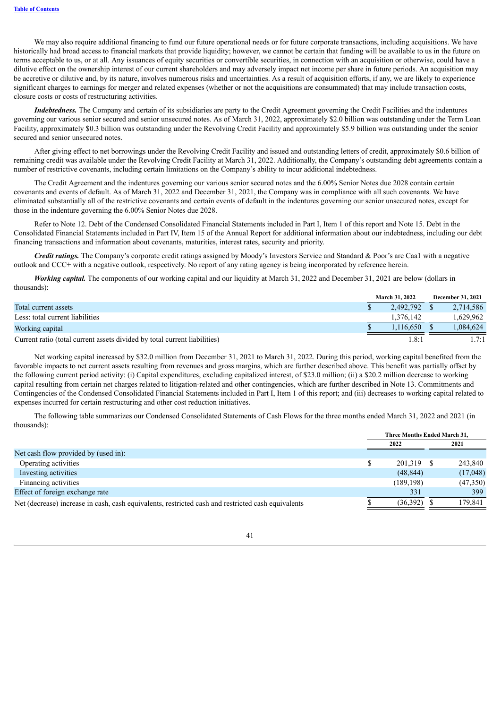We may also require additional financing to fund our future operational needs or for future corporate transactions, including acquisitions. We have historically had broad access to financial markets that provide liquidity; however, we cannot be certain that funding will be available to us in the future on terms acceptable to us, or at all. Any issuances of equity securities or convertible securities, in connection with an acquisition or otherwise, could have a dilutive effect on the ownership interest of our current shareholders and may adversely impact net income per share in future periods. An acquisition may be accretive or dilutive and, by its nature, involves numerous risks and uncertainties. As a result of acquisition efforts, if any, we are likely to experience significant charges to earnings for merger and related expenses (whether or not the acquisitions are consummated) that may include transaction costs, closure costs or costs of restructuring activities.

*Indebtedness.* The Company and certain of its subsidiaries are party to the Credit Agreement governing the Credit Facilities and the indentures governing our various senior secured and senior unsecured notes. As of March 31, 2022, approximately \$2.0 billion was outstanding under the Term Loan Facility, approximately \$0.3 billion was outstanding under the Revolving Credit Facility and approximately \$5.9 billion was outstanding under the senior secured and senior unsecured notes.

After giving effect to net borrowings under the Revolving Credit Facility and issued and outstanding letters of credit, approximately \$0.6 billion of remaining credit was available under the Revolving Credit Facility at March 31, 2022. Additionally, the Company's outstanding debt agreements contain a number of restrictive covenants, including certain limitations on the Company's ability to incur additional indebtedness.

The Credit Agreement and the indentures governing our various senior secured notes and the 6.00% Senior Notes due 2028 contain certain covenants and events of default. As of March 31, 2022 and December 31, 2021, the Company was in compliance with all such covenants. We have eliminated substantially all of the restrictive covenants and certain events of default in the indentures governing our senior unsecured notes, except for those in the indenture governing the 6.00% Senior Notes due 2028.

Refer to Note 12. Debt of the Condensed Consolidated Financial Statements included in Part I, Item 1 of this report and Note 15. Debt in the Consolidated Financial Statements included in Part IV, Item 15 of the Annual Report for additional information about our indebtedness, including our debt financing transactions and information about covenants, maturities, interest rates, security and priority.

*Credit ratings.* The Company's corporate credit ratings assigned by Moody's Investors Service and Standard & Poor's are Caa1 with a negative outlook and CCC+ with a negative outlook, respectively. No report of any rating agency is being incorporated by reference herein.

*Working capital.* The components of our working capital and our liquidity at March 31, 2022 and December 31, 2021 are below (dollars in thousands):

|                                                                           | <b>March 31, 2022</b> | <b>December 31, 2021</b> |
|---------------------------------------------------------------------------|-----------------------|--------------------------|
| Total current assets                                                      | 2,492,792             | 2.714.586                |
| Less: total current liabilities                                           | 1.376.142             | .629.962                 |
| Working capital                                                           | 1.116.650             | .084.624                 |
| Current ratio (total current assets divided by total current liabilities) | .8:                   |                          |

Net working capital increased by \$32.0 million from December 31, 2021 to March 31, 2022. During this period, working capital benefited from the favorable impacts to net current assets resulting from revenues and gross margins, which are further described above. This benefit was partially offset by the following current period activity: (i) Capital expenditures, excluding capitalized interest, of \$23.0 million; (ii) a \$20.2 million decrease to working capital resulting from certain net charges related to litigation-related and other contingencies, which are further described in Note 13. Commitments and Contingencies of the Condensed Consolidated Financial Statements included in Part I, Item 1 of this report; and (iii) decreases to working capital related to expenses incurred for certain restructuring and other cost reduction initiatives.

The following table summarizes our Condensed Consolidated Statements of Cash Flows for the three months ended March 31, 2022 and 2021 (in thousands):

|                                                                                                    | Three Months Ended March 31, |            |  |          |
|----------------------------------------------------------------------------------------------------|------------------------------|------------|--|----------|
|                                                                                                    |                              | 2022       |  | 2021     |
| Net cash flow provided by (used in):                                                               |                              |            |  |          |
| Operating activities                                                                               |                              | 201.319    |  | 243,840  |
| Investing activities                                                                               |                              | (48, 844)  |  | (17,048) |
| Financing activities                                                                               |                              | (189, 198) |  | (47,350) |
| Effect of foreign exchange rate                                                                    |                              | 331        |  | 399      |
| Net (decrease) increase in cash, cash equivalents, restricted cash and restricted cash equivalents |                              | (36,392)   |  | 179.841  |
|                                                                                                    |                              |            |  |          |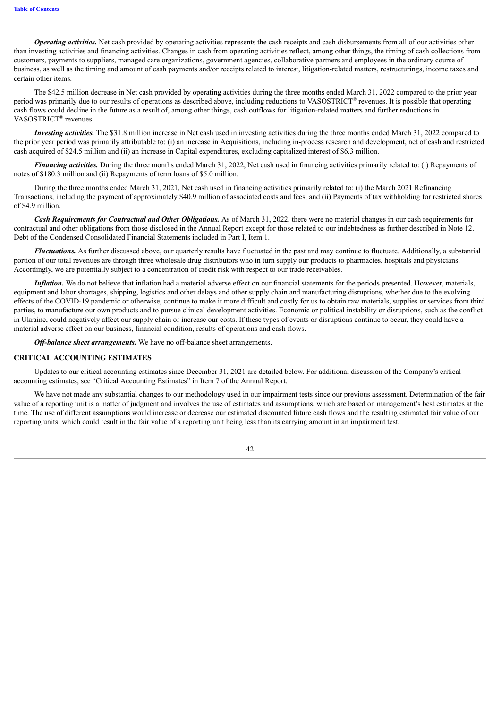*Operating activities.* Net cash provided by operating activities represents the cash receipts and cash disbursements from all of our activities other than investing activities and financing activities. Changes in cash from operating activities reflect, among other things, the timing of cash collections from customers, payments to suppliers, managed care organizations, government agencies, collaborative partners and employees in the ordinary course of business, as well as the timing and amount of cash payments and/or receipts related to interest, litigation-related matters, restructurings, income taxes and certain other items.

The \$42.5 million decrease in Net cash provided by operating activities during the three months ended March 31, 2022 compared to the prior year period was primarily due to our results of operations as described above, including reductions to VASOSTRICT® revenues. It is possible that operating cash flows could decline in the future as a result of, among other things, cash outflows for litigation-related matters and further reductions in VASOSTRICT<sup>®</sup> revenues.

*Investing activities*. The \$31.8 million increase in Net cash used in investing activities during the three months ended March 31, 2022 compared to the prior year period was primarily attributable to: (i) an increase in Acquisitions, including in-process research and development, net of cash and restricted cash acquired of \$24.5 million and (ii) an increase in Capital expenditures, excluding capitalized interest of \$6.3 million.

*Financing activities.* During the three months ended March 31, 2022, Net cash used in financing activities primarily related to: (i) Repayments of notes of \$180.3 million and (ii) Repayments of term loans of \$5.0 million.

During the three months ended March 31, 2021, Net cash used in financing activities primarily related to: (i) the March 2021 Refinancing Transactions, including the payment of approximately \$40.9 million of associated costs and fees, and (ii) Payments of tax withholding for restricted shares of \$4.9 million.

*Cash Requirements for Contractual and Other Obligations.* As of March 31, 2022, there were no material changes in our cash requirements for contractual and other obligations from those disclosed in the Annual Report except for those related to our indebtedness as further described in Note 12. Debt of the Condensed Consolidated Financial Statements included in Part I, Item 1.

*Fluctuations.* As further discussed above, our quarterly results have fluctuated in the past and may continue to fluctuate. Additionally, a substantial portion of our total revenues are through three wholesale drug distributors who in turn supply our products to pharmacies, hospitals and physicians. Accordingly, we are potentially subject to a concentration of credit risk with respect to our trade receivables.

*Inflation*. We do not believe that inflation had a material adverse effect on our financial statements for the periods presented. However, materials, equipment and labor shortages, shipping, logistics and other delays and other supply chain and manufacturing disruptions, whether due to the evolving effects of the COVID-19 pandemic or otherwise, continue to make it more difficult and costly for us to obtain raw materials, supplies or services from third parties, to manufacture our own products and to pursue clinical development activities. Economic or political instability or disruptions, such as the conflict in Ukraine, could negatively affect our supply chain or increase our costs. If these types of events or disruptions continue to occur, they could have a material adverse effect on our business, financial condition, results of operations and cash flows.

*Off-balance sheet arrangements.* We have no off-balance sheet arrangements.

#### **CRITICAL ACCOUNTING ESTIMATES**

Updates to our critical accounting estimates since December 31, 2021 are detailed below. For additional discussion of the Company's critical accounting estimates, see "Critical Accounting Estimates" in Item 7 of the Annual Report.

We have not made any substantial changes to our methodology used in our impairment tests since our previous assessment. Determination of the fair value of a reporting unit is a matter of judgment and involves the use of estimates and assumptions, which are based on management's best estimates at the time. The use of different assumptions would increase or decrease our estimated discounted future cash flows and the resulting estimated fair value of our reporting units, which could result in the fair value of a reporting unit being less than its carrying amount in an impairment test.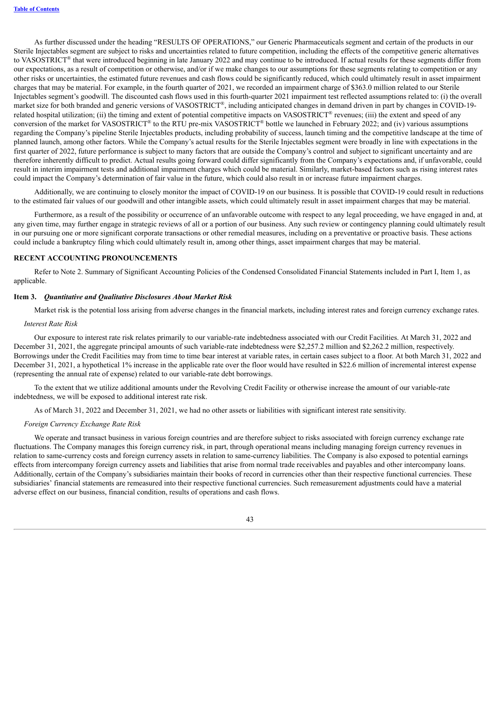As further discussed under the heading "RESULTS OF OPERATIONS," our Generic Pharmaceuticals segment and certain of the products in our Sterile Injectables segment are subject to risks and uncertainties related to future competition, including the effects of the competitive generic alternatives to VASOSTRICT® that were introduced beginning in late January 2022 and may continue to be introduced. If actual results for these segments differ from our expectations, as a result of competition or otherwise, and/or if we make changes to our assumptions for these segments relating to competition or any other risks or uncertainties, the estimated future revenues and cash flows could be significantly reduced, which could ultimately result in asset impairment charges that may be material. For example, in the fourth quarter of 2021, we recorded an impairment charge of \$363.0 million related to our Sterile Injectables segment's goodwill. The discounted cash flows used in this fourth-quarter 2021 impairment test reflected assumptions related to: (i) the overall market size for both branded and generic versions of VASOSTRICT®, including anticipated changes in demand driven in part by changes in COVID-19related hospital utilization; (ii) the timing and extent of potential competitive impacts on VASOSTRICT® revenues; (iii) the extent and speed of any conversion of the market for VASOSTRICT® to the RTU pre-mix VASOSTRICT® bottle we launched in February 2022; and (iv) various assumptions regarding the Company's pipeline Sterile Injectables products, including probability of success, launch timing and the competitive landscape at the time of planned launch, among other factors. While the Company's actual results for the Sterile Injectables segment were broadly in line with expectations in the first quarter of 2022, future performance is subject to many factors that are outside the Company's control and subject to significant uncertainty and are therefore inherently difficult to predict. Actual results going forward could differ significantly from the Company's expectations and, if unfavorable, could result in interim impairment tests and additional impairment charges which could be material. Similarly, market-based factors such as rising interest rates could impact the Company's determination of fair value in the future, which could also result in or increase future impairment charges.

Additionally, we are continuing to closely monitor the impact of COVID-19 on our business. It is possible that COVID-19 could result in reductions to the estimated fair values of our goodwill and other intangible assets, which could ultimately result in asset impairment charges that may be material.

Furthermore, as a result of the possibility or occurrence of an unfavorable outcome with respect to any legal proceeding, we have engaged in and, at any given time, may further engage in strategic reviews of all or a portion of our business. Any such review or contingency planning could ultimately result in our pursuing one or more significant corporate transactions or other remedial measures, including on a preventative or proactive basis. These actions could include a bankruptcy filing which could ultimately result in, among other things, asset impairment charges that may be material.

#### **RECENT ACCOUNTING PRONOUNCEMENTS**

Refer to Note 2. Summary of Significant Accounting Policies of the Condensed Consolidated Financial Statements included in Part I, Item 1, as applicable.

#### <span id="page-46-0"></span>**Item 3.** *Quantitative and Qualitative Disclosures About Market Risk*

Market risk is the potential loss arising from adverse changes in the financial markets, including interest rates and foreign currency exchange rates.

#### *Interest Rate Risk*

Our exposure to interest rate risk relates primarily to our variable-rate indebtedness associated with our Credit Facilities. At March 31, 2022 and December 31, 2021, the aggregate principal amounts of such variable-rate indebtedness were \$2,257.2 million and \$2,262.2 million, respectively. Borrowings under the Credit Facilities may from time to time bear interest at variable rates, in certain cases subject to a floor. At both March 31, 2022 and December 31, 2021, a hypothetical 1% increase in the applicable rate over the floor would have resulted in \$22.6 million of incremental interest expense (representing the annual rate of expense) related to our variable-rate debt borrowings.

To the extent that we utilize additional amounts under the Revolving Credit Facility or otherwise increase the amount of our variable-rate indebtedness, we will be exposed to additional interest rate risk.

As of March 31, 2022 and December 31, 2021, we had no other assets or liabilities with significant interest rate sensitivity.

#### *Foreign Currency Exchange Rate Risk*

We operate and transact business in various foreign countries and are therefore subject to risks associated with foreign currency exchange rate fluctuations. The Company manages this foreign currency risk, in part, through operational means including managing foreign currency revenues in relation to same-currency costs and foreign currency assets in relation to same-currency liabilities. The Company is also exposed to potential earnings effects from intercompany foreign currency assets and liabilities that arise from normal trade receivables and payables and other intercompany loans. Additionally, certain of the Company's subsidiaries maintain their books of record in currencies other than their respective functional currencies. These subsidiaries' financial statements are remeasured into their respective functional currencies. Such remeasurement adjustments could have a material adverse effect on our business, financial condition, results of operations and cash flows.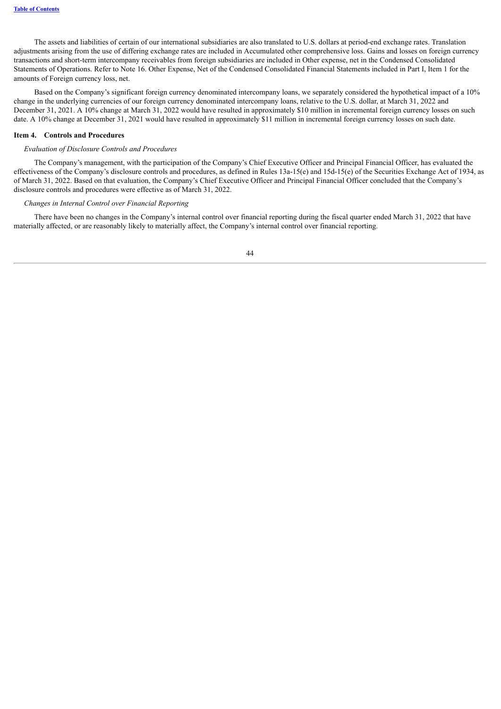The assets and liabilities of certain of our international subsidiaries are also translated to U.S. dollars at period-end exchange rates. Translation adjustments arising from the use of differing exchange rates are included in Accumulated other comprehensive loss. Gains and losses on foreign currency transactions and short-term intercompany receivables from foreign subsidiaries are included in Other expense, net in the Condensed Consolidated Statements of Operations. Refer to Note 16. Other Expense, Net of the Condensed Consolidated Financial Statements included in Part I, Item 1 for the amounts of Foreign currency loss, net.

Based on the Company's significant foreign currency denominated intercompany loans, we separately considered the hypothetical impact of a 10% change in the underlying currencies of our foreign currency denominated intercompany loans, relative to the U.S. dollar, at March 31, 2022 and December 31, 2021. A 10% change at March 31, 2022 would have resulted in approximately \$10 million in incremental foreign currency losses on such date. A 10% change at December 31, 2021 would have resulted in approximately \$11 million in incremental foreign currency losses on such date.

## <span id="page-47-0"></span>**Item 4. Controls and Procedures**

### *Evaluation of Disclosure Controls and Procedures*

The Company's management, with the participation of the Company's Chief Executive Officer and Principal Financial Officer, has evaluated the effectiveness of the Company's disclosure controls and procedures, as defined in Rules 13a-15(e) and 15d-15(e) of the Securities Exchange Act of 1934, as of March 31, 2022. Based on that evaluation, the Company's Chief Executive Officer and Principal Financial Officer concluded that the Company's disclosure controls and procedures were effective as of March 31, 2022.

### *Changes in Internal Control over Financial Reporting*

<span id="page-47-1"></span>There have been no changes in the Company's internal control over financial reporting during the fiscal quarter ended March 31, 2022 that have materially affected, or are reasonably likely to materially affect, the Company's internal control over financial reporting.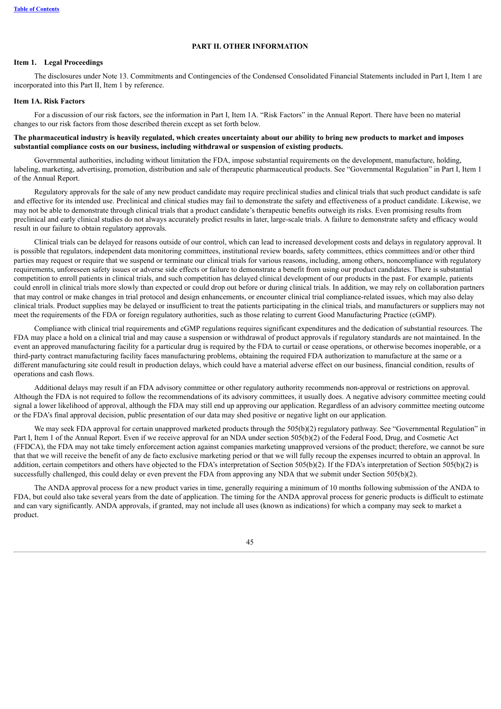#### **PART II. OTHER INFORMATION**

# <span id="page-48-0"></span>**Item 1. Legal Proceedings**

The disclosures under Note 13. Commitments and Contingencies of the Condensed Consolidated Financial Statements included in Part I, Item 1 are incorporated into this Part II, Item 1 by reference.

#### <span id="page-48-1"></span>**Item 1A. Risk Factors**

For a discussion of our risk factors, see the information in Part I, Item 1A. "Risk Factors" in the Annual Report. There have been no material changes to our risk factors from those described therein except as set forth below.

### The pharmaceutical industry is heavily regulated, which creates uncertainty about our ability to bring new products to market and imposes **substantial compliance costs on our business, including withdrawal or suspension of existing products.**

Governmental authorities, including without limitation the FDA, impose substantial requirements on the development, manufacture, holding, labeling, marketing, advertising, promotion, distribution and sale of therapeutic pharmaceutical products. See "Governmental Regulation" in Part I, Item 1 of the Annual Report.

Regulatory approvals for the sale of any new product candidate may require preclinical studies and clinical trials that such product candidate is safe and effective for its intended use. Preclinical and clinical studies may fail to demonstrate the safety and effectiveness of a product candidate. Likewise, we may not be able to demonstrate through clinical trials that a product candidate's therapeutic benefits outweigh its risks. Even promising results from preclinical and early clinical studies do not always accurately predict results in later, large-scale trials. A failure to demonstrate safety and efficacy would result in our failure to obtain regulatory approvals.

Clinical trials can be delayed for reasons outside of our control, which can lead to increased development costs and delays in regulatory approval. It is possible that regulators, independent data monitoring committees, institutional review boards, safety committees, ethics committees and/or other third parties may request or require that we suspend or terminate our clinical trials for various reasons, including, among others, noncompliance with regulatory requirements, unforeseen safety issues or adverse side effects or failure to demonstrate a benefit from using our product candidates. There is substantial competition to enroll patients in clinical trials, and such competition has delayed clinical development of our products in the past. For example, patients could enroll in clinical trials more slowly than expected or could drop out before or during clinical trials. In addition, we may rely on collaboration partners that may control or make changes in trial protocol and design enhancements, or encounter clinical trial compliance-related issues, which may also delay clinical trials. Product supplies may be delayed or insufficient to treat the patients participating in the clinical trials, and manufacturers or suppliers may not meet the requirements of the FDA or foreign regulatory authorities, such as those relating to current Good Manufacturing Practice (cGMP).

Compliance with clinical trial requirements and cGMP regulations requires significant expenditures and the dedication of substantial resources. The FDA may place a hold on a clinical trial and may cause a suspension or withdrawal of product approvals if regulatory standards are not maintained. In the event an approved manufacturing facility for a particular drug is required by the FDA to curtail or cease operations, or otherwise becomes inoperable, or a third-party contract manufacturing facility faces manufacturing problems, obtaining the required FDA authorization to manufacture at the same or a different manufacturing site could result in production delays, which could have a material adverse effect on our business, financial condition, results of operations and cash flows.

Additional delays may result if an FDA advisory committee or other regulatory authority recommends non-approval or restrictions on approval. Although the FDA is not required to follow the recommendations of its advisory committees, it usually does. A negative advisory committee meeting could signal a lower likelihood of approval, although the FDA may still end up approving our application. Regardless of an advisory committee meeting outcome or the FDA's final approval decision, public presentation of our data may shed positive or negative light on our application.

We may seek FDA approval for certain unapproved marketed products through the 505(b)(2) regulatory pathway. See "Governmental Regulation" in Part I, Item 1 of the Annual Report. Even if we receive approval for an NDA under section 505(b)(2) of the Federal Food, Drug, and Cosmetic Act (FFDCA), the FDA may not take timely enforcement action against companies marketing unapproved versions of the product; therefore, we cannot be sure that that we will receive the benefit of any de facto exclusive marketing period or that we will fully recoup the expenses incurred to obtain an approval. In addition, certain competitors and others have objected to the FDA's interpretation of Section 505(b)(2). If the FDA's interpretation of Section 505(b)(2) is successfully challenged, this could delay or even prevent the FDA from approving any NDA that we submit under Section 505(b)(2).

The ANDA approval process for a new product varies in time, generally requiring a minimum of 10 months following submission of the ANDA to FDA, but could also take several years from the date of application. The timing for the ANDA approval process for generic products is difficult to estimate and can vary significantly. ANDA approvals, if granted, may not include all uses (known as indications) for which a company may seek to market a product.

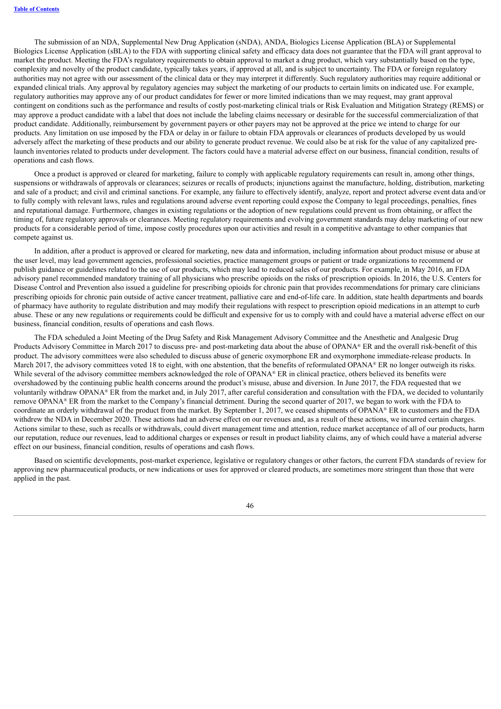The submission of an NDA, Supplemental New Drug Application (sNDA), ANDA, Biologics License Application (BLA) or Supplemental Biologics License Application (sBLA) to the FDA with supporting clinical safety and efficacy data does not guarantee that the FDA will grant approval to market the product. Meeting the FDA's regulatory requirements to obtain approval to market a drug product, which vary substantially based on the type, complexity and novelty of the product candidate, typically takes years, if approved at all, and is subject to uncertainty. The FDA or foreign regulatory authorities may not agree with our assessment of the clinical data or they may interpret it differently. Such regulatory authorities may require additional or expanded clinical trials. Any approval by regulatory agencies may subject the marketing of our products to certain limits on indicated use. For example, regulatory authorities may approve any of our product candidates for fewer or more limited indications than we may request, may grant approval contingent on conditions such as the performance and results of costly post-marketing clinical trials or Risk Evaluation and Mitigation Strategy (REMS) or may approve a product candidate with a label that does not include the labeling claims necessary or desirable for the successful commercialization of that product candidate. Additionally, reimbursement by government payers or other payers may not be approved at the price we intend to charge for our products. Any limitation on use imposed by the FDA or delay in or failure to obtain FDA approvals or clearances of products developed by us would adversely affect the marketing of these products and our ability to generate product revenue. We could also be at risk for the value of any capitalized prelaunch inventories related to products under development. The factors could have a material adverse effect on our business, financial condition, results of operations and cash flows.

Once a product is approved or cleared for marketing, failure to comply with applicable regulatory requirements can result in, among other things, suspensions or withdrawals of approvals or clearances; seizures or recalls of products; injunctions against the manufacture, holding, distribution, marketing and sale of a product; and civil and criminal sanctions. For example, any failure to effectively identify, analyze, report and protect adverse event data and/or to fully comply with relevant laws, rules and regulations around adverse event reporting could expose the Company to legal proceedings, penalties, fines and reputational damage. Furthermore, changes in existing regulations or the adoption of new regulations could prevent us from obtaining, or affect the timing of, future regulatory approvals or clearances. Meeting regulatory requirements and evolving government standards may delay marketing of our new products for a considerable period of time, impose costly procedures upon our activities and result in a competitive advantage to other companies that compete against us.

In addition, after a product is approved or cleared for marketing, new data and information, including information about product misuse or abuse at the user level, may lead government agencies, professional societies, practice management groups or patient or trade organizations to recommend or publish guidance or guidelines related to the use of our products, which may lead to reduced sales of our products. For example, in May 2016, an FDA advisory panel recommended mandatory training of all physicians who prescribe opioids on the risks of prescription opioids. In 2016, the U.S. Centers for Disease Control and Prevention also issued a guideline for prescribing opioids for chronic pain that provides recommendations for primary care clinicians prescribing opioids for chronic pain outside of active cancer treatment, palliative care and end-of-life care. In addition, state health departments and boards of pharmacy have authority to regulate distribution and may modify their regulations with respect to prescription opioid medications in an attempt to curb abuse. These or any new regulations or requirements could be difficult and expensive for us to comply with and could have a material adverse effect on our business, financial condition, results of operations and cash flows.

The FDA scheduled a Joint Meeting of the Drug Safety and Risk Management Advisory Committee and the Anesthetic and Analgesic Drug Products Advisory Committee in March 2017 to discuss pre- and post-marketing data about the abuse of OPANA® ER and the overall risk-benefit of this product. The advisory committees were also scheduled to discuss abuse of generic oxymorphone ER and oxymorphone immediate-release products. In March 2017, the advisory committees voted 18 to eight, with one abstention, that the benefits of reformulated OPANA® ER no longer outweigh its risks. While several of the advisory committee members acknowledged the role of OPAN $A^*$  ER in clinical practice, others believed its benefits were overshadowed by the continuing public health concerns around the product's misuse, abuse and diversion. In June 2017, the FDA requested that we voluntarily withdraw OPANA® ER from the market and, in July 2017, after careful consideration and consultation with the FDA, we decided to voluntarily remove OPANA® ER from the market to the Company's financial detriment. During the second quarter of 2017, we began to work with the FDA to coordinate an orderly withdrawal of the product from the market. By September 1, 2017, we ceased shipments of OPANA® ER to customers and the FDA withdrew the NDA in December 2020. These actions had an adverse effect on our revenues and, as a result of these actions, we incurred certain charges. Actions similar to these, such as recalls or withdrawals, could divert management time and attention, reduce market acceptance of all of our products, harm our reputation, reduce our revenues, lead to additional charges or expenses or result in product liability claims, any of which could have a material adverse effect on our business, financial condition, results of operations and cash flows.

Based on scientific developments, post-market experience, legislative or regulatory changes or other factors, the current FDA standards of review for approving new pharmaceutical products, or new indications or uses for approved or cleared products, are sometimes more stringent than those that were applied in the past.

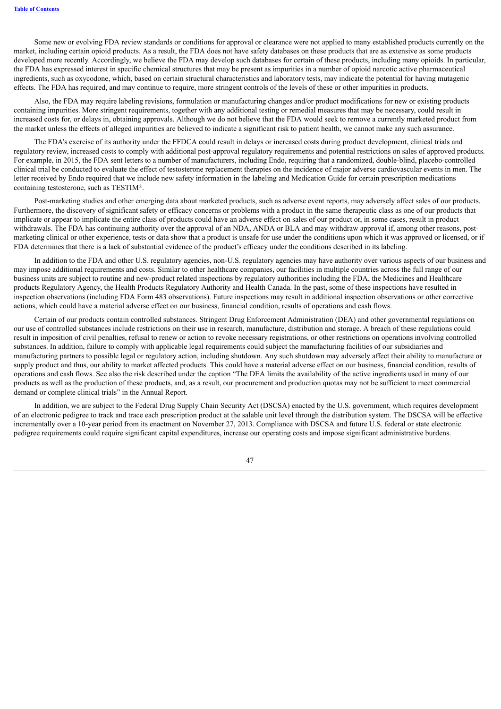Some new or evolving FDA review standards or conditions for approval or clearance were not applied to many established products currently on the market, including certain opioid products. As a result, the FDA does not have safety databases on these products that are as extensive as some products developed more recently. Accordingly, we believe the FDA may develop such databases for certain of these products, including many opioids. In particular, the FDA has expressed interest in specific chemical structures that may be present as impurities in a number of opioid narcotic active pharmaceutical ingredients, such as oxycodone, which, based on certain structural characteristics and laboratory tests, may indicate the potential for having mutagenic effects. The FDA has required, and may continue to require, more stringent controls of the levels of these or other impurities in products.

Also, the FDA may require labeling revisions, formulation or manufacturing changes and/or product modifications for new or existing products containing impurities. More stringent requirements, together with any additional testing or remedial measures that may be necessary, could result in increased costs for, or delays in, obtaining approvals. Although we do not believe that the FDA would seek to remove a currently marketed product from the market unless the effects of alleged impurities are believed to indicate a significant risk to patient health, we cannot make any such assurance.

The FDA's exercise of its authority under the FFDCA could result in delays or increased costs during product development, clinical trials and regulatory review, increased costs to comply with additional post-approval regulatory requirements and potential restrictions on sales of approved products. For example, in 2015, the FDA sent letters to a number of manufacturers, including Endo, requiring that a randomized, double-blind, placebo-controlled clinical trial be conducted to evaluate the effect of testosterone replacement therapies on the incidence of major adverse cardiovascular events in men. The letter received by Endo required that we include new safety information in the labeling and Medication Guide for certain prescription medications containing testosterone, such as TESTIM®.

Post-marketing studies and other emerging data about marketed products, such as adverse event reports, may adversely affect sales of our products. Furthermore, the discovery of significant safety or efficacy concerns or problems with a product in the same therapeutic class as one of our products that implicate or appear to implicate the entire class of products could have an adverse effect on sales of our product or, in some cases, result in product withdrawals. The FDA has continuing authority over the approval of an NDA, ANDA or BLA and may withdraw approval if, among other reasons, postmarketing clinical or other experience, tests or data show that a product is unsafe for use under the conditions upon which it was approved or licensed, or if FDA determines that there is a lack of substantial evidence of the product's efficacy under the conditions described in its labeling.

In addition to the FDA and other U.S. regulatory agencies, non-U.S. regulatory agencies may have authority over various aspects of our business and may impose additional requirements and costs. Similar to other healthcare companies, our facilities in multiple countries across the full range of our business units are subject to routine and new-product related inspections by regulatory authorities including the FDA, the Medicines and Healthcare products Regulatory Agency, the Health Products Regulatory Authority and Health Canada. In the past, some of these inspections have resulted in inspection observations (including FDA Form 483 observations). Future inspections may result in additional inspection observations or other corrective actions, which could have a material adverse effect on our business, financial condition, results of operations and cash flows.

Certain of our products contain controlled substances. Stringent Drug Enforcement Administration (DEA) and other governmental regulations on our use of controlled substances include restrictions on their use in research, manufacture, distribution and storage. A breach of these regulations could result in imposition of civil penalties, refusal to renew or action to revoke necessary registrations, or other restrictions on operations involving controlled substances. In addition, failure to comply with applicable legal requirements could subject the manufacturing facilities of our subsidiaries and manufacturing partners to possible legal or regulatory action, including shutdown. Any such shutdown may adversely affect their ability to manufacture or supply product and thus, our ability to market affected products. This could have a material adverse effect on our business, financial condition, results of operations and cash flows. See also the risk described under the caption "The DEA limits the availability of the active ingredients used in many of our products as well as the production of these products, and, as a result, our procurement and production quotas may not be sufficient to meet commercial demand or complete clinical trials" in the Annual Report.

In addition, we are subject to the Federal Drug Supply Chain Security Act (DSCSA) enacted by the U.S. government, which requires development of an electronic pedigree to track and trace each prescription product at the salable unit level through the distribution system. The DSCSA will be effective incrementally over a 10-year period from its enactment on November 27, 2013. Compliance with DSCSA and future U.S. federal or state electronic pedigree requirements could require significant capital expenditures, increase our operating costs and impose significant administrative burdens.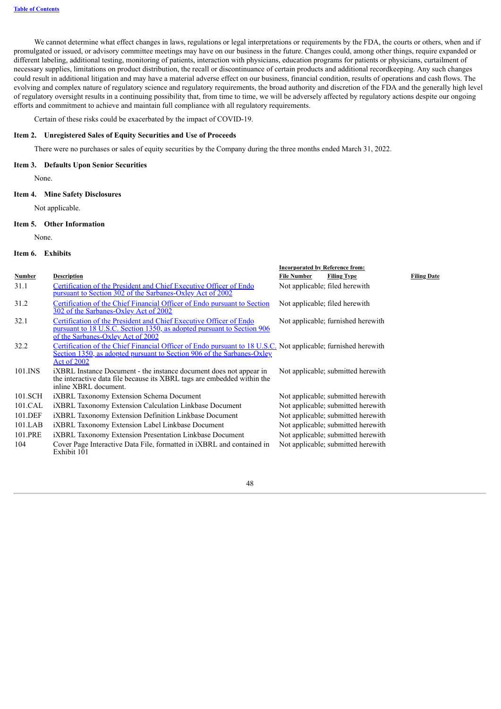We cannot determine what effect changes in laws, regulations or legal interpretations or requirements by the FDA, the courts or others, when and if promulgated or issued, or advisory committee meetings may have on our business in the future. Changes could, among other things, require expanded or different labeling, additional testing, monitoring of patients, interaction with physicians, education programs for patients or physicians, curtailment of necessary supplies, limitations on product distribution, the recall or discontinuance of certain products and additional recordkeeping. Any such changes could result in additional litigation and may have a material adverse effect on our business, financial condition, results of operations and cash flows. The evolving and complex nature of regulatory science and regulatory requirements, the broad authority and discretion of the FDA and the generally high level of regulatory oversight results in a continuing possibility that, from time to time, we will be adversely affected by regulatory actions despite our ongoing efforts and commitment to achieve and maintain full compliance with all regulatory requirements.

Certain of these risks could be exacerbated by the impact of COVID-19.

### <span id="page-51-0"></span>**Item 2. Unregistered Sales of Equity Securities and Use of Proceeds**

There were no purchases or sales of equity securities by the Company during the three months ended March 31, 2022.

#### <span id="page-51-1"></span>**Item 3. Defaults Upon Senior Securities**

None.

#### <span id="page-51-2"></span>**Item 4. Mine Safety Disclosures**

Not applicable.

#### <span id="page-51-3"></span>**Item 5. Other Information**

None.

### <span id="page-51-4"></span>**Item 6. Exhibits**

<span id="page-51-5"></span>

|               |                                                                                                                                                                                                        | <b>Incorporated by Reference from:</b> |                                    |                    |
|---------------|--------------------------------------------------------------------------------------------------------------------------------------------------------------------------------------------------------|----------------------------------------|------------------------------------|--------------------|
| <b>Number</b> | <b>Description</b>                                                                                                                                                                                     | <b>File Number</b>                     | <b>Filing Type</b>                 | <b>Filing Date</b> |
| 31.1          | Certification of the President and Chief Executive Officer of Endo<br>pursuant to Section 302 of the Sarbanes-Oxley Act of 2002                                                                        |                                        | Not applicable; filed herewith     |                    |
| 31.2          | Certification of the Chief Financial Officer of Endo pursuant to Section<br>302 of the Sarbanes-Oxley Act of 2002                                                                                      |                                        | Not applicable; filed herewith     |                    |
| 32.1          | Certification of the President and Chief Executive Officer of Endo<br>pursuant to 18 U.S.C. Section 1350, as adopted pursuant to Section 906<br>of the Sarbanes-Oxley Act of 2002                      |                                        | Not applicable; furnished herewith |                    |
| 32.2          | Certification of the Chief Financial Officer of Endo pursuant to 18 U.S.C. Not applicable; furnished herewith<br>Section 1350, as adopted pursuant to Section 906 of the Sarbanes-Oxley<br>Act of 2002 |                                        |                                    |                    |
| 101.INS       | IXBRL Instance Document - the instance document does not appear in<br>the interactive data file because its XBRL tags are embedded within the<br>inline XBRL document.                                 |                                        | Not applicable; submitted herewith |                    |
| 101.SCH       | <i>iXBRL</i> Taxonomy Extension Schema Document                                                                                                                                                        |                                        | Not applicable; submitted herewith |                    |
| 101.CAL       | <b>iXBRL Taxonomy Extension Calculation Linkbase Document</b>                                                                                                                                          |                                        | Not applicable; submitted herewith |                    |
| 101.DEF       | <b>iXBRL Taxonomy Extension Definition Linkbase Document</b>                                                                                                                                           |                                        | Not applicable; submitted herewith |                    |
| 101.LAB       | <b>iXBRL Taxonomy Extension Label Linkbase Document</b>                                                                                                                                                |                                        | Not applicable; submitted herewith |                    |
| 101.PRE       | <b>iXBRL Taxonomy Extension Presentation Linkbase Document</b>                                                                                                                                         |                                        | Not applicable; submitted herewith |                    |
| 104           | Cover Page Interactive Data File, formatted in <i>IXBRL</i> and contained in<br>Exhibit 101                                                                                                            |                                        | Not applicable; submitted herewith |                    |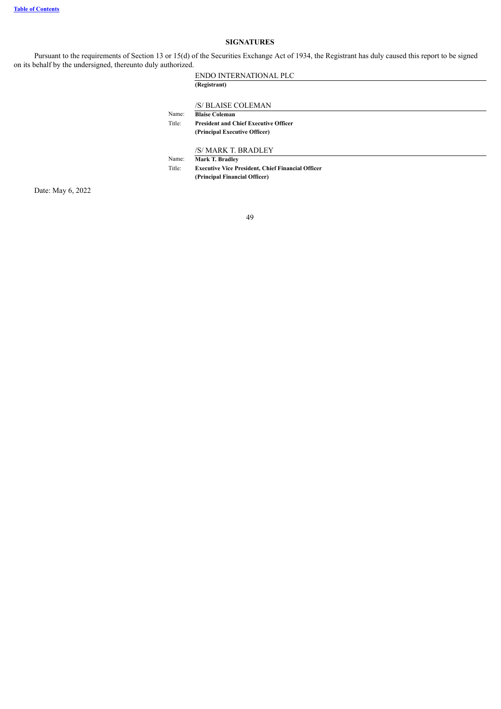### **SIGNATURES**

Pursuant to the requirements of Section 13 or 15(d) of the Securities Exchange Act of 1934, the Registrant has duly caused this report to be signed on its behalf by the undersigned, thereunto duly authorized.

### ENDO INTERNATIONAL PLC **(Registrant)**

/S/ BLAISE COLEMAN

Name: **Blaise Coleman**

Title: **President and Chief Executive Officer (Principal Executive Officer)**

/S/ MARK T. BRADLEY

Name: **Mark T. Bradley**

Title: **Executive Vice President, Chief Financial Officer (Principal Financial Officer)**

Date: May 6, 2022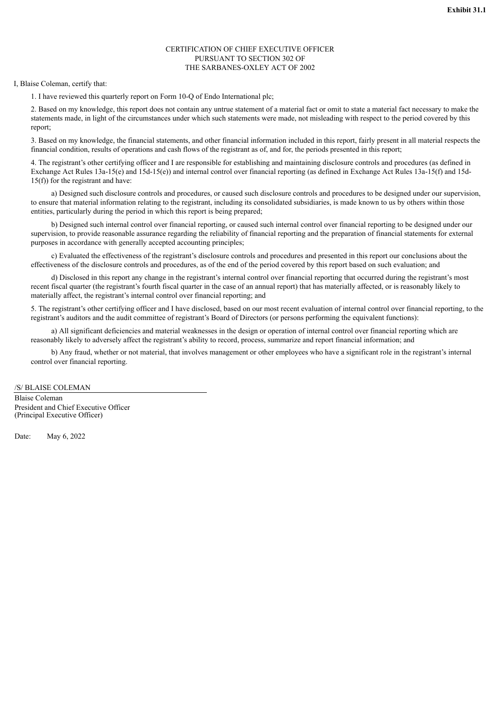# CERTIFICATION OF CHIEF EXECUTIVE OFFICER PURSUANT TO SECTION 302 OF THE SARBANES-OXLEY ACT OF 2002

<span id="page-53-0"></span>I, Blaise Coleman, certify that:

1. I have reviewed this quarterly report on Form 10-Q of Endo International plc;

2. Based on my knowledge, this report does not contain any untrue statement of a material fact or omit to state a material fact necessary to make the statements made, in light of the circumstances under which such statements were made, not misleading with respect to the period covered by this report;

3. Based on my knowledge, the financial statements, and other financial information included in this report, fairly present in all material respects the financial condition, results of operations and cash flows of the registrant as of, and for, the periods presented in this report;

4. The registrant's other certifying officer and I are responsible for establishing and maintaining disclosure controls and procedures (as defined in Exchange Act Rules 13a-15(e) and 15d-15(e)) and internal control over financial reporting (as defined in Exchange Act Rules 13a-15(f) and 15d-15(f)) for the registrant and have:

a) Designed such disclosure controls and procedures, or caused such disclosure controls and procedures to be designed under our supervision, to ensure that material information relating to the registrant, including its consolidated subsidiaries, is made known to us by others within those entities, particularly during the period in which this report is being prepared;

b) Designed such internal control over financial reporting, or caused such internal control over financial reporting to be designed under our supervision, to provide reasonable assurance regarding the reliability of financial reporting and the preparation of financial statements for external purposes in accordance with generally accepted accounting principles;

c) Evaluated the effectiveness of the registrant's disclosure controls and procedures and presented in this report our conclusions about the effectiveness of the disclosure controls and procedures, as of the end of the period covered by this report based on such evaluation; and

d) Disclosed in this report any change in the registrant's internal control over financial reporting that occurred during the registrant's most recent fiscal quarter (the registrant's fourth fiscal quarter in the case of an annual report) that has materially affected, or is reasonably likely to materially affect, the registrant's internal control over financial reporting; and

5. The registrant's other certifying officer and I have disclosed, based on our most recent evaluation of internal control over financial reporting, to the registrant's auditors and the audit committee of registrant's Board of Directors (or persons performing the equivalent functions):

a) All significant deficiencies and material weaknesses in the design or operation of internal control over financial reporting which are reasonably likely to adversely affect the registrant's ability to record, process, summarize and report financial information; and

b) Any fraud, whether or not material, that involves management or other employees who have a significant role in the registrant's internal control over financial reporting.

/S/ BLAISE COLEMAN

Blaise Coleman President and Chief Executive Officer (Principal Executive Officer)

Date: May 6, 2022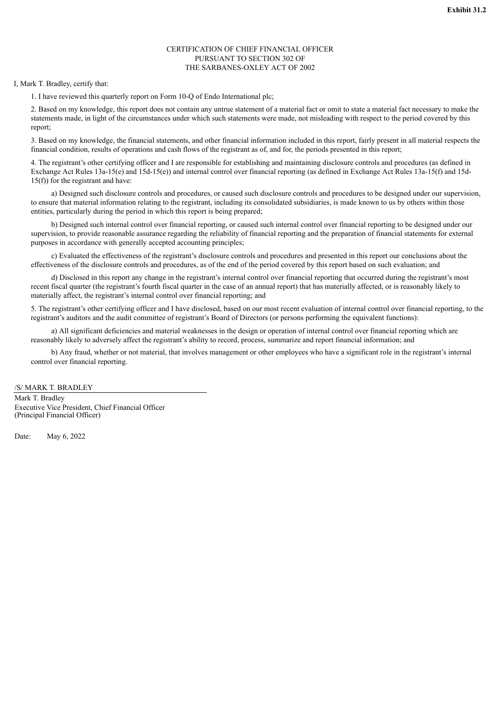# CERTIFICATION OF CHIEF FINANCIAL OFFICER PURSUANT TO SECTION 302 OF THE SARBANES-OXLEY ACT OF 2002

<span id="page-54-0"></span>I, Mark T. Bradley, certify that:

1. I have reviewed this quarterly report on Form 10-Q of Endo International plc;

2. Based on my knowledge, this report does not contain any untrue statement of a material fact or omit to state a material fact necessary to make the statements made, in light of the circumstances under which such statements were made, not misleading with respect to the period covered by this report;

3. Based on my knowledge, the financial statements, and other financial information included in this report, fairly present in all material respects the financial condition, results of operations and cash flows of the registrant as of, and for, the periods presented in this report;

4. The registrant's other certifying officer and I are responsible for establishing and maintaining disclosure controls and procedures (as defined in Exchange Act Rules 13a-15(e) and 15d-15(e)) and internal control over financial reporting (as defined in Exchange Act Rules 13a-15(f) and 15d-15(f)) for the registrant and have:

a) Designed such disclosure controls and procedures, or caused such disclosure controls and procedures to be designed under our supervision, to ensure that material information relating to the registrant, including its consolidated subsidiaries, is made known to us by others within those entities, particularly during the period in which this report is being prepared;

b) Designed such internal control over financial reporting, or caused such internal control over financial reporting to be designed under our supervision, to provide reasonable assurance regarding the reliability of financial reporting and the preparation of financial statements for external purposes in accordance with generally accepted accounting principles;

c) Evaluated the effectiveness of the registrant's disclosure controls and procedures and presented in this report our conclusions about the effectiveness of the disclosure controls and procedures, as of the end of the period covered by this report based on such evaluation; and

d) Disclosed in this report any change in the registrant's internal control over financial reporting that occurred during the registrant's most recent fiscal quarter (the registrant's fourth fiscal quarter in the case of an annual report) that has materially affected, or is reasonably likely to materially affect, the registrant's internal control over financial reporting; and

5. The registrant's other certifying officer and I have disclosed, based on our most recent evaluation of internal control over financial reporting, to the registrant's auditors and the audit committee of registrant's Board of Directors (or persons performing the equivalent functions):

a) All significant deficiencies and material weaknesses in the design or operation of internal control over financial reporting which are reasonably likely to adversely affect the registrant's ability to record, process, summarize and report financial information; and

b) Any fraud, whether or not material, that involves management or other employees who have a significant role in the registrant's internal control over financial reporting.

/S/ MARK T. BRADLEY

Mark T. Bradley Executive Vice President, Chief Financial Officer (Principal Financial Officer)

Date: May 6, 2022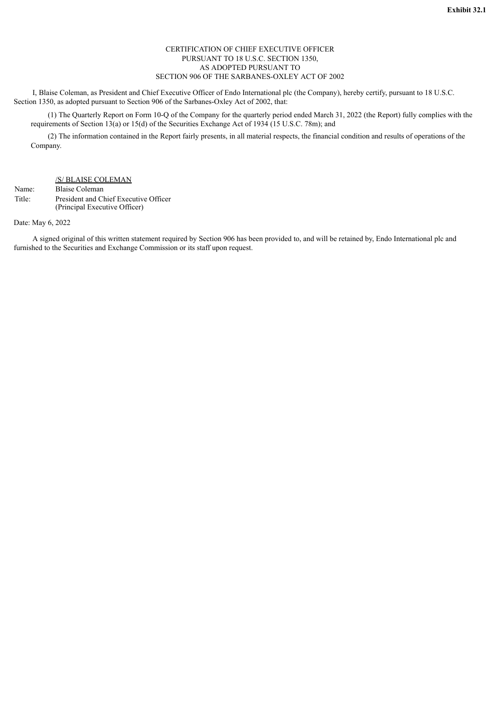# CERTIFICATION OF CHIEF EXECUTIVE OFFICER PURSUANT TO 18 U.S.C. SECTION 1350, AS ADOPTED PURSUANT TO SECTION 906 OF THE SARBANES-OXLEY ACT OF 2002

<span id="page-55-0"></span>I, Blaise Coleman, as President and Chief Executive Officer of Endo International plc (the Company), hereby certify, pursuant to 18 U.S.C. Section 1350, as adopted pursuant to Section 906 of the Sarbanes-Oxley Act of 2002, that:

(1) The Quarterly Report on Form 10-Q of the Company for the quarterly period ended March 31, 2022 (the Report) fully complies with the requirements of Section 13(a) or 15(d) of the Securities Exchange Act of 1934 (15 U.S.C. 78m); and

(2) The information contained in the Report fairly presents, in all material respects, the financial condition and results of operations of the Company.

### /S/ BLAISE COLEMAN

Name: Blaise Coleman Title: President and Chief Executive Officer (Principal Executive Officer)

Date: May 6, 2022

A signed original of this written statement required by Section 906 has been provided to, and will be retained by, Endo International plc and furnished to the Securities and Exchange Commission or its staff upon request.